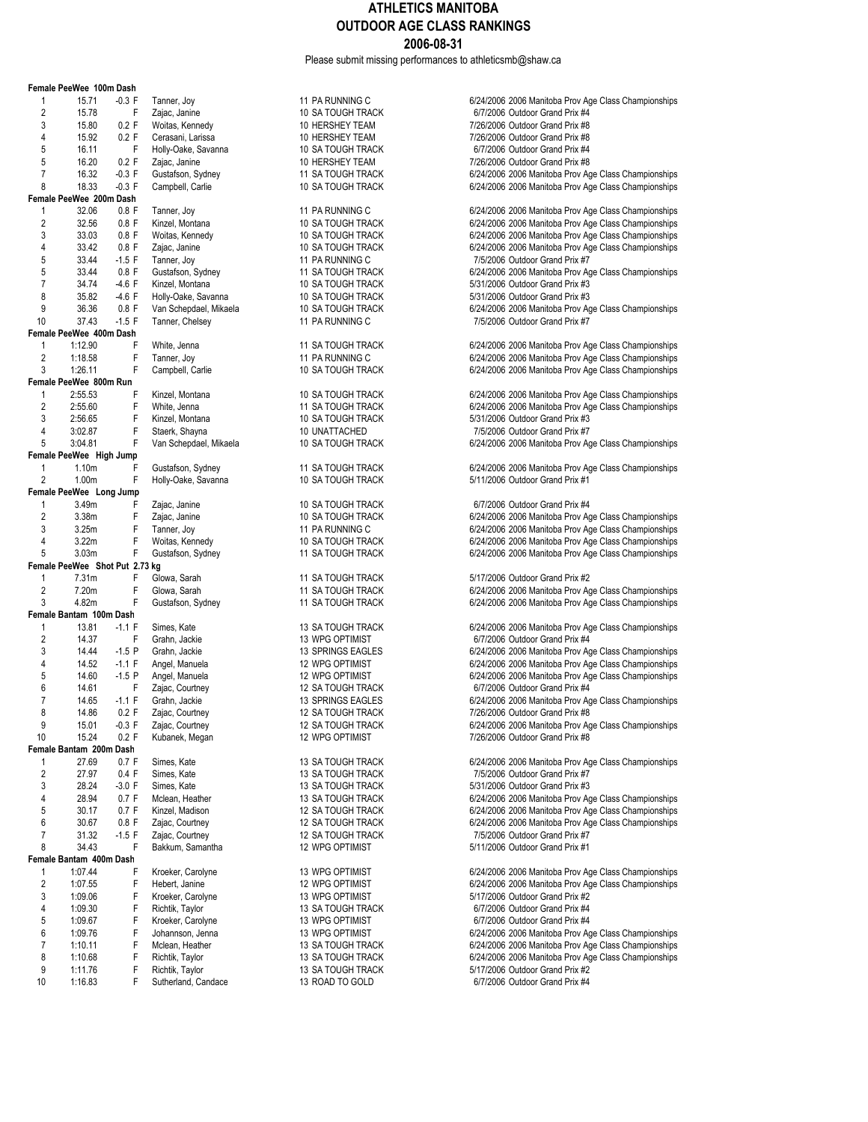Please submit missing performances to athleticsmb@shaw.ca

|                | Female PeeWee 100m Dash        |          |                     |
|----------------|--------------------------------|----------|---------------------|
| 1              | 15.71                          | $-0.3$ F | Tanner, Joy         |
| $\overline{2}$ | 15.78                          | F        | Zajac, Janine       |
| 3              | 15.80                          | 0.2 F    | Woitas, Kennedy     |
| 4              | 15.92                          | 0.2 F    | Cerasani, Larissa   |
| 5              | 16.11                          | F        | Holly-Oake, Savanna |
| 5              | 16.20                          | 0.2 F    | Zajac, Janine       |
| 7              | 16.32                          | $-0.3$ F | Gustafson, Sydney   |
| 8              | 18.33                          | $-0.3$ F | Campbell, Carlie    |
|                | Female PeeWee 200m Dash        |          |                     |
| 1              | 32.06                          | $0.8$ F  | Tanner, Joy         |
| $\overline{c}$ | 32.56                          | $0.8$ F  | Kinzel, Montana     |
| 3              | 33.03                          | $0.8$ F  | Woitas, Kennedy     |
| 4              | 33.42                          | $0.8$ F  | Zajac, Janine       |
| 5              | 33.44                          | $-1.5$ F | Tanner, Joy         |
|                |                                |          |                     |
| 5              | 33.44                          | $0.8$ F  | Gustafson, Sydney   |
| 7              | 34.74                          | $-4.6 F$ | Kinzel, Montana     |
| 8              | 35.82                          | $-4.6 F$ | Holly-Oake, Savanna |
| 9              | 36.36                          | $0.8$ F  | Van Schepdael, Mika |
| 10             | 37.43                          | $-1.5$ F | Tanner, Chelsey     |
|                | Female PeeWee 400m Dash        |          |                     |
| 1              | 1:12.90                        | F        | White, Jenna        |
| $\overline{2}$ | 1:18.58                        | F        | Tanner, Joy         |
| 3              | 1:26.11                        | F        | Campbell, Carlie    |
|                | Female PeeWee 800m Run         |          |                     |
| 1              | 2:55.53                        | F        | Kinzel, Montana     |
| $\overline{2}$ | 2:55.60                        | F        | White, Jenna        |
| 3              | 2:56.65                        | F        | Kinzel, Montana     |
| 4              | 3:02.87                        | F        | Staerk, Shayna      |
| 5              | 3:04.81                        | F        | Van Schepdael, Mika |
|                | Female PeeWee High Jump        |          |                     |
| 1              | 1.10 <sub>m</sub>              | F        | Gustafson, Sydney   |
| $\overline{2}$ | 1.00m                          | F        | Holly-Oake, Savanna |
|                |                                |          |                     |
|                | Female PeeWee Long Jump        |          |                     |
| 1              | 3.49m                          | F        | Zajac, Janine       |
| $\overline{2}$ | 3.38m                          | F        | Zajac, Janine       |
| 3              | 3.25m                          | F        | Tanner, Joy         |
| 4              | 3.22m                          | F        | Woitas, Kennedy     |
| 5              | 3.03m                          | F        | Gustafson, Sydney   |
|                | Female PeeWee Shot Put 2.73 kg |          |                     |
| 1              | 7.31m                          | F        | Glowa, Sarah        |
| 2              | 7.20m                          | F        | Glowa, Sarah        |
| 3              | 4.82m                          | F        | Gustafson, Sydney   |
|                | Female Bantam 100m Dash        |          |                     |
| 1              | 13.81                          | $-1.1 F$ | Simes, Kate         |
| $\overline{c}$ | 14.37                          | F        | Grahn, Jackie       |
| 3              | 14.44                          | $-1.5P$  | Grahn, Jackie       |
| 4              | 14.52                          | $-1.1 F$ | Angel, Manuela      |
|                |                                | $-1.5P$  |                     |
| 5              | 14.60                          |          | Angel, Manuela      |
| 6              | 14.61                          | F        | Zajac, Courtney     |
| 7              | 14.65                          | $-1.1 F$ | Grahn, Jackie       |
| 8              | 14.86                          | 0.2 F    | Zajac, Courtney     |
| 9              | 15.01                          | $-0.3$ F | Zajac, Courtney     |
| 10             | 15.24                          | 0.2 F    | Kubanek, Megan      |
|                | Female Bantam 200m Dash        |          |                     |
| 1              | 27.69                          | 0.7 F    | Simes, Kate         |
| 2              | 27.97                          | 0.4 F    | Simes, Kate         |
| 3              | 28.24                          | $-3.0 F$ | Simes, Kate         |
| 4              | 28.94                          | 0.7 F    | Mclean, Heather     |
| 5              | 30.17                          | 0.7 F    | Kinzel, Madison     |
| 6              | 30.67                          | 0.8 F    | Zajac, Courtney     |
| 7              | 31.32                          | $-1.5$ F | Zajac, Courtney     |
| 8              | 34.43                          | F        |                     |
|                | Female Bantam 400m Dash        |          | Bakkum, Samantha    |
|                |                                |          |                     |
| 1              | 1:07.44                        | F        | Kroeker, Carolyne   |
| 2              | 1:07.55                        | F        | Hebert, Janine      |
| 3              | 1:09.06                        | F        | Kroeker, Carolyne   |
| 4              | 1:09.30                        | F        | Richtik, Taylor     |
| 5              | 1:09.67                        | F        | Kroeker, Carolyne   |
| 6              | 1:09.76                        | F        | Johannson, Jenna    |
| 7              | 1:10.11                        | F        | Mclean, Heather     |
| 8              | 1:10.68                        | F        | Richtik, Taylor     |
| 9              | 1:11.76                        | F        | Richtik, Taylor     |
| 10             | 1:16.83                        | F        | Sutherland, Candace |
|                |                                |          |                     |

13 ROAD TO GOLD 6/7/2006 Outdoor Grand Prix #4

11 PA RUNNING C<br>10 SA TOUGH TRACK **CONNEGATE:** 6/7/2006 Outdoor Grand Prix #4 2 10 SA TOUGH TRACK 6/7/2006 Outdoor Grand Prix #4<br>2 10 HERSHEY TEAM 6/7/2006 Outdoor Grand Prix #8 10 HERSHEY TEAM 10 7/26/2006 Outdoor Grand Prix #8<br>10 HERSHEY TEAM 10 7/26/2006 Outdoor Grand Prix #8 4 10 HERSHEY TEAM 10 FIRAM 7/26/2006 Outdoor Grand Prix #8<br>10 SA TOUGH TRACK 6/7/2006 Outdoor Grand Prix #4 5 16.11 TRACK 16.11 FORLY SAVANNA 10 SA TOUGH TRACK 61.11 FORLY 10 HOLD FORLY 10 TRACK 600 17/2006 Outdoor Grand Prix #8<br>Transference of the Hold France of the Hold Frix #8 5 10 HERSHEY TEAM 7/26/2006 Outdoor Grand Prix #8<br>11 SA TOUGH TRACK 6/24/2006 2006 Manitoba Prov Ag 11 SA TOUGH TRACK 6/24/2006 2006 Manitoba Prov Age Class Championships<br>10 SA TOUGH TRACK 6/24/2006 2006 Manitoba Prov Age Class Championships 6/24/2006 2006 Manitoba Prov Age Class Championships 11 PA RUNNING C<br>10 SA TOLIGH TRACK **CONSUMED SEE TANDER STAND OF SA TOLIGH TRACK**<br>6/24/2006 2006 Manitoba Prov Age Class Championships 2 324/2006 2006 Manitoba Prov Age Class Championships<br>10 SA TOUGH TRACK 6/24/2006 2006 Manitoba Prov Age Class Championships 10 SA TOUGH TRACK 6/24/2006 2006 Manitoba Prov Age Class Championships<br>10 SA TOUGH TRACK 6/24/2006 2006 Manitoba Prov Age Class Championships 10 SA TOUGH TRACK 6/24/2006 2006 Manitoba Prov Age Class Championships<br>11 PA RUNNING C<br>16/2006 0utdoor Grand Prix #7 11 PA RUNNING C 7/5/2006 Outdoor Grand Prix #7<br>11 SA TOUGH TRACK 6/24/2006 2006 Manitoba Prov Ac 11 SA TOUGH TRACK 6/24/2006 2006 Manitoba Prov Age Class Championships<br>10 SA TOUGH TRACK 6/25/2006 2006 Outdoor Grand Prix #3 10 SA TOUGH TRACK 5/31/2006 Outdoor Grand Prix #3<br>10 SA TOUGH TRACK 5/31/2006 Outdoor Grand Prix #3 8 31/2006 36.82 10 SA TOUGH TRACK 5/31/2006 Outdoor Grand Prix #3<br>10 SA TOUGH TRACK 5/34/2006 2006 Manitoba Prov Ac 9 36.34/2006 30.36 6/24/2006 2006 Manitoba Prov Age Class Championships<br>11 PA RUNNING C 16/2/2006 2006 Outdoor Grand Prix #7 7/5/2006 Outdoor Grand Prix #7 11 SA TOUGH TRACK 6/24/2006 2006 Manitoba Prov Age Class Championships 2/2006 2006 Manitoba Prov Age Class Championships<br>2006 F Tanner, School 2006 Manitoba Prov Age Class Championships 6/24/2006 2006 Manitoba Prov Age Class Championships 10 SA TOUGH TRACK 6/24/2006 2006 Manitoba Prov Age Class Championships 11 SA TOUGH TRACK 6/24/2006 2006 Manitoba Prov Age Class Championships<br>10 SA TOUGH TRACK 6/25.60 6/24/2006 201 both Crand Prix #3 10 SA TOUGH TRACK 5/31/2006 Outdoor Grand Prix #3<br>10 UNATTACHED 7/5/2006 Outdoor Grand Prix #7 4 310 UNATTACHED 775/2006 Outdoor Grand Prix #7<br>10 SA TOUGH TRACK 6/24/2006 2006 Manitoba Prov Ac 6/24/2006 2006 Manitoba Prov Age Class Championships 11 SA TOUGH TRACK 6/24/2006 2006 Manitoba Prov Age Class Championships<br>10 SA TOUGH TRACK 6/24/2006 2010 6/24/2006 2011 00:41 2 10 SA TOUGH TRACK 5/11/2006 Outdoor Grand Prix #1 10 SA TOUGH TRACK 6/7/2006 Outdoor Grand Prix #4<br>10 SA TOUGH TRACK 6/24/2006 2006 Manitoba Prov Ag 2024 10 3A TOUGH TRACK 6/24/2006 2006 Manitoba Prov Age Class Championships<br>11 PA RUNNING C 6/24/2006 2006 Manitoba Prov Age Class Championships 6/24/2006 2006 Manitoba Prov Age Class Championships 10 SA TOUGH TRACK 6/24/2006 2006 Manitoba Prov Age Class Championships<br>11 SA TOUGH TRACK 6/24/2006 2006 Manitoba Prov Age Class Championships 6/24/2006 2006 Manitoba Prov Age Class Championships 11 SA TOUGH TRACK 5/17/2006 Outdoor Grand Prix #2<br>11 SA TOUGH TRACK 6/24/2006 2006 Manitoba Prov Ac 11 SA TOUGH TRACK 6/24/2006 2006 Manitoba Prov Age Class Championships<br>11 SA TOUGH TRACK 6/24/2006 2006 Manitoba Prov Age Class Championships 6/24/2006 2006 Manitoba Prov Age Class Championships 13 SA TOUGH TRACK 6/24/2006 2006 Manitoba Prov Age Class Championships<br>13 WPG OPTIMIST 6/7/2006 Outdoor Grand Prix #4 2 13 WPG OPTIMIST 6/7/2006 Outdoor Grand Prix #4<br>13 SPRINGS EAGLES 6/24/2006 2006 Manitoba Prov Ac 13 SPRINGS EAGLES<br>12.444 12.5 P GRAHAM GRAHAM 6/24/2006 2006 Manitoba Prov Age Class Championships 12 WPG OPTIMIST **12.52 -1.1 F Angle 12 State 12 Angle 12 WPG OPTIMIST** 12 WPG OPTIMIST **6/24/2006** 2006 Manitoba Prov Age Class Championships 12 WPG OPTIMIST **CHANGE OF ANGEL 12 ANGLE 12 ANGLE 12 ANGLE 12 ANGLE 12 ANGLE 12 ANGLE 12 ANGLE 125 PROV** 6/27/2006 2006 Manitoba Prov Age Class Championships **6/21/2006** 2006 Manitoba Prov Age Class Championships 12 SA TOUGH TRACK 6/7/2006 Outdoor Grand Prix #4<br>13 SPRINGS EAGLES 6/24/2006 2006 Manitoba Prov A 6/24/2006 2006 Manitoba Prov Age Class Championships 12 SA TOUGH TRACK 7/26/2006 Outdoor Grand Prix #8<br>12 SA TOUGH TRACK 6/24/2006 2006 Manitoba Prov Ag 9 15.01 -0.3 F Zajac, Courtney 12 SA TOUGH TRACK 6/24/2006 2006 Manitoba Prov Age Class Championships 7/26/2006 Outdoor Grand Prix #8 13 SA TOUGH TRACK 6/24/2006 2006 Manitoba Prov Age Class Championships<br>13 SA TOUGH TRACK 6/25/2006 Outdoor Grand Prix #7 2 275/2006 Outdoor Grand Prix #7 7/5/2006 Outdoor Grand Prix #7<br>13 SA TOUGH TRACK 7/5/2006 Outdoor Grand Prix #3 5/31/2006 Outdoor Grand Prix #3 13 SA TOUGH TRACK 6/24/2006 2006 Manitoba Prov Age Class Championships 12 SA TOUGH TRACK<br>12 SA TOUGH TRACK 6/24/2006 2006 Manitoba Prov Age Class Championships 12 SA TOUGH TRACK 6/24/2006 2006 Manitoba Prov Age Class Championships<br>12 SA TOUGH TRACK 6/2/2006 Outdoor Grand Prix #7 12 SA TOUGH TRACK 7/5/2006 Outdoor Grand Prix #7<br>12 WPG OPTIMIST 6/11/2006 Outdoor Grand Prix #1 5/11/2006 Outdoor Grand Prix #1 13 WPG OPTIMIST<br>12 WPG OPTIMIST **CONSUME 12 THE 2006 ADDITION** 6/24/2006 2006 Manitoba Prov Age Class Championships 12 WPG OPTIMIST 6/24/2006 2006 Manitoba Prov Age Class Championships<br>13 WPG OPTIMIST 6/17/2006 Outdoor Grand Prix #2 13 NPG OPTIMIST<br>13 SA TOUGH TRACK 6/7/2006 Outdoor Grand Prix #4 4 13 SA TOUGH TRACK 6/7/2006 Outdoor Grand Prix #4<br>13 WPG OPTIMIST 6/7/2006 Outdoor Grand Prix #4 13 WPG OPTIMIST **13 COPTIMIST** 6/7/2006 Outdoor Grand Prix #4<br>13 WPG OPTIMIST 6/24/2006 2006 Manitoba Prov Ac 6/24/2006 2006 Manitoba Prov Age Class Championships 13 SA TOUGH TRACK 6/24/2006 2006 Manitoba Prov Age Class Championships<br>13 SA TOUGH TRACK 6/24/2006 2006 Manitoba Prov Age Class Championships 13 SA TOUGH TRACK 6/24/2006 2006 Manitoba Prov Age Class Championships<br>13 SA TOUGH TRACK 6/25/2006 2016 6/25/2006 2016 2016 2016 12:58 5/17/2006 Outdoor Grand Prix #2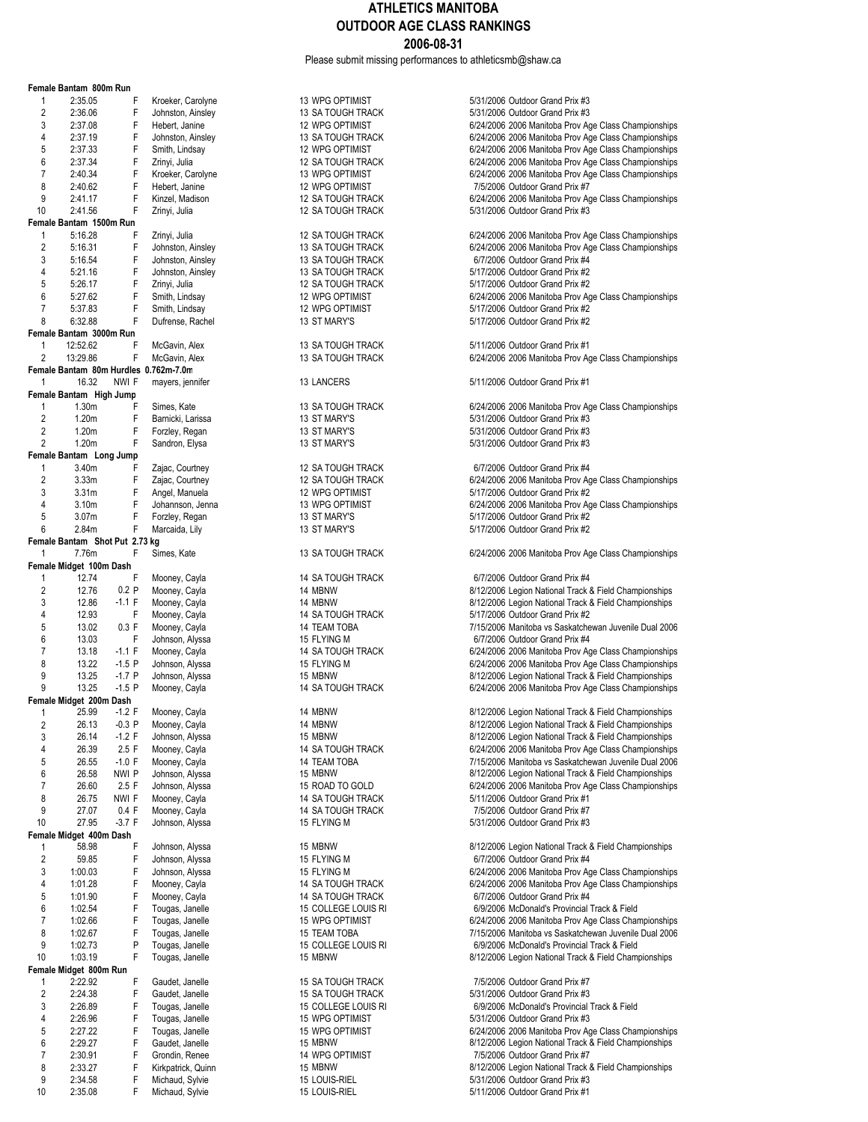Please submit missing performances to athleticsmb@shaw.ca

|                | Female Bantam 800m Run         |          |                                       |                          |                                   |
|----------------|--------------------------------|----------|---------------------------------------|--------------------------|-----------------------------------|
| 1              | 2:35.05                        | F        | Kroeker, Carolyne                     | 13 WPG OPTIMIST          | 5/31/2006 Outdoor Grand Prix #3   |
| $\overline{2}$ | 2:36.06                        | F        | Johnston, Ainsley                     | 13 SA TOUGH TRACK        | 5/31/2006 Outdoor Grand Prix #3   |
|                |                                |          |                                       |                          |                                   |
| 3              | 2:37.08                        | F        | Hebert, Janine                        | 12 WPG OPTIMIST          | 6/24/2006 2006 Manitoba Prov Ag   |
| 4              | 2:37.19                        | F        | Johnston, Ainsley                     | 13 SA TOUGH TRACK        | 6/24/2006 2006 Manitoba Prov Ag   |
| 5              | 2:37.33                        | F        | Smith, Lindsay                        | 12 WPG OPTIMIST          | 6/24/2006 2006 Manitoba Prov Ag   |
| 6              | 2:37.34                        | F        | Zrinyi, Julia                         | <b>12 SA TOUGH TRACK</b> | 6/24/2006 2006 Manitoba Prov Ag   |
| 7              | 2:40.34                        | F        | Kroeker, Carolyne                     | 13 WPG OPTIMIST          | 6/24/2006 2006 Manitoba Prov Ag   |
| 8              | 2:40.62                        | F        | Hebert, Janine                        | 12 WPG OPTIMIST          | 7/5/2006 Outdoor Grand Prix #7    |
| 9              | 2:41.17                        | F        | Kinzel, Madison                       | 12 SA TOUGH TRACK        | 6/24/2006 2006 Manitoba Prov Ag   |
| 10             | 2:41.56                        | F        | Zrinyi, Julia                         | <b>12 SA TOUGH TRACK</b> | 5/31/2006 Outdoor Grand Prix #3   |
|                | Female Bantam 1500m Run        |          |                                       |                          |                                   |
|                |                                |          |                                       |                          |                                   |
| 1              | 5:16.28                        | F        | Zrinyi, Julia                         | 12 SA TOUGH TRACK        | 6/24/2006 2006 Manitoba Prov Ag   |
| $\overline{2}$ | 5:16.31                        | F        | Johnston, Ainsley                     | 13 SA TOUGH TRACK        | 6/24/2006 2006 Manitoba Prov Ag   |
| 3              | 5:16.54                        | F        | Johnston, Ainsley                     | 13 SA TOUGH TRACK        | 6/7/2006 Outdoor Grand Prix #4    |
| 4              | 5:21.16                        | F        | Johnston, Ainsley                     | 13 SA TOUGH TRACK        | 5/17/2006 Outdoor Grand Prix #2   |
| 5              | 5:26.17                        | F        | Zrinyi, Julia                         | 12 SA TOUGH TRACK        | 5/17/2006 Outdoor Grand Prix #2   |
| 6              | 5:27.62                        | F        | Smith, Lindsay                        | 12 WPG OPTIMIST          | 6/24/2006 2006 Manitoba Prov Ag   |
| $\overline{7}$ | 5:37.83                        | F        | Smith, Lindsay                        | 12 WPG OPTIMIST          | 5/17/2006 Outdoor Grand Prix #2   |
| 8              | 6:32.88                        | F        | Dufrense, Rachel                      | 13 ST MARY'S             | 5/17/2006 Outdoor Grand Prix #2   |
|                |                                |          |                                       |                          |                                   |
|                | Female Bantam 3000m Run        |          |                                       |                          |                                   |
| 1              | 12:52.62                       | F        | McGavin, Alex                         | 13 SA TOUGH TRACK        | 5/11/2006 Outdoor Grand Prix #1   |
| 2              | 13:29.86                       | F        | McGavin, Alex                         | 13 SA TOUGH TRACK        | 6/24/2006 2006 Manitoba Prov Ag   |
|                |                                |          | Female Bantam 80m Hurdles 0.762m-7.0m |                          |                                   |
| 1              | 16.32                          | NWI F    | mayers, jennifer                      | 13 LANCERS               | 5/11/2006 Outdoor Grand Prix #1   |
|                | Female Bantam High Jump        |          |                                       |                          |                                   |
| 1              | 1.30m                          | F        | Simes, Kate                           | 13 SA TOUGH TRACK        | 6/24/2006 2006 Manitoba Prov Ag   |
| $\overline{2}$ | 1.20m                          | F        | Barnicki, Larissa                     | 13 ST MARY'S             | 5/31/2006 Outdoor Grand Prix #3   |
| 2              | 1.20m                          | F        | Forzley, Regan                        | 13 ST MARY'S             | 5/31/2006 Outdoor Grand Prix #3   |
|                |                                |          |                                       |                          |                                   |
| $\overline{c}$ | 1.20m                          | F        | Sandron, Elysa                        | 13 ST MARY'S             | 5/31/2006 Outdoor Grand Prix #3   |
|                | Female Bantam Long Jump        |          |                                       |                          |                                   |
| $\mathbf{1}$   | 3.40m                          | F        | Zajac, Courtney                       | 12 SA TOUGH TRACK        | 6/7/2006 Outdoor Grand Prix #4    |
| 2              | 3.33m                          | F        | Zajac, Courtney                       | 12 SA TOUGH TRACK        | 6/24/2006 2006 Manitoba Prov Ag   |
| 3              | 3.31 <sub>m</sub>              | F.       | Angel, Manuela                        | 12 WPG OPTIMIST          | 5/17/2006 Outdoor Grand Prix #2   |
| 4              | 3.10 <sub>m</sub>              | F        | Johannson, Jenna                      | 13 WPG OPTIMIST          | 6/24/2006 2006 Manitoba Prov Ag   |
| 5              | 3.07 <sub>m</sub>              | F        | Forzley, Regan                        | 13 ST MARY'S             | 5/17/2006 Outdoor Grand Prix #2   |
| 6              | 2.84m                          | F        | Marcaida, Lily                        | 13 ST MARY'S             | 5/17/2006 Outdoor Grand Prix #2   |
|                |                                |          |                                       |                          |                                   |
|                | Female Bantam Shot Put 2.73 kg |          |                                       |                          |                                   |
| 1              | 7.76m                          | F.       | Simes, Kate                           | 13 SA TOUGH TRACK        | 6/24/2006 2006 Manitoba Prov Ag   |
|                | Female Midget 100m Dash        |          |                                       |                          |                                   |
| $\mathbf{1}$   | 12.74                          | F        | Mooney, Cayla                         | 14 SA TOUGH TRACK        | 6/7/2006 Outdoor Grand Prix #4    |
| $\overline{c}$ | 12.76                          | 0.2 P    | Mooney, Cayla                         | 14 MBNW                  | 8/12/2006 Legion National Track & |
| 3              | 12.86                          | $-1.1 F$ | Mooney, Cayla                         | 14 MBNW                  | 8/12/2006 Legion National Track & |
| 4              | 12.93                          | F        | Mooney, Cayla                         | 14 SA TOUGH TRACK        | 5/17/2006 Outdoor Grand Prix #2   |
| 5              | 13.02                          | 0.3 F    | Mooney, Cayla                         | 14 TEAM TOBA             | 7/15/2006 Manitoba vs Saskatche   |
| 6              | 13.03                          | F        | Johnson, Alyssa                       | 15 FLYING M              | 6/7/2006 Outdoor Grand Prix #4    |
| 7              | 13.18                          | $-1.1 F$ |                                       | <b>14 SA TOUGH TRACK</b> | 6/24/2006 2006 Manitoba Prov Ag   |
|                |                                |          | Mooney, Cayla                         |                          |                                   |
| 8              | 13.22                          | $-1.5$ P | Johnson, Alyssa                       | 15 FLYING M              | 6/24/2006 2006 Manitoba Prov Ag   |
| 9              | 13.25                          | $-1.7$ P | Johnson, Alyssa                       | 15 MBNW                  | 8/12/2006 Legion National Track & |
| 9              | 13.25                          | $-1.5$ P | Mooney, Cayla                         | 14 SA TOUGH TRACK        | 6/24/2006 2006 Manitoba Prov Ag   |
|                | Female Midget 200m Dash        |          |                                       |                          |                                   |
| 1              | 25.99                          | $-1.2$ F | Mooney, Cayla                         | 14 MBNW                  | 8/12/2006 Legion National Track & |
| 2              | 26.13                          | $-0.3$ P | Mooney, Cayla                         | 14 MBNW                  | 8/12/2006 Legion National Track & |
| 3              | 26.14                          | $-1.2$ F | Johnson, Alyssa                       | 15 MBNW                  | 8/12/2006 Legion National Track & |
| 4              | 26.39                          | 2.5 F    | Mooney, Cayla                         | 14 SA TOUGH TRACK        | 6/24/2006 2006 Manitoba Prov Ag   |
|                |                                |          | Mooney, Cayla                         |                          |                                   |
| 5              | 26.55                          | $-1.0 F$ |                                       | 14 TEAM TOBA             | 7/15/2006 Manitoba vs Saskatche   |
| 6              | 26.58                          | NWI P    | Johnson, Alyssa                       | 15 MBNW                  | 8/12/2006 Legion National Track & |
| 7              | 26.60                          | 2.5 F    | Johnson, Alyssa                       | 15 ROAD TO GOLD          | 6/24/2006 2006 Manitoba Prov Ag   |
| 8              | 26.75                          | NWI F    | Mooney, Cayla                         | <b>14 SA TOUGH TRACK</b> | 5/11/2006 Outdoor Grand Prix #1   |
| 9              | 27.07                          | 0.4 F    | Mooney, Cayla                         | 14 SA TOUGH TRACK        | 7/5/2006 Outdoor Grand Prix #7    |
| 10             | 27.95                          | $-3.7 F$ | Johnson, Alyssa                       | 15 FLYING M              | 5/31/2006 Outdoor Grand Prix #3   |
|                | Female Midget 400m Dash        |          |                                       |                          |                                   |
| 1              | 58.98                          | F        | Johnson, Alyssa                       | 15 MBNW                  | 8/12/2006 Legion National Track & |
| $\overline{c}$ | 59.85                          | F        | Johnson, Alyssa                       | 15 FLYING M              | 6/7/2006 Outdoor Grand Prix #4    |
| 3              | 1:00.03                        | F        | Johnson, Alyssa                       | 15 FLYING M              | 6/24/2006 2006 Manitoba Prov Ag   |
|                |                                |          |                                       |                          |                                   |
| 4              | 1:01.28                        | F        | Mooney, Cayla                         | 14 SA TOUGH TRACK        | 6/24/2006 2006 Manitoba Prov Ag   |
| 5              | 1:01.90                        | F        | Mooney, Cayla                         | 14 SA TOUGH TRACK        | 6/7/2006 Outdoor Grand Prix #4    |
| 6              | 1:02.54                        | F        | Tougas, Janelle                       | 15 COLLEGE LOUIS RI      | 6/9/2006 McDonald's Provincial    |
| $\overline{7}$ | 1:02.66                        | F        | Tougas, Janelle                       | 15 WPG OPTIMIST          | 6/24/2006 2006 Manitoba Prov Ag   |
| 8              | 1:02.67                        | F        | Tougas, Janelle                       | 15 TEAM TOBA             | 7/15/2006 Manitoba vs Saskatche   |
| 9              | 1:02.73                        | Ρ        | Tougas, Janelle                       | 15 COLLEGE LOUIS RI      | 6/9/2006 McDonald's Provincial    |
| 10             | 1:03.19                        | F        | Tougas, Janelle                       | 15 MBNW                  | 8/12/2006 Legion National Track & |
|                | Female Midget 800m Run         |          |                                       |                          |                                   |
| 1              | 2:22.92                        | F        | Gaudet, Janelle                       | <b>15 SA TOUGH TRACK</b> | 7/5/2006 Outdoor Grand Prix #7    |
|                |                                |          |                                       |                          |                                   |
| $\overline{c}$ | 2:24.38                        | F        | Gaudet, Janelle                       | 15 SA TOUGH TRACK        | 5/31/2006 Outdoor Grand Prix #3   |
| 3              | 2:26.89                        | F        | Tougas, Janelle                       | 15 COLLEGE LOUIS RI      | 6/9/2006 McDonald's Provincial    |
| 4              | 2:26.96                        | F        | Tougas, Janelle                       | 15 WPG OPTIMIST          | 5/31/2006 Outdoor Grand Prix #3   |
| 5              | 2:27.22                        | F        | Tougas, Janelle                       | 15 WPG OPTIMIST          | 6/24/2006 2006 Manitoba Prov Ag   |
| 6              | 2:29.27                        | F        | Gaudet, Janelle                       | 15 MBNW                  | 8/12/2006 Legion National Track & |
| 7              | 2:30.91                        | F        | Grondin, Renee                        | 14 WPG OPTIMIST          | 7/5/2006 Outdoor Grand Prix #7    |
| 8              | 2:33.27                        | F        | Kirkpatrick, Quinn                    | 15 MBNW                  | 8/12/2006 Legion National Track & |
|                |                                |          |                                       |                          |                                   |
| 9              | 2:34.58                        | F        | Michaud, Sylvie                       | 15 LOUIS-RIEL            | 5/31/2006 Outdoor Grand Prix #3   |
| 10             | 2:35.08                        | F        | Michaud, Sylvie                       | 15 LOUIS-RIEL            | 5/11/2006 Outdoor Grand Prix #1   |

| olyne | 13 WPG OPTIMIST          | 5/31/2006 Outdoor Grand Prix #3   |
|-------|--------------------------|-----------------------------------|
| าslev | 13 SA TOUGH TRACK        | 5/31/2006 Outdoor Grand Prix #3   |
| ۱e    | 12 WPG OPTIMIST          | 6/24/2006 2006 Manitoba Prov Ag   |
| าsley | <b>13 SA TOUGH TRACK</b> | 6/24/2006 2006 Manitoba Prov Ag   |
|       |                          |                                   |
| ЭV    | 12 WPG OPTIMIST          | 6/24/2006 2006 Manitoba Prov Ag   |
|       | <b>12 SA TOUGH TRACK</b> | 6/24/2006 2006 Manitoba Prov Ag   |
| olyne | 13 WPG OPTIMIST          | 6/24/2006 2006 Manitoba Prov Ag   |
| ۱e    | 12 WPG OPTIMIST          | 7/5/2006 Outdoor Grand Prix #7    |
|       |                          |                                   |
| on;   | <b>12 SA TOUGH TRACK</b> | 6/24/2006 2006 Manitoba Prov Ag   |
|       | <b>12 SA TOUGH TRACK</b> | 5/31/2006 Outdoor Grand Prix #3   |
|       |                          |                                   |
|       | <b>12 SA TOUGH TRACK</b> | 6/24/2006 2006 Manitoba Prov Ag   |
| าsley | 13 SA TOUGH TRACK        | 6/24/2006 2006 Manitoba Prov Ag   |
| าslev | <b>13 SA TOUGH TRACK</b> | 6/7/2006 Outdoor Grand Prix #4    |
| าslev | 13 SA TOUGH TRACK        | 5/17/2006 Outdoor Grand Prix #2   |
|       |                          |                                   |
|       | <b>12 SA TOUGH TRACK</b> | 5/17/2006 Outdoor Grand Prix #2   |
| aу    | 12 WPG OPTIMIST          | 6/24/2006 2006 Manitoba Prov Ag   |
| аy    | 12 WPG OPTIMIST          | 5/17/2006 Outdoor Grand Prix #2   |
| ıchel | 13 ST MARY'S             | 5/17/2006 Outdoor Grand Prix #2   |
|       |                          |                                   |
| X,    | 13 SA TOUGH TRACK        | 5/11/2006 Outdoor Grand Prix #1   |
| X,    | 13 SA TOUGH TRACK        | 6/24/2006 2006 Manitoba Prov Ag   |
|       |                          |                                   |
| ifer  | 13 LANCERS               | 5/11/2006 Outdoor Grand Prix #1   |
|       |                          |                                   |
|       | 13 SA TOUGH TRACK        | 6/24/2006 2006 Manitoba Prov Ag   |
|       | 13 ST MARY'S             | 5/31/2006 Outdoor Grand Prix #3   |
| ssa   |                          |                                   |
| an    | 13 ST MARY'S             | 5/31/2006 Outdoor Grand Prix #3   |
| sa    | 13 ST MARY'S             | 5/31/2006 Outdoor Grand Prix #3   |
|       |                          |                                   |
|       | <b>12 SA TOUGH TRACK</b> | 6/7/2006 Outdoor Grand Prix #4    |
| ۱ey   |                          |                                   |
| ıey   | <b>12 SA TOUGH TRACK</b> | 6/24/2006 2006 Manitoba Prov Ag   |
| эla   | 12 WPG OPTIMIST          | 5/17/2006 Outdoor Grand Prix #2   |
| lenna | 13 WPG OPTIMIST          | 6/24/2006 2006 Manitoba Prov Ag   |
|       |                          |                                   |
| an    | 13 ST MARY'S             | 5/17/2006 Outdoor Grand Prix #2   |
| y     | 13 ST MARY'S             | 5/17/2006 Outdoor Grand Prix #2   |
|       | 13 SA TOUGH TRACK        | 6/24/2006 2006 Manitoba Prov Ag   |
|       |                          |                                   |
| la    | <b>14 SA TOUGH TRACK</b> | 6/7/2006 Outdoor Grand Prix #4    |
| ιa    | 14 MBNW                  | 8/12/2006 Legion National Track & |
|       |                          |                                   |
| la    | 14 MBNW                  | 8/12/2006 Legion National Track & |
| la    | <b>14 SA TOUGH TRACK</b> | 5/17/2006 Outdoor Grand Prix #2   |
| la    | 14 TEAM TOBA             | 7/15/2006 Manitoba vs Saskatche   |
| ssa   | 15 FLYING M              | 6/7/2006 Outdoor Grand Prix #4    |
|       |                          | 6/24/2006 2006 Manitoba Prov Ag   |
| la    | <b>14 SA TOUGH TRACK</b> |                                   |
| ssa   | 15 FLYING M              | 6/24/2006 2006 Manitoba Prov Ag   |
| ssa   | 15 MBNW                  | 8/12/2006 Legion National Track & |
| la    | <b>14 SA TOUGH TRACK</b> | 6/24/2006 2006 Manitoba Prov Ag   |
|       |                          |                                   |
| la    | 14 MBNW                  | 8/12/2006 Legion National Track & |
| 'la   | 14 MBNW                  | 8/12/2006 Legion National Track & |
|       |                          |                                   |
| ssa   | 15 MBNW                  | 8/12/2006 Legion National Track & |
| la    | 14 SA TOUGH TRACK        | 6/24/2006 2006 Manitoba Prov Ag   |
| la    | <b>14 TEAM TOBA</b>      | 7/15/2006 Manitoba vs Saskatche   |
|       | 15 MBNW                  | 8/12/2006 Legion National Track & |
| ssa   |                          |                                   |
| ssa   | 15 ROAD TO GOLD          | 6/24/2006 2006 Manitoba Prov Ag   |
| la    | <b>14 SA TOUGH TRACK</b> | 5/11/2006 Outdoor Grand Prix #1   |
| la    | <b>14 SA TOUGH TRACK</b> | 7/5/2006 Outdoor Grand Prix #7    |
| ssa   | 15 FLYING M              | 5/31/2006 Outdoor Grand Prix #3   |
|       |                          |                                   |
| ssa   | 15 MBNW                  | 8/12/2006 Legion National Track & |
| ssa   | 15 FLYING M              | 6/7/2006 Outdoor Grand Prix #4    |
|       |                          |                                   |
| ssa   | 15 FLYING M              | 6/24/2006 2006 Manitoba Prov Ag   |
| la    | <b>14 SA TOUGH TRACK</b> | 6/24/2006 2006 Manitoba Prov Ag   |
| la    | <b>14 SA TOUGH TRACK</b> | 6/7/2006 Outdoor Grand Prix #4    |
| elle  | 15 COLLEGE LOUIS RI      | 6/9/2006 McDonald's Provincial 1  |
|       |                          |                                   |
| elle  | <b>15 WPG OPTIMIST</b>   | 6/24/2006 2006 Manitoba Prov Ag   |
| elle  | 15 TEAM TOBA             | 7/15/2006 Manitoba vs Saskatche   |
| elle  | 15 COLLEGE LOUIS RI      | 6/9/2006 McDonald's Provincial 1  |
| elle  | 15 MBNW                  | 8/12/2006 Legion National Track & |
|       |                          |                                   |
| elle  | 15 SA TOUGH TRACK        | 7/5/2006 Outdoor Grand Prix #7    |
| ,lle  | <b>15 SA TOUGH TRACK</b> | 5/31/2006 Outdoor Grand Prix #3   |
|       |                          |                                   |
| elle  | 15 COLLEGE LOUIS RI      | 6/9/2006 McDonald's Provincial 1  |
| elle  | <b>15 WPG OPTIMIST</b>   | 5/31/2006 Outdoor Grand Prix #3   |
| elle  | <b>15 WPG OPTIMIST</b>   | 6/24/2006 2006 Manitoba Prov Ag   |
| elle  | 15 MBNW                  | 8/12/2006 Legion National Track & |
|       |                          |                                   |
| iee   | <b>14 WPG OPTIMIST</b>   | 7/5/2006 Outdoor Grand Prix #7    |

3 3 3 3 3 3 3 3 3 3 3 3 3 3 3 4/2006 2006 Manitoba Prov Age Class Championships<br>13 3 3 3 2 3 3 3 4 3 4 3 6/24/2006 2006 Manitoba Prov Age Class Championships 6/24/2006 2006 Manitoba Prov Age Class Championships 5 24:32 F Smith, Lindsay 12 WPG OPTIMIST 6/24/2006 2006 Manitoba Prov Age Class Championships 6/24/2006 2006 Manitoba Prov Age Class Championships lyne 13 WPG OPTIMIST 6/24/2006 2006 Manitoba Prov Age Class Championships 7/5/2006 Outdoor Grand Prix #7 on 12:5A TOUGH TRACK 6/24/2006 2006 Manitoba Prov Age Class Championships  $5/31/2006$  Outdoor Grand Prix #3 12 SA TOUGH TRACK 6/24/2006 2006 Manitoba Prov Age Class Championships<br>6/24/2006 2006 Manitoba Prov Age Class Championships 6/24/2006 2006 Manitoba Prov Age Class Championships 5/17/2006 Outdoor Grand Prix #2 5/17/2006 Outdoor Grand Prix #2 6/24/2006 2006 Manitoba Prov Age Class Championships 5/17/2006 Outdoor Grand Prix #2 5/11/2006 Outdoor Grand Prix #1 6/24/2006 2006 Manitoba Prov Age Class Championships 6/24/2006 2006 Manitoba Prov Age Class Championships ey 12 SA TOUGH TRACK 6/24/2006 2006 Manitoba Prov Age Class Championships enna 13 WPG OPTIMIST 6/24/2006 2006 Manitoba Prov Age Class Championships 5/17/2006 Outdoor Grand Prix #2 6/24/2006 2006 Manitoba Prov Age Class Championships 2 14 MBNW 2012 12006 Legion National Track & Field Championships 13 14 MBNW 14 MBNW 8/12/2006 Legion National Track & Field Championships 5 13.02 F Mooney 14 TEAM TOBA 7/15/2006 Manitoba vs Saskatchewan Juvenile Dual 2006 14 SA TOUGH TRACK 6/24/2006 2006 Manitoba Prov Age Class Championships 8 15 FLYING M 6/24/2006 2006 Manitoba Prov Age Class Championships sa 15 MBNW 15 15 15 15 15 15 15 15 15 PMBNW 8/12/2006 Legion National Track & Field Championships la 14 SA TOUGH TRACK 6/24/2006 2006 Manitoba Prov Age Class Championships 14 14 MBNW 12/2006 Legion National Track & Field Championships 2 26.13 12/2006 Legion National Track & Field Championships sa 26.15 MBNW 15 MBNW 8/12/2006 Legion National Track & Field Championships la 46.39 TOUGH TRACK 6/24/2006 2006 Manitoba Prov Age Class Championships 5 14 TEAM TOBA 67.55 7/15/2006 Manitoba vs Saskatchewan Juvenile Dual 2006 6 3/12/2006 Legion National Track & Field Championships 15 MBNW 8/12/2006 Legion National Track & Field Championships 15 ROAD TO GOLD 6/24/2006 2006 Manitoba Prov Age Class Championships 15 MBNW 68/12/2006 Legion National Track & Field Championships sa 15 FLYING M 6/24/2006 2006 Manitoba Prov Age Class Championships la 14 SA TOUGH TRACK 6/24/2006 2006 Manitoba Prov Age Class Championships 6 1:02.54 F Tougas, Janelle 15 COLLEGE LOUIS RI 6/9/2006 McDonald's Provincial Track & Field 6/24/2006 2006 Manitoba Prov Age Class Championships lle 15:02.687 TEAM TOBA 67.67 F TEAM TOBA 67.67 F TOSA 67.67 F 7/15/2006 Manitoba vs Saskatchewan Juvenile Dual 9 1:02.73 P Tougas, Janelle 15 COLLEGE LOUIS RI 6/9/2006 McDonald's Provincial Track & Field 8/12/2006 Legion National Track & Field Championships 3 2:2006 McDonald's Provincial Track & Field 15 COLLEGE LOUIS RI 6/9/2006 McDonald's Provincial Track & Field<br>15 AMPG OPTIMIST 6-5/31/2006 Outdoor Grand Prix #3 5/31/2006 Outdoor Grand Prix #3 lle 15 WPG OPTIMIST 6/24/2006 2006 Manitoba Prov Age Class Championships<br>lle 15 MBNW 8/12/2006 Legion National Track & Field Championships 8/12/2006 Legion National Track & Field Championships 7 2:30.91 F Grondin, Renee 14 WPG OPTIMIST 7/5/2006 Outdoor Grand Prix #7 uinn 15 MBNW 15 AUST 2006 Legion National Track & Field Championships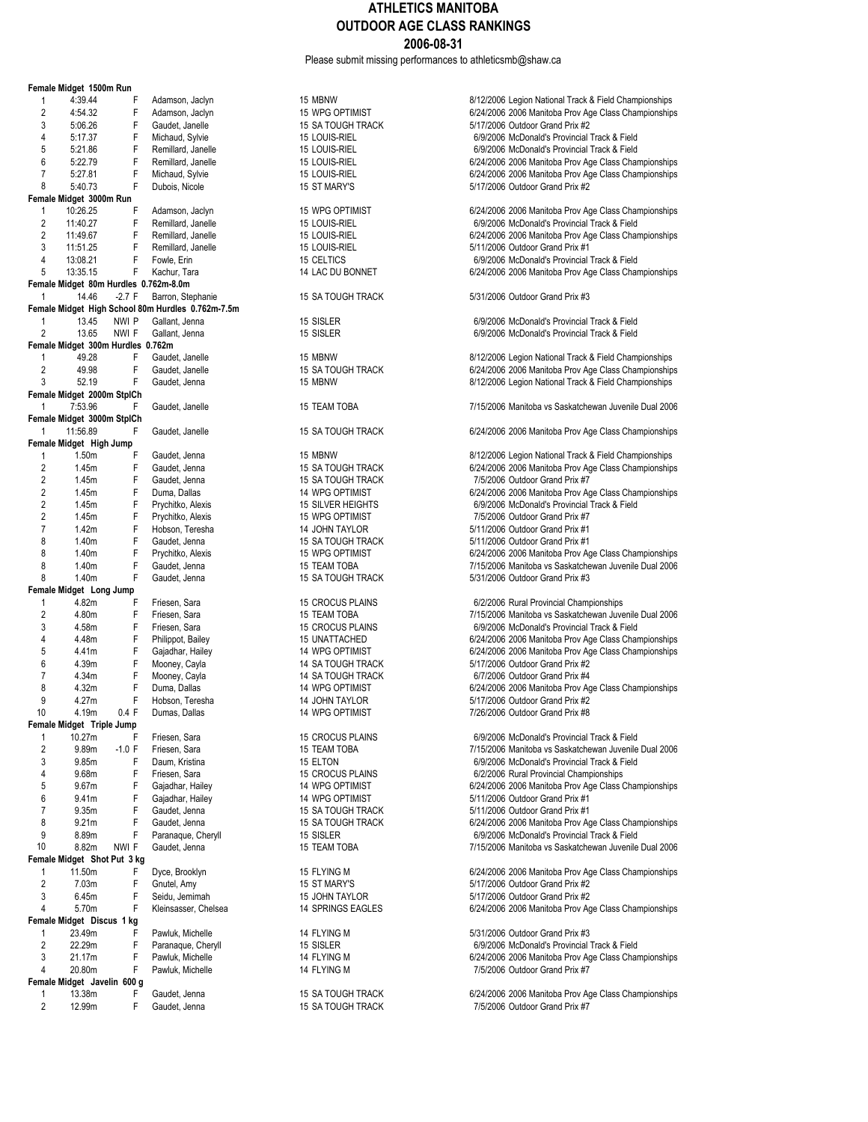Please submit missing performances to athleticsmb@shaw.ca

|                     | Female Midget 1500m Run               |               |                                                                        |                                |                                                                                             |
|---------------------|---------------------------------------|---------------|------------------------------------------------------------------------|--------------------------------|---------------------------------------------------------------------------------------------|
| 1                   | 4:39.44                               | F             | Adamson, Jaclyn                                                        | 15 MBNW                        | 8/12/2006 Legion National Track & Field Cham                                                |
| $\overline{2}$      | 4:54.32                               | F             | Adamson, Jaclyn                                                        | <b>15 WPG OPTIMIST</b>         | 6/24/2006 2006 Manitoba Prov Age Class Cha                                                  |
| 3                   | 5:06.26                               | F             | Gaudet, Janelle                                                        | 15 SA TOUGH TRACK              | 5/17/2006 Outdoor Grand Prix #2                                                             |
| 4                   | 5:17.37                               | F             | Michaud, Sylvie                                                        | 15 LOUIS-RIEL                  | 6/9/2006 McDonald's Provincial Track & Field                                                |
| 5<br>6              | 5:21.86                               | F<br>F        | Remillard, Janelle                                                     | 15 LOUIS-RIEL                  | 6/9/2006 McDonald's Provincial Track & Field                                                |
| $\overline{7}$      | 5:22.79<br>5:27.81                    | F             | Remillard, Janelle<br>Michaud, Sylvie                                  | 15 LOUIS-RIEL<br>15 LOUIS-RIEL | 6/24/2006 2006 Manitoba Prov Age Class Cha<br>6/24/2006 2006 Manitoba Prov Age Class Cha    |
| 8                   | 5:40.73                               | F             | Dubois, Nicole                                                         | 15 ST MARY'S                   | 5/17/2006 Outdoor Grand Prix #2                                                             |
|                     | Female Midget 3000m Run               |               |                                                                        |                                |                                                                                             |
| 1                   | 10:26.25                              | F             | Adamson, Jaclyn                                                        | 15 WPG OPTIMIST                | 6/24/2006 2006 Manitoba Prov Age Class Cha                                                  |
| $\overline{c}$      | 11:40.27                              | F             | Remillard, Janelle                                                     | 15 LOUIS-RIEL                  | 6/9/2006 McDonald's Provincial Track & Field                                                |
| $\overline{c}$      | 11:49.67                              | F             | Remillard, Janelle                                                     | 15 LOUIS-RIEL                  | 6/24/2006 2006 Manitoba Prov Age Class Cha                                                  |
| 3                   | 11:51.25                              | F             | Remillard, Janelle                                                     | 15 LOUIS-RIEL                  | 5/11/2006 Outdoor Grand Prix #1                                                             |
| 4                   | 13:08.21                              | F             | Fowle, Erin                                                            | 15 CELTICS                     | 6/9/2006 McDonald's Provincial Track & Field                                                |
| 5                   | 13:35.15                              | F             | Kachur, Tara                                                           | 14 LAC DU BONNET               | 6/24/2006 2006 Manitoba Prov Age Class Cha                                                  |
|                     | Female Midget 80m Hurdles 0.762m-8.0m |               |                                                                        |                                |                                                                                             |
| 1                   | 14.46                                 | $-2.7 F$      | Barron, Stephanie<br>Female Midget High School 80m Hurdles 0.762m-7.5m | 15 SA TOUGH TRACK              | 5/31/2006 Outdoor Grand Prix #3                                                             |
| 1                   | 13.45                                 | NWI P         | Gallant, Jenna                                                         | 15 SISLER                      | 6/9/2006 McDonald's Provincial Track & Field                                                |
| 2                   | 13.65                                 | NWI F         | Gallant, Jenna                                                         | 15 SISLER                      | 6/9/2006 McDonald's Provincial Track & Field                                                |
|                     | Female Midget 300m Hurdles 0.762m     |               |                                                                        |                                |                                                                                             |
| 1                   | 49.28                                 | F             | Gaudet, Janelle                                                        | 15 MBNW                        | 8/12/2006 Legion National Track & Field Cham                                                |
| 2                   | 49.98                                 | F             | Gaudet, Janelle                                                        | 15 SA TOUGH TRACK              | 6/24/2006 2006 Manitoba Prov Age Class Cha                                                  |
| 3                   | 52.19                                 | F             | Gaudet, Jenna                                                          | 15 MBNW                        | 8/12/2006 Legion National Track & Field Cham                                                |
|                     | Female Midget 2000m StplCh            |               |                                                                        |                                |                                                                                             |
| 1                   | 7:53.96                               | F             | Gaudet, Janelle                                                        | <b>15 TEAM TOBA</b>            | 7/15/2006 Manitoba vs Saskatchewan Juvenile                                                 |
|                     | Female Midget 3000m StplCh            |               |                                                                        |                                |                                                                                             |
| 1                   | 11:56.89                              | F             | Gaudet, Janelle                                                        | 15 SA TOUGH TRACK              | 6/24/2006 2006 Manitoba Prov Age Class Cha                                                  |
| $\mathbf{1}$        | Female Midget High Jump<br>1.50m      | F             | Gaudet, Jenna                                                          | 15 MBNW                        | 8/12/2006 Legion National Track & Field Cham                                                |
| $\overline{2}$      | 1.45m                                 | F             | Gaudet, Jenna                                                          | 15 SA TOUGH TRACK              | 6/24/2006 2006 Manitoba Prov Age Class Cha                                                  |
| $\overline{2}$      | 1.45m                                 | F             | Gaudet, Jenna                                                          | 15 SA TOUGH TRACK              | 7/5/2006 Outdoor Grand Prix #7                                                              |
| $\overline{2}$      | 1.45m                                 | F             | Duma, Dallas                                                           | 14 WPG OPTIMIST                | 6/24/2006 2006 Manitoba Prov Age Class Cha                                                  |
| $\overline{2}$      | 1.45m                                 | F             | Prychitko, Alexis                                                      | 15 SILVER HEIGHTS              | 6/9/2006 McDonald's Provincial Track & Field                                                |
| $\overline{2}$      | 1.45m                                 | F             | Prychitko, Alexis                                                      | 15 WPG OPTIMIST                | 7/5/2006 Outdoor Grand Prix #7                                                              |
| 7                   | 1.42m                                 | F             | Hobson, Teresha                                                        | 14 JOHN TAYLOR                 | 5/11/2006 Outdoor Grand Prix #1                                                             |
| 8                   | 1.40m                                 | F             | Gaudet, Jenna                                                          | 15 SA TOUGH TRACK              | 5/11/2006 Outdoor Grand Prix #1                                                             |
| 8                   | 1.40m                                 | F             | Prychitko, Alexis                                                      | 15 WPG OPTIMIST                | 6/24/2006 2006 Manitoba Prov Age Class Cha                                                  |
| 8                   | 1.40m                                 | F             | Gaudet, Jenna                                                          | 15 TEAM TOBA                   | 7/15/2006 Manitoba vs Saskatchewan Juvenile                                                 |
| 8                   | 1.40m                                 | F             | Gaudet, Jenna                                                          | 15 SA TOUGH TRACK              | 5/31/2006 Outdoor Grand Prix #3                                                             |
| 1                   | Female Midget Long Jump<br>4.82m      | F             | Friesen, Sara                                                          | 15 CROCUS PLAINS               | 6/2/2006 Rural Provincial Championships                                                     |
| $\overline{2}$      | 4.80m                                 | F             | Friesen, Sara                                                          | 15 TEAM TOBA                   | 7/15/2006 Manitoba vs Saskatchewan Juvenile                                                 |
| 3                   | 4.58m                                 | F             | Friesen, Sara                                                          | 15 CROCUS PLAINS               | 6/9/2006 McDonald's Provincial Track & Field                                                |
| 4                   | 4.48m                                 | F             | Philippot, Bailey                                                      | 15 UNATTACHED                  | 6/24/2006 2006 Manitoba Prov Age Class Cha                                                  |
| 5                   | 4.41m                                 | F             | Gajadhar, Hailey                                                       | 14 WPG OPTIMIST                | 6/24/2006 2006 Manitoba Prov Age Class Cha                                                  |
| 6                   | 4.39m                                 | F             | Mooney, Cayla                                                          | 14 SA TOUGH TRACK              | 5/17/2006 Outdoor Grand Prix #2                                                             |
| $\overline{7}$      | 4.34m                                 | F             | Mooney, Cayla                                                          | <b>14 SA TOUGH TRACK</b>       | 6/7/2006 Outdoor Grand Prix #4                                                              |
| 8                   | 4.32m                                 | F             | Duma, Dallas                                                           | 14 WPG OPTIMIST                | 6/24/2006 2006 Manitoba Prov Age Class Cha                                                  |
| 9                   | 4.27m                                 | F             | Hobson, Teresha                                                        | <b>14 JOHN TAYLOR</b>          | 5/17/2006 Outdoor Grand Prix #2                                                             |
| 10                  | 4.19m                                 | 0.4 F         | Dumas, Dallas                                                          | 14 WPG OPTIMIST                | 7/26/2006 Outdoor Grand Prix #8                                                             |
|                     | Female Midget Triple Jump             |               |                                                                        |                                |                                                                                             |
| 1<br>$\overline{c}$ | 10.27m                                | F<br>$-1.0$ F | Friesen, Sara                                                          | 15 CROCUS PLAINS               | 6/9/2006 McDonald's Provincial Track & Field<br>7/15/2006 Manitoba vs Saskatchewan Juvenile |
| 3                   | 9.89m<br>9.85m                        | F             | Friesen, Sara<br>Daum, Kristina                                        | 15 TEAM TOBA<br>15 ELTON       | 6/9/2006 McDonald's Provincial Track & Field                                                |
| 4                   | 9.68m                                 | F             | Friesen, Sara                                                          | <b>15 CROCUS PLAINS</b>        | 6/2/2006 Rural Provincial Championships                                                     |
| 5                   | 9.67m                                 | F             | Gajadhar, Hailey                                                       | 14 WPG OPTIMIST                | 6/24/2006 2006 Manitoba Prov Age Class Cha                                                  |
| 6                   | 9.41m                                 | F             | Gajadhar, Hailey                                                       | 14 WPG OPTIMIST                | 5/11/2006 Outdoor Grand Prix #1                                                             |
| $\overline{7}$      | 9.35m                                 | F             | Gaudet, Jenna                                                          | 15 SA TOUGH TRACK              | 5/11/2006 Outdoor Grand Prix #1                                                             |
| 8                   | 9.21 <sub>m</sub>                     | F             | Gaudet, Jenna                                                          | <b>15 SA TOUGH TRACK</b>       | 6/24/2006 2006 Manitoba Prov Age Class Cha                                                  |
| 9                   | 8.89m                                 | F             | Paranaque, Cheryll                                                     | 15 SISLER                      | 6/9/2006 McDonald's Provincial Track & Field                                                |
| 10                  | 8.82m                                 | NWI F         | Gaudet, Jenna                                                          | 15 TEAM TOBA                   | 7/15/2006 Manitoba vs Saskatchewan Juvenile                                                 |
|                     | Female Midget Shot Put 3 kg           |               |                                                                        |                                |                                                                                             |
| 1                   | 11.50m                                | F             | Dyce, Brooklyn                                                         | 15 FLYING M                    | 6/24/2006 2006 Manitoba Prov Age Class Cha                                                  |
| $\overline{c}$      | 7.03m                                 | F             | Gnutel, Amy                                                            | 15 ST MARY'S                   | 5/17/2006 Outdoor Grand Prix #2                                                             |
| 3<br>$\overline{4}$ | 6.45m<br>5.70m                        | F<br>F        | Seidu, Jemimah                                                         | 15 JOHN TAYLOR                 | 5/17/2006 Outdoor Grand Prix #2                                                             |
|                     | Female Midget Discus 1 kg             |               | Kleinsasser, Chelsea                                                   | 14 SPRINGS EAGLES              | 6/24/2006 2006 Manitoba Prov Age Class Cha                                                  |
| 1                   | 23.49m                                | F             | Pawluk, Michelle                                                       | 14 FLYING M                    | 5/31/2006 Outdoor Grand Prix #3                                                             |
| $\overline{c}$      | 22.29m                                | F             | Paranaque, Cheryll                                                     | 15 SISLER                      | 6/9/2006 McDonald's Provincial Track & Field                                                |
| 3                   | 21.17m                                | F             | Pawluk, Michelle                                                       | 14 FLYING M                    | 6/24/2006 2006 Manitoba Prov Age Class Cha                                                  |
| 4                   | 20.80m                                | F             | Pawluk, Michelle                                                       | 14 FLYING M                    | 7/5/2006 Outdoor Grand Prix #7                                                              |
|                     | Female Midget Javelin 600 g           |               |                                                                        |                                |                                                                                             |
| 1                   | 13.38m                                | F             | Gaudet, Jenna                                                          | 15 SA TOUGH TRACK              | 6/24/2006 2006 Manitoba Prov Age Class Cha                                                  |
| $\overline{2}$      | 12.99m                                | F             | Gaudet, Jenna                                                          | 15 SA TOUGH TRACK              | 7/5/2006 Outdoor Grand Prix #7                                                              |

| 15 MBNW<br>15 WPG OPTIMIST<br>15 SA TOUGH TRACK<br>15 LOUIS-RIEL<br>15 LOUIS-RIEL<br>15 LOUIS-RIEL<br>15 LOUIS-RIEL<br>15 ST MARY'S                                                                                |
|--------------------------------------------------------------------------------------------------------------------------------------------------------------------------------------------------------------------|
| 15 WPG OPTIMIST<br>15 LOUIS-RIEL<br>15 LOUIS-RIEL<br>15 LOUIS-RIEL<br>15 CELTICS<br>14 LAC DU BONNET                                                                                                               |
| 15 SA TOUGH TRACK                                                                                                                                                                                                  |
| 15 SISLER<br>15 SISLER                                                                                                                                                                                             |
| 15 MBNW<br>15 SA TOUGH TRACK<br>15 MBNW                                                                                                                                                                            |
| <b>15 TEAM TOBA</b>                                                                                                                                                                                                |
| 15 SA TOUGH TRACK                                                                                                                                                                                                  |
| 15 MBNW<br>15 SA TOUGH TRACK<br>15 SA TOUGH TRACK<br>14 WPG OPTIMIST<br>15 SILVER HEIGHTS<br>15 WPG OPTIMIST<br>14 JOHN TAYLOR<br>15 SA TOUGH TRACK<br>15 WPG OPTIMIST<br><b>15 TEAM TOBA</b><br>15 SA TOUGH TRACK |
| <b>15 CROCUS PLAINS</b><br>15 TEAM TOBA<br>15 CROCUS PLAINS<br>15 UNATTACHED<br>14 WPG OPTIMIST<br>14 SA TOUGH TRACK<br><b>14 SA TOUGH TRACK</b><br>14 WPG OPTIMIST<br>14 JOHN TAYLOR<br>14 WPG OPTIMIST           |
| 15 CROCUS PLAINS<br>15 TEAM TOBA<br>15 ELTON<br>15 CROCUS PLAINS<br>14 WPG OPTIMIST<br>14 WPG OPTIMIST<br>15 SA TOUGH TRACK<br>15 SA TOUGH TRACK<br>15 SISLER<br>15 TEAM TOBA                                      |
| 15 FLYING M<br>15 ST MARY'S<br>15 JOHN TAYLOR<br>14 SPRINGS EAGLES                                                                                                                                                 |
| 14 FLYING M<br>15 SISLER<br>14 FLYING M<br>14 FLYING M                                                                                                                                                             |
| 15 SA TOUGH TRACK<br>15 SA TOUGH TRACK                                                                                                                                                                             |

|                         | male Midget 1500m Run               |             |                                                 |                                 |                                                                                                       |
|-------------------------|-------------------------------------|-------------|-------------------------------------------------|---------------------------------|-------------------------------------------------------------------------------------------------------|
| 1                       | 4:39.44                             | F           | Adamson, Jaclyn                                 | 15 MBNW                         | 8/12/2006 Legion National Track & Field Championships                                                 |
| 2                       | 4:54.32                             | F           | Adamson, Jaclyn                                 | <b>15 WPG OPTIMIST</b>          | 6/24/2006 2006 Manitoba Prov Age Class Championships                                                  |
| 3                       | 5:06.26                             | F           | Gaudet, Janelle                                 | 15 SA TOUGH TRACK               | 5/17/2006 Outdoor Grand Prix #2                                                                       |
| 4                       | 5:17.37                             | F           | Michaud, Sylvie                                 | 15 LOUIS-RIEL                   | 6/9/2006 McDonald's Provincial Track & Field                                                          |
| 5                       | 5:21.86                             | F           | Remillard, Janelle                              | 15 LOUIS-RIEL                   | 6/9/2006 McDonald's Provincial Track & Field                                                          |
| 6                       | 5:22.79                             | F           | Remillard, Janelle                              | 15 LOUIS-RIEL                   | 6/24/2006 2006 Manitoba Prov Age Class Championships                                                  |
|                         |                                     | F           |                                                 |                                 |                                                                                                       |
| 7                       | 5:27.81                             |             | Michaud, Sylvie                                 | 15 LOUIS-RIEL                   | 6/24/2006 2006 Manitoba Prov Age Class Championships                                                  |
| 8                       | 5:40.73                             | F           | Dubois, Nicole                                  | 15 ST MARY'S                    | 5/17/2006 Outdoor Grand Prix #2                                                                       |
|                         | male Midget 3000m Run               |             |                                                 |                                 |                                                                                                       |
| 1                       | 10:26.25                            | F           | Adamson, Jaclyn                                 | <b>15 WPG OPTIMIST</b>          | 6/24/2006 2006 Manitoba Prov Age Class Championships                                                  |
| $\overline{2}$          | 11:40.27                            | F           | Remillard, Janelle                              | 15 LOUIS-RIEL                   | 6/9/2006 McDonald's Provincial Track & Field                                                          |
| $\overline{c}$          | 11:49.67                            | F           | Remillard, Janelle                              | 15 LOUIS-RIEL                   | 6/24/2006 2006 Manitoba Prov Age Class Championships                                                  |
| 3                       | 11:51.25                            | F           | Remillard, Janelle                              | 15 LOUIS-RIEL                   | 5/11/2006 Outdoor Grand Prix #1                                                                       |
| 4                       | 13:08.21                            | F           | Fowle, Erin                                     | <b>15 CELTICS</b>               | 6/9/2006 McDonald's Provincial Track & Field                                                          |
| 5                       | 13:35.15                            | F           | Kachur, Tara                                    | 14 LAC DU BONNET                | 6/24/2006 2006 Manitoba Prov Age Class Championships                                                  |
|                         | male Midget 80m Hurdles 0.762m-8.0m |             |                                                 |                                 |                                                                                                       |
| 1                       | 14.46                               | $-2.7 F$    | Barron, Stephanie                               | <b>15 SA TOUGH TRACK</b>        | 5/31/2006 Outdoor Grand Prix #3                                                                       |
|                         |                                     |             | male Midget High School 80m Hurdles 0.762m-7.5m |                                 |                                                                                                       |
| 1                       | 13.45                               | NWI P       | Gallant, Jenna                                  | 15 SISLER                       | 6/9/2006 McDonald's Provincial Track & Field                                                          |
| $\overline{2}$          | 13.65                               | NWI F       | Gallant, Jenna                                  | 15 SISLER                       | 6/9/2006 McDonald's Provincial Track & Field                                                          |
|                         | male Midget 300m Hurdles 0.762m     |             |                                                 |                                 |                                                                                                       |
| 1                       | 49.28                               | F           | Gaudet, Janelle                                 | 15 MBNW                         |                                                                                                       |
|                         |                                     |             |                                                 |                                 | 8/12/2006 Legion National Track & Field Championships                                                 |
| 2                       | 49.98                               | F           | Gaudet, Janelle                                 | <b>15 SA TOUGH TRACK</b>        | 6/24/2006 2006 Manitoba Prov Age Class Championships                                                  |
| 3                       | 52.19                               | F           | Gaudet, Jenna                                   | 15 MBNW                         | 8/12/2006 Legion National Track & Field Championships                                                 |
|                         | male Midget 2000m StplCh            |             |                                                 |                                 |                                                                                                       |
| 1                       | 7:53.96                             | F           | Gaudet, Janelle                                 | 15 TEAM TOBA                    | 7/15/2006 Manitoba vs Saskatchewan Juvenile Dual 2006                                                 |
|                         | male Midget 3000m StplCh            |             |                                                 |                                 |                                                                                                       |
| 1                       | 11:56.89                            | F           | Gaudet, Janelle                                 | <b>15 SA TOUGH TRACK</b>        | 6/24/2006 2006 Manitoba Prov Age Class Championships                                                  |
|                         | male Midget High Jump               |             |                                                 |                                 |                                                                                                       |
| 1                       | 1.50m                               | F           | Gaudet, Jenna                                   | 15 MBNW                         | 8/12/2006 Legion National Track & Field Championships                                                 |
| $\overline{\mathbf{c}}$ | 1.45m                               | F           | Gaudet, Jenna                                   | <b>15 SA TOUGH TRACK</b>        | 6/24/2006 2006 Manitoba Prov Age Class Championships                                                  |
| 2                       | 1.45m                               | F           | Gaudet, Jenna                                   | <b>15 SA TOUGH TRACK</b>        | 7/5/2006 Outdoor Grand Prix #7                                                                        |
| $\overline{c}$          | 1.45m                               | F           | Duma, Dallas                                    | 14 WPG OPTIMIST                 | 6/24/2006 2006 Manitoba Prov Age Class Championships                                                  |
| $\overline{\mathbf{c}}$ | 1.45m                               | F           | Prychitko, Alexis                               | 15 SILVER HEIGHTS               | 6/9/2006 McDonald's Provincial Track & Field                                                          |
| $\overline{\mathbf{c}}$ | 1.45m                               | F           | Prychitko, Alexis                               | 15 WPG OPTIMIST                 | 7/5/2006 Outdoor Grand Prix #7                                                                        |
| 7                       | 1.42m                               | F           |                                                 |                                 |                                                                                                       |
|                         |                                     |             | Hobson, Teresha                                 | 14 JOHN TAYLOR                  | 5/11/2006 Outdoor Grand Prix #1                                                                       |
| 8                       | 1.40m                               | F           | Gaudet, Jenna                                   | 15 SA TOUGH TRACK               | 5/11/2006 Outdoor Grand Prix #1                                                                       |
| 8                       | 1.40m                               | F           | Prychitko, Alexis                               | <b>15 WPG OPTIMIST</b>          | 6/24/2006 2006 Manitoba Prov Age Class Championships                                                  |
| 8                       | 1.40m                               | F           | Gaudet, Jenna                                   | 15 TEAM TOBA                    | 7/15/2006 Manitoba vs Saskatchewan Juvenile Dual 2006                                                 |
| 8                       | 1.40m                               | F           | Gaudet, Jenna                                   | <b>15 SA TOUGH TRACK</b>        | 5/31/2006 Outdoor Grand Prix #3                                                                       |
|                         | male Midget Long Jump               |             |                                                 |                                 |                                                                                                       |
| 1                       | 4.82m                               | F           | Friesen, Sara                                   | 15 CROCUS PLAINS                | 6/2/2006 Rural Provincial Championships                                                               |
| 2                       | 4.80m                               | F           | Friesen, Sara                                   | 15 TEAM TOBA                    | 7/15/2006 Manitoba vs Saskatchewan Juvenile Dual 2006                                                 |
| 3                       | 4.58m                               | F           | Friesen, Sara                                   | 15 CROCUS PLAINS                | 6/9/2006 McDonald's Provincial Track & Field                                                          |
| 4                       | 4.48m                               | F           | Philippot, Bailey                               | <b>15 UNATTACHED</b>            | 6/24/2006 2006 Manitoba Prov Age Class Championships                                                  |
| 5                       | 4.41m                               | F           | Gajadhar, Hailey                                | <b>14 WPG OPTIMIST</b>          | 6/24/2006 2006 Manitoba Prov Age Class Championships                                                  |
| 6                       | 4.39m                               | F           | Mooney, Cayla                                   | 14 SA TOUGH TRACK               | 5/17/2006 Outdoor Grand Prix #2                                                                       |
| 7                       | 4.34m                               | F           | Mooney, Cayla                                   | 14 SA TOUGH TRACK               | 6/7/2006 Outdoor Grand Prix #4                                                                        |
| 8                       |                                     | $\mathsf F$ |                                                 |                                 |                                                                                                       |
|                         | 4.32m                               |             | Duma, Dallas                                    | <b>14 WPG OPTIMIST</b>          | 6/24/2006 2006 Manitoba Prov Age Class Championships                                                  |
| 9                       | 4.27m                               | F           | Hobson, Teresha                                 | <b>14 JOHN TAYLOR</b>           | 5/17/2006 Outdoor Grand Prix #2                                                                       |
| 10                      | 4.19m                               | 0.4 F       | Dumas, Dallas                                   | 14 WPG OPTIMIST                 | 7/26/2006 Outdoor Grand Prix #8                                                                       |
|                         | male Midget Triple Jump             |             |                                                 |                                 |                                                                                                       |
| 1                       | 10.27m                              | F           | Friesen, Sara                                   | 15 CROCUS PLAINS                | 6/9/2006 McDonald's Provincial Track & Field                                                          |
| 2                       | 9.89m                               | $-1.0 F$    | Friesen, Sara                                   | 15 TEAM TOBA                    | 7/15/2006 Manitoba vs Saskatchewan Juvenile Dual 2006                                                 |
| 3                       | 9.85m                               | F           | Daum, Kristina                                  | 15 ELTON                        | 6/9/2006 McDonald's Provincial Track & Field                                                          |
| 4                       | 9.68m                               | F           | Friesen, Sara                                   | 15 CROCUS PLAINS                | 6/2/2006 Rural Provincial Championships                                                               |
| 5                       | 9.67m                               | F           | Gajadhar, Hailey                                | <b>14 WPG OPTIMIST</b>          | 6/24/2006 2006 Manitoba Prov Age Class Championships                                                  |
| 6                       | 9.41m                               | F           | Gajadhar, Hailey                                | 14 WPG OPTIMIST                 | 5/11/2006 Outdoor Grand Prix #1                                                                       |
| 7                       | 9.35m                               | F           | Gaudet, Jenna                                   | 15 SA TOUGH TRACK               | 5/11/2006 Outdoor Grand Prix #1                                                                       |
| 8                       | 9.21 <sub>m</sub>                   | F           | Gaudet, Jenna                                   | <b>15 SA TOUGH TRACK</b>        | 6/24/2006 2006 Manitoba Prov Age Class Championships                                                  |
| 9                       |                                     | F           |                                                 |                                 |                                                                                                       |
| 10                      | 8.89m<br>8.82m                      | NWI F       | Paranaque, Cheryll<br>Gaudet, Jenna             | 15 SISLER<br>15 TEAM TOBA       | 6/9/2006 McDonald's Provincial Track & Field<br>7/15/2006 Manitoba vs Saskatchewan Juvenile Dual 2006 |
|                         |                                     |             |                                                 |                                 |                                                                                                       |
|                         | male Midget Shot Put 3 kg           |             |                                                 |                                 |                                                                                                       |
| 1                       | 11.50m                              | F           | Dyce, Brooklyn                                  | 15 FLYING M                     | 6/24/2006 2006 Manitoba Prov Age Class Championships                                                  |
| $\overline{\mathbf{c}}$ | 7.03m                               | F           | Gnutel, Amy                                     | 15 ST MARY'S                    | 5/17/2006 Outdoor Grand Prix #2                                                                       |
| 3                       | 6.45m                               | F           | Seidu, Jemimah                                  | 15 JOHN TAYLOR                  | 5/17/2006 Outdoor Grand Prix #2                                                                       |
| 4                       | 5.70m                               | F           | Kleinsasser, Chelsea                            | 14 SPRINGS EAGLES               | 6/24/2006 2006 Manitoba Prov Age Class Championships                                                  |
|                         | male Midget Discus 1 kg             |             |                                                 |                                 |                                                                                                       |
| 1                       | 23.49m                              | F           | Pawluk, Michelle                                | 14 FLYING M                     | 5/31/2006 Outdoor Grand Prix #3                                                                       |
| 2                       | 22.29m                              | F           | Paranaque, Cheryll                              | 15 SISLER                       | 6/9/2006 McDonald's Provincial Track & Field                                                          |
| 3                       | 21.17m                              | F           | Pawluk, Michelle                                | 14 FLYING M                     | 6/24/2006 2006 Manitoba Prov Age Class Championships                                                  |
| 4                       | 20.80m                              | F           | Pawluk, Michelle                                | 14 FLYING M                     | 7/5/2006 Outdoor Grand Prix #7                                                                        |
|                         | male Midget Javelin 600 g           |             |                                                 |                                 |                                                                                                       |
|                         | 12.20                               |             |                                                 | <b><i>AE OA TOUOU TOAOK</i></b> | $C/2$ $1000C$ $200C$ $M$ gaitaba Deau As                                                              |

13.38m F Gaudet, Jenna 15 SA TOUGH TRACK 6/24/2006 2006 Manitoba Prov Age Class Championships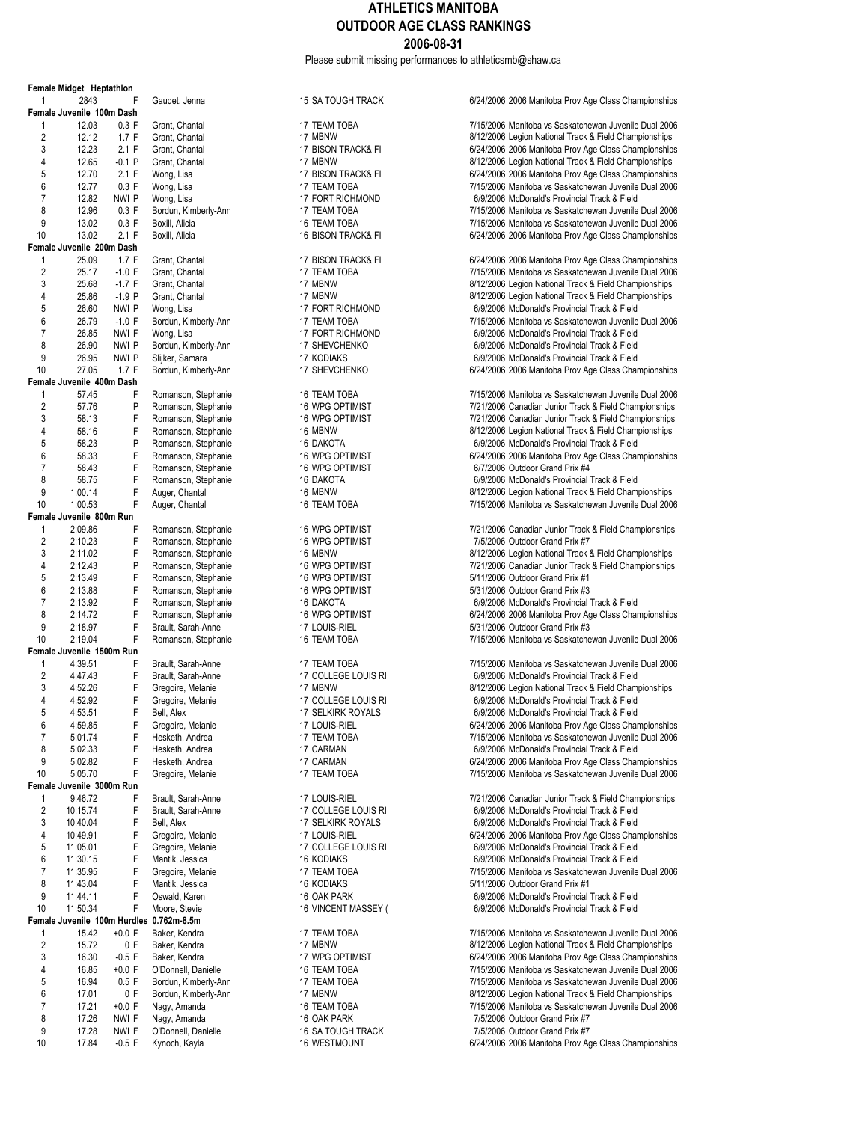Please submit missing performances to athleticsmb@shaw.ca

|                | Female Midget Heptathion     |               |                      |
|----------------|------------------------------|---------------|----------------------|
| 1              | 2843                         | F             | Gaudet, Jenna        |
|                | Female Juvenile 100m Dash    |               |                      |
| 1              | 12.03                        | 0.3 F         | Grant, Chantal       |
| 2              | 12.12                        | 1.7 F         | Grant, Chantal       |
| 3              | 12.23                        | 2.1 F         | Grant, Chantal       |
| 4              | 12.65                        | -0.1 P        | Grant, Chantal       |
| 5              | 12.70                        | 2.1 F         | Wong, Lisa           |
| 6              | 12.77                        | 0.3 F         | Wong, Lisa           |
| 7              | 12.82                        | nwi p         | Wong, Lisa           |
| 8              | 12.96                        | 0.3 F         | Bordun, Kimberly-Ann |
| 9              | 13.02                        | 0.3 F         | Boxill, Alicia       |
| 10             | 13.02                        | 2.1 F         | Boxill, Alicia       |
|                | Female Juvenile 200m Dash    |               |                      |
| 1              | 25.09                        | 1.7 F         | Grant, Chantal       |
| $\overline{2}$ | 25.17                        | $-1.0$ F      | Grant, Chantal       |
| 3              | 25.68                        | -1.7 F        | Grant, Chantal       |
| 4              | 25.86                        | $-1.9P$       | Grant, Chantal       |
| 5              | 26.60                        | nwi p         |                      |
|                |                              |               | Wong, Lisa           |
| 6              | 26.79                        | $-1.0 F$      | Bordun, Kimberly-Ann |
| 7              | 26.85                        | nwi f         | Wong, Lisa           |
| 8              | 26.90                        | NWI P         | Bordun, Kimberly-Ann |
| 9              | 26.95                        | nwi p         | Slijker, Samara      |
| 10             | 27.05                        | 1.7 F         | Bordun, Kimberly-Ann |
|                | Female Juvenile 400m Dash    |               |                      |
| 1              | 57.45                        | F             | Romanson, Stephanie  |
| $\overline{2}$ | 57.76                        | P             | Romanson, Stephanie  |
| 3              | 58.13                        | F             | Romanson, Stephanie  |
| 4              | 58.16                        | F             | Romanson, Stephanie  |
| 5              | 58.23                        | P             | Romanson, Stephanie  |
| 6              | 58.33                        | F             | Romanson, Stephanie  |
| 7              | 58.43                        | F             | Romanson, Stephanie  |
| 8              | 58.75                        | F             | Romanson, Stephanie  |
| 9              | 1:00.14                      | F             | Auger, Chantal       |
| 10             | 1:00.53                      | F             | Auger, Chantal       |
|                | Female Juvenile 800m Run     |               |                      |
| 1              | 2:09.86                      | F             | Romanson, Stephanie  |
| 2              | 2:10.23                      | F             |                      |
| 3              | 2:11.02                      | F             | Romanson, Stephanie  |
|                |                              |               | Romanson, Stephanie  |
| 4              | 2:12.43                      | P             | Romanson, Stephanie  |
| 5              | 2:13.49                      | F             | Romanson, Stephanie  |
| 6              | 2:13.88                      | F             | Romanson, Stephanie  |
| 7              | 2:13.92                      | F             | Romanson, Stephanie  |
| 8              | 2:14.72                      | F             | Romanson, Stephanie  |
| 9              | 2:18.97                      | F             | Brault, Sarah-Anne   |
| 10             | 2:19.04                      | F             | Romanson, Stephanie  |
|                | Female Juvenile 1500m Run    |               |                      |
| 1              | 4:39.51                      | F             | Brault, Sarah-Anne   |
| $\overline{c}$ | 4:47.43                      | F             | Brault, Sarah-Anne   |
| 3              | 4:52.26                      | F             | Gregoire, Melanie    |
| 4              | 4:52.92                      | F             | Gregoire, Melanie    |
| 5              | 4:53.51                      | F             | Bell, Alex           |
| 6              | 4:59.85                      | ۲             | Gregoire, Melanie    |
| 7              | 5:01.74                      | F             | Hesketh, Andrea      |
| 8              | 5:02.33                      | F             | Hesketh, Andrea      |
| 9              | 5:02.82                      | F             | Hesketh, Andrea      |
| 10             | 5:05.70                      | F             | Gregoire, Melanie    |
|                | Female Juvenile 3000m Run    |               |                      |
| 1              |                              | F             |                      |
|                | 9:46.72                      |               | Brault, Sarah-Anne   |
| 2              | 10:15.74                     | F             | Brault, Sarah-Anne   |
| 3              | 10:40.04                     | F             | Bell, Alex           |
| 4              | 10:49.91                     | F             | Gregoire, Melanie    |
| 5              | 11:05.01                     | F             | Gregoire, Melanie    |
| 6              | 11:30.15                     | F             | Mantik, Jessica      |
| 7              | 11:35.95                     | F             | Gregoire, Melanie    |
| 8              | 11:43.04                     | F             | Mantik, Jessica      |
| 9              | 11:44.11                     | F             | Oswald, Karen        |
| 10             | 11:50.34                     | F             | Moore, Stevie        |
|                | Female Juvenile 100m Hurdles |               | $0.762m - 8.5m$      |
| 1              | 15.42                        | $+0.0 F$      | Baker, Kendra        |
| 2              | 15.72                        | 0 F           | Baker, Kendra        |
| 3              | 16.30                        | $-0.5$ F      | Baker, Kendra        |
| 4              | 16.85                        | +0.0 F        | O'Donnell, Danielle  |
| 5              | 16.94                        | 0.5 F         | Bordun, Kimberly-Ann |
| 6              | 17.01                        | 0 F           | Bordun, Kimberly-Ann |
| 7              | 17.21                        | $+0.0 F$      | Nagy, Amanda         |
| 8              | 17.26                        | nwi f         | Nagy, Amanda         |
| 9              | 17.28                        | NWI F         | O'Donnell, Danielle  |
| 10             | 17 84                        | $\bigcap$ 5 F | Kynoch Kayla         |

Female Midget Heptathlon

| <b>15 SA TOUGH TRACK</b>            | 6/24/2006 2006 Manitoba Prov Ag                                    |
|-------------------------------------|--------------------------------------------------------------------|
| 17 TEAM TOBA                        | 7/15/2006 Manitoba vs Saskatche                                    |
| 17 MBNW                             | 8/12/2006 Legion National Track                                    |
| 17 BISON TRACK& FI                  | 6/24/2006 2006 Manitoba Prov Ag                                    |
| 17 MBNW                             | 8/12/2006 Legion National Track                                    |
| 17 BISON TRACK& FI                  | 6/24/2006 2006 Manitoba Prov Ag                                    |
| 17 TEAM TOBA                        | 7/15/2006 Manitoba vs Saskatche                                    |
| 17 FORT RICHMOND                    | 6/9/2006 McDonald's Provincial                                     |
| 17 TEAM TOBA                        | 7/15/2006 Manitoba vs Saskatche                                    |
| 16 TEAM TOBA                        | 7/15/2006 Manitoba vs Saskatche                                    |
| 16 BISON TRACK& FI                  | 6/24/2006 2006 Manitoba Prov Ag                                    |
| 17 BISON TRACK& FI                  | 6/24/2006 2006 Manitoba Prov Ag                                    |
| 17 TEAM TOBA                        | 7/15/2006 Manitoba vs Saskatche                                    |
| 17 MBNW                             | 8/12/2006 Legion National Track                                    |
| 17 MBNW                             | 8/12/2006 Legion National Track                                    |
| 17 FORT RICHMOND                    | 6/9/2006 McDonald's Provincial                                     |
| 17 TEAM TOBA                        | 7/15/2006 Manitoba vs Saskatche                                    |
| 17 FORT RICHMOND                    | 6/9/2006 McDonald's Provincial                                     |
| 17 SHEVCHENKO                       | 6/9/2006 McDonald's Provincial                                     |
| 17 KODIAKS                          | 6/9/2006 McDonald's Provincial                                     |
| 17 SHEVCHENKO                       | 6/24/2006 2006 Manitoba Prov Ag                                    |
| <b>16 TEAM TOBA</b>                 | 7/15/2006 Manitoba vs Saskatche                                    |
| <b>16 WPG OPTIMIST</b>              | 7/21/2006 Canadian Junior Track                                    |
| 16 WPG OPTIMIST                     | 7/21/2006 Canadian Junior Track                                    |
| 16 MBNW                             | 8/12/2006 Legion National Track                                    |
| <b>16 DAKOTA</b>                    | 6/9/2006 McDonald's Provincial                                     |
| 16 WPG OPTIMIST                     | 6/24/2006 2006 Manitoba Prov Ao                                    |
| 16 WPG OPTIMIST                     | 6/7/2006 Outdoor Grand Prix #4                                     |
| 16 DAKOTA                           | 6/9/2006 McDonald's Provincial                                     |
| 16 MBNW<br>16 TEAM TOBA             | 8/12/2006 Legion National Track<br>7/15/2006 Manitoba vs Saskatche |
|                                     |                                                                    |
| 16 WPG OPTIMIST                     | 7/21/2006 Canadian Junior Track                                    |
| <b>16 WPG OPTIMIST</b>              | 7/5/2006 Outdoor Grand Prix #7                                     |
| 16 MBNW                             | 8/12/2006 Legion National Track                                    |
| 16 WPG OPTIMIST                     | 7/21/2006 Canadian Junior Track                                    |
| 16 WPG OPTIMIST                     | 5/11/2006 Outdoor Grand Prix #1                                    |
| 16 WPG OPTIMIST                     | 5/31/2006 Outdoor Grand Prix #3                                    |
| 16 DAKOTA<br><b>16 WPG OPTIMIST</b> | 6/9/2006 McDonald's Provincial                                     |
| 17 LOUIS-RIEL                       | 6/24/2006 2006 Manitoba Prov Ag<br>5/31/2006 Outdoor Grand Prix #3 |
| 16 TEAM TOBA                        | 7/15/2006 Manitoba vs Saskatche                                    |
| 17 TEAM TOBA                        | 7/15/2006 Manitoba vs Saskatche                                    |
| 17 COLLEGE LOUIS RI                 | 6/9/2006 McDonald's Provincial                                     |
| 17 MBNW                             | 8/12/2006 Legion National Track                                    |
| 17 COLLEGE LOUIS RI                 | 6/9/2006 McDonald's Provincial                                     |
| 17 SELKIRK ROYALS                   | 6/9/2006 McDonald's Provincial                                     |
| 17 LOUIS-RIEL                       | 6/24/2006 2006 Manitoba Prov Ao                                    |
| 17 TEAM TOBA                        | 7/15/2006 Manitoba vs Saskatche                                    |
| 17 CARMAN                           | 6/9/2006 McDonald's Provincial                                     |
| 17 CARMAN                           | 6/24/2006 2006 Manitoba Prov Ag                                    |
| 17 TEAM TOBA                        | 7/15/2006 Manitoba vs Saskatche                                    |
| 17 LOUIS-RIEL                       | 7/21/2006 Canadian Junior Track                                    |
| 17 COLLEGE LOUIS RI                 | 6/9/2006 McDonald's Provincial                                     |
| <b>17 SELKIRK ROYALS</b>            | 6/9/2006 McDonald's Provincial                                     |
| 17 LOUIS-RIEL                       | 6/24/2006 2006 Manitoba Prov Ag                                    |
| 17 COLLEGE LOUIS RI                 | 6/9/2006 McDonald's Provincial                                     |
| <b>16 KODIAKS</b>                   | 6/9/2006 McDonald's Provincial                                     |
| 17 TEAM TOBA                        | 7/15/2006 Manitoba vs Saskatche                                    |
| <b>16 KODIAKS</b>                   | 5/11/2006 Outdoor Grand Prix #1                                    |
| 16 OAK PARK                         | 6/9/2006 McDonald's Provincial                                     |
| 16 VINCENT MASSEY (                 | 6/9/2006 McDonald's Provincial                                     |
| 17 TEAM TOBA                        | 7/15/2006 Manitoba vs Saskatche                                    |
| 17 MBNW                             | 8/12/2006 Legion National Track                                    |
| 17 WPG OPTIMIST                     | 6/24/2006 2006 Manitoba Prov Ag                                    |
| 16 TEAM TOBA                        | 7/15/2006 Manitoba vs Saskatche                                    |
| 17 TEAM TOBA                        | 7/15/2006 Manitoba vs Saskatche                                    |
| 17 MBNW                             | 8/12/2006 Legion National Track                                    |
| 16 TEAM TOBA                        | 7/15/2006 Manitoba vs Saskatche                                    |
| 16 OAK PARK                         | 7/5/2006 Outdoor Grand Prix #7                                     |
| 16 SA TOUGH TRACK                   | 7/5/2006 Outdoor Grand Prix #7                                     |
| <b>16 WESTMOUNT</b>                 | 6/24/2006 2006 Manitoba Prov Ao                                    |
|                                     |                                                                    |

6/24/2006 2006 Manitoba Prov Age Class Championships 1 12.03 0.3 F Grant, Chantal 17 TEAM TOBA 7/15/2006 Manitoba vs Saskatchewan Juvenile Dual 2006 8/12/2006 Legion National Track & Field Championships 6/24/2006 2006 Manitoba Prov Age Class Championships 8/12/2006 Legion National Track & Field Championships 5.122006 2006 Manitoba Prov Age Class Championships 7/15/2006 Manitoba vs Saskatchewan Juvenile Dual 2006 6/9/2006 McDonald's Provincial Track & Field 7/15/2006 Manitoba vs Saskatchewan Juvenile Dual 2006 7/15/2006 Manitoba vs Saskatchewan Juvenile Dual 2006 6/24/2006 2006 Manitoba Prov Age Class Championships 6/24/2006 2006 Manitoba Prov Age Class Championships 7/15/2006 Manitoba vs Saskatchewan Juvenile Dual 2006 8/12/2006 Legion National Track & Field Championships 8/12/2006 Legion National Track & Field Championships 6/9/2006 McDonald's Provincial Track & Field 7/15/2006 Manitoba vs Saskatchewan Juvenile Dual 2006 6/9/2006 McDonald's Provincial Track & Field 6/9/2006 McDonald's Provincial Track & Field 6/9/2006 McDonald's Provincial Track & Field 6/24/2006 2006 Manitoba Prov Age Class Championships 7/15/2006 Manitoba vs Saskatchewan Juvenile Dual 2006 7/21/2006 Canadian Junior Track & Field Championships 7/21/2006 Canadian Junior Track & Field Championships 8/12/2006 Legion National Track & Field Championships 6/9/2006 McDonald's Provincial Track & Field 6/24/2006 2006 Manitoba Prov Age Class Championships 6/7/2006 Outdoor Grand Prix #4 6/9/2006 McDonald's Provincial Track & Field 8/12/2006 Legion National Track & Field Championships 7/15/2006 Manitoba vs Saskatchewan Juvenile Dual 2006 7/21/2006 Canadian Junior Track & Field Championships 7/5/2006 Outdoor Grand Prix #7 8/12/2006 Legion National Track & Field Championships 7/21/2006 Canadian Junior Track & Field Championships 5/11/2006 Outdoor Grand Prix #1 5/31/2006 Outdoor Grand Prix #3 6/9/2006 McDonald's Provincial Track & Field 6/24/2006 2006 Manitoba Prov Age Class Championships 5/31/2006 Outdoor Grand Prix #3 7/15/2006 Manitoba vs Saskatchewan Juvenile Dual 2006 7/15/2006 Manitoba vs Saskatchewan Juvenile Dual 2006 6/9/2006 McDonald's Provincial Track & Field 8/12/2006 Legion National Track & Field Championships 6/9/2006 McDonald's Provincial Track & Field 6/9/2006 McDonald's Provincial Track & Field 6/24/2006 2006 Manitoba Prov Age Class Championships 7/15/2006 Manitoba vs Saskatchewan Juvenile Dual 2006 6/9/2006 McDonald's Provincial Track & Field 6/24/2006 2006 Manitoba Prov Age Class Championships 7/15/2006 Manitoba vs Saskatchewan Juvenile Dual 2006 7/21/2006 Canadian Junior Track & Field Championships 6/9/2006 McDonald's Provincial Track & Field 6/9/2006 McDonald's Provincial Track & Field 6/24/2006 2006 Manitoba Prov Age Class Championships 6/9/2006 McDonald's Provincial Track & Field 6/9/2006 McDonald's Provincial Track & Field 7/15/2006 Manitoba vs Saskatchewan Juvenile Dual 2006 5/11/2006 Outdoor Grand Prix #1 6/9/2006 McDonald's Provincial Track & Field 6/9/2006 McDonald's Provincial Track & Field 7/15/2006 Manitoba vs Saskatchewan Juvenile Dual 2006 8/12/2006 Legion National Track & Field Championships 6/24/2006 2006 Manitoba Prov Age Class Championships 7/15/2006 Manitoba vs Saskatchewan Juvenile Dual 2006 7/15/2006 Manitoba vs Saskatchewan Juvenile Dual 2006 8/12/2006 Legion National Track & Field Championships 7/15/2006 Manitoba vs Saskatchewan Juvenile Dual 2006 7/5/2006 Outdoor Grand Prix #7

10 17.84 -0.5 F Kynoch, Kayla 16 WESTMOUNT 6/24/2006 2006 Manitoba Prov Age Class Championships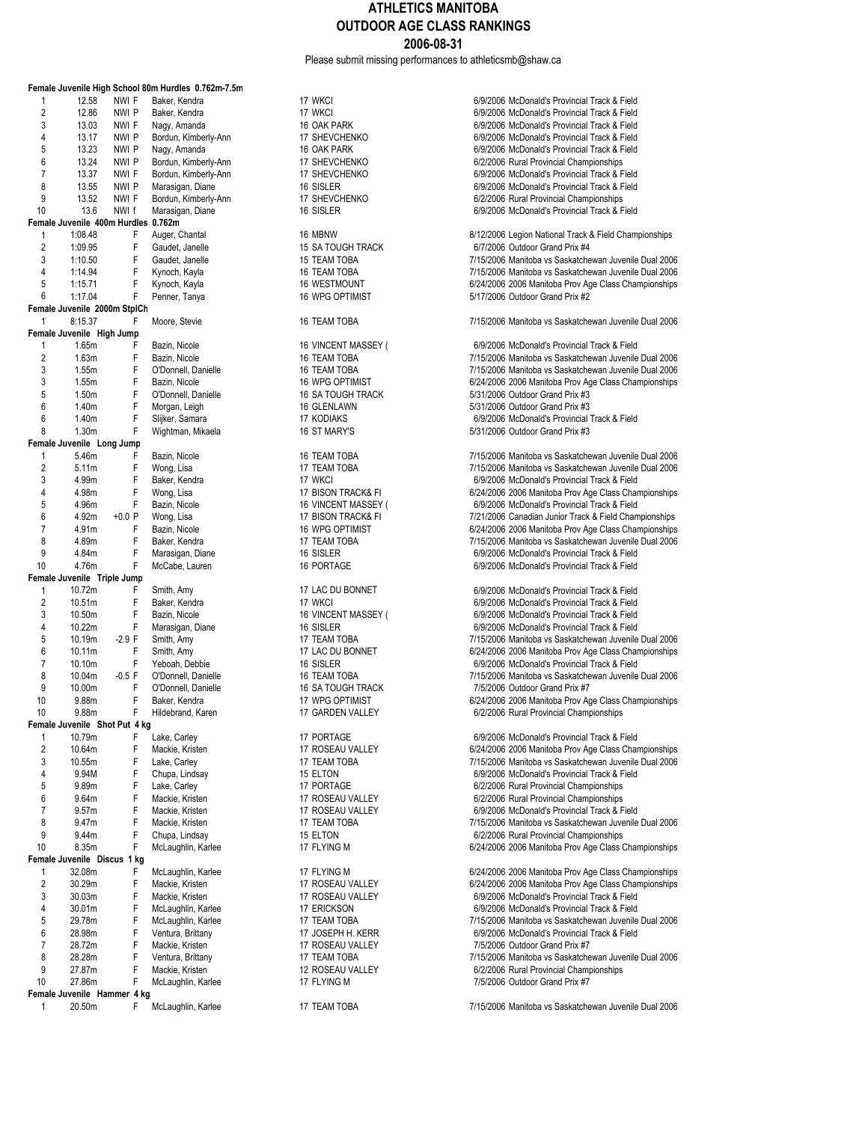Please submit missing performances to athleticsmb@shaw.ca

|                     |                                         |                | Female Juvenile High School 80m Hurdles 0.762m-7.5m |
|---------------------|-----------------------------------------|----------------|-----------------------------------------------------|
| 1                   | 12.58                                   | NWI F          | Baker, Kendra                                       |
| 2                   | 12.86                                   | nwi p          | Baker, Kendra                                       |
| 3                   | 13.03                                   | NWI F          | Nagy, Amanda                                        |
| 4                   | 13.17                                   | nwi P          | Bordun, Kimberly-Ann                                |
| 5                   | 13.23                                   | nwi p          | Nagy, Amanda                                        |
| 6                   | 13.24                                   | nwi P          | Bordun, Kimberly-Ann                                |
| 7                   | 13.37                                   | NWI F          | Bordun, Kimberly-Ann                                |
| 8                   | 13.55                                   | nwi P          | Marasigan, Diane                                    |
| 9<br>10             | 13.52<br>13.6                           | NWI F<br>NWI f | Bordun, Kimberly-Ann<br>Marasigan, Diane            |
|                     | Female Juvenile 400m Hurdles            |                | 0.762m                                              |
| 1                   | 1:08.48                                 | F              | Auger, Chantal                                      |
| $\overline{c}$      | 1:09.95                                 | F              | Gaudet, Janelle                                     |
| 3                   | 1:10.50                                 | F              | Gaudet, Janelle                                     |
| 4                   | 1:14.94                                 | F              | Kynoch, Kayla                                       |
| 5                   | 1:15.71                                 | F              | Kynoch, Kayla                                       |
| 6                   | 1:17.04<br>Female Juvenile 2000m StplCh | F              | Penner, Tanya                                       |
| 1                   | 8:15.37                                 | F              | Moore, Stevie                                       |
|                     | Female Juvenile High Jump               |                |                                                     |
| 1                   | 1.65m                                   | F              | Bazin, Nicole                                       |
| $\overline{2}$      | 1.63m                                   | F              | Bazin, Nicole                                       |
| 3                   | 1.55m                                   | F              | O'Donnell, Danielle                                 |
| 3                   | 1.55m                                   | F              | Bazin, Nicole                                       |
| 5                   | 1.50m                                   | F              | O'Donnell, Danielle                                 |
| 6                   | 1.40m                                   | F              | Morgan, Leigh                                       |
| 6<br>8              | 1.40m<br>1.30 <sub>m</sub>              | F<br>F         | Slijker, Samara<br>Wightman, Mikaela                |
|                     | Female Juvenile Long Jump               |                |                                                     |
| 1                   | 5.46m                                   | F              | Bazin, Nicole                                       |
| 2                   | 5.11m                                   | F              | Wong, Lisa                                          |
| 3                   | 4.99m                                   | F              | Baker, Kendra                                       |
| 4                   | 4.98m                                   | F              | Wong, Lisa                                          |
| 5                   | 4.96m                                   | F              | Bazin, Nicole                                       |
| 6                   | 4.92m                                   | +0.0 P         | Wong, Lisa                                          |
| 7<br>8              | 4.91m                                   | F<br>F         | Bazin, Nicole                                       |
| 9                   | 4.89m<br>4.84m                          | F              | Baker, Kendra<br>Marasigan, Diane                   |
| 10                  | 4.76m                                   | F              | McCabe, Lauren                                      |
|                     | Female Juvenile Triple Jump             |                |                                                     |
| 1                   | 10.72m                                  | F              | Smith, Amy                                          |
| $\overline{2}$      | 10.51m                                  | F              | Baker, Kendra                                       |
| 3                   | 10.50m                                  | F              | Bazin, Nicole                                       |
| 4                   | 10.22m                                  | F              | Marasigan, Diane                                    |
| 5<br>6              | 10.19m<br>10.11m                        | $-2.9 F$<br>F  | Smith, Amy                                          |
| 7                   | 10.10m                                  | F              | Smith, Amy<br>Yeboah, Debbie                        |
| 8                   | 10.04m                                  | $-0.5$ F       | O'Donnell, Danielle                                 |
| 9                   | 10.00m                                  | F              | O'Donnell, Danielle                                 |
| 10                  | 9.88m                                   | F              | Baker, Kendra                                       |
| 10                  | 9.88m                                   | F.             | Hildebrand, Karen                                   |
|                     | Female Juvenile Shot Put 4 kg           |                |                                                     |
| 1<br>$\overline{c}$ | 10.79m                                  | F<br>F         | Lake, Carley                                        |
| 3                   | 10.64m<br>10.55m                        | F              | Mackie, Kristen<br>Lake, Carley                     |
| 4                   | 9.94M                                   | F              | Chupa, Lindsay                                      |
| 5                   | 9.89m                                   | F              | Lake, Carley                                        |
| 6                   | 9.64m                                   | F              | Mackie, Kristen                                     |
| 7                   | 9.57m                                   | F              | Mackie, Kristen                                     |
| 8                   | 9.47m                                   | F              | Mackie, Kristen                                     |
| 9                   | 9.44m                                   | F              | Chupa, Lindsay                                      |
| 10                  | 8.35m                                   | F              | McLaughlin, Karlee                                  |
| 1                   | Female Juvenile Discus<br>32.08m        | 1 kg<br>F      | McLaughlin, Karlee                                  |
| 2                   | 30.29m                                  | F              | Mackie, Kristen                                     |
| 3                   | 30.03m                                  | F              | Mackie, Kristen                                     |
| 4                   | 30.01m                                  | F              | McLaughlin, Karlee                                  |
| 5                   | 29.78m                                  | F              | McLaughlin, Karlee                                  |
| 6                   | 28.98m                                  | F              | Ventura, Brittany                                   |
| 7                   | 28.72m                                  | F              | Mackie, Kristen                                     |
| 8                   | 28.28m                                  | F              | Ventura, Brittany                                   |
| 9<br>10             | 27.87m<br>27.86m                        | F<br>F         | Mackie, Kristen                                     |
|                     | Female Juvenile Hammer 4 kg             |                | McLaughlin, Karlee                                  |
| 1                   | 20.50m                                  | F              | McLaughlin, Karlee                                  |

17 WKCI **F Baker, CONTENT BAKER, A BAKER, A Baker, A Baker, A Baker, A Baker, A Baker, A Baker, A Baker, A Baker**<br>17 WKCI 6/9/2006 McDonald's Provincial Track & Field 2 17 WKCI 17 WKCI 6/9/2006 McDonald's Provincial Track & Field<br>2 6/9/2006 McDonald's Provincial Track & Field 16 OAK PARK<br>17 SHEVCHENKO **18 NAGY F NAGY AMANDA 16 OAK PARK 60 OAK 6**6/9/2006 McDonald's Provincial Track & Field 17 SHEVCHENKO **12.17 SHEVCHENKO** 6/9/2006 McDonald's Provincial Track & Field<br>16 OAK PARK 66/9/2006 McDonald's Provincial Track & Field 5 16 OAK PARK 16 13.23 No.233 AMA 6/9/2006 McDonald's Provincial Track & Field<br>17 SHEVCHENKO 17 16 0/2/2006 Rural Provincial Championships 6 13.24 NWI P Bordun, Kimberly-Ann 17 SHEVCHENKO 6/2/2006 Rural Provincial Championships 17 SHEVCHENKO **17** NWI 6/9/2006 McDonald's Provincial Track & Field<br>16.97006 McDonald's Provincial Track & Field 8 13.55 NWI P Marasigan, Diane 16 SISLER 6/9/2006 McDonald's Provincial Track & Field 17 SHEVCHENKO<br>16 18 16 19 12 12 13 13 14 15 16/9/2006 McDonald's Provincial Track & F 6/9/2006 McDonald's Provincial Track & Field 16 MBNW<br>15 SA TOUGH TRACK **18 F August 2006** For August 2012/2006 Outdoor Grand Prix #4 2 15 SA TOUGH TRACK **F GAUGET CONSUMING THE SA TOUGH TRACK 61 SA TOUGH TRACK 61 SA TOUGH TRACK 600 SA TOUGH TR**<br>2/15/2006 Manitoba vs Saskatche 3 1:10.50 F Gaudet, Janelle 15 TEAM TOBA 7/15/2006 Manitoba vs Saskatchewan Juvenile Dual 2006 16 TEAM TOBA<br>16 WESTMOUNT 16 TAGA 7/15/2006 Manitoba vs Saskatchewan Juvenile Dual 2006<br>16 WESTMOUNT 16 TAGA 7006 2006 Manitoba Prov Age Class Championships 16 WESTMOUNT 6/24/2006 2006 Manitoba Prov Age Class Championships<br>16 WPG OPTIMIST 6/17/2006 2010 6010000 0010000 6/25/2006 9/17/2006 2010 0010000 6/2010 5/17/2006 Outdoor Grand Prix #2 16 TEAM TOBA 7/15/2006 Manitoba vs Saskatchewan Juvenile Dual 2006 16 VINCENT MASSEY (
6/9/2006 McDonald's Provincial Track & Field
16 TEAM TOBA
16 TEAM TOBA
16 TEAM TOBA
16 TEAM TOBA
16 TEAM TOBA
16 TEAM TOBA
16 TEAM TOBA 2 16 TEAM TOBA<br>2006 TEAM TOBA 16 TEAM TOBA 7/15/2006 Manitoba vs Saskatchewan Juvenile Dual 2006 3 16 TEAM TOBA **TEAM TOBA 16 TEAM TOBA 7/15/2006** Manitoba vs Saskatchewan Juvenile Dual 2006<br>16 NPG OPTIMIST 16 TEAM 7024/2006 2006 Manitoba Prov Age Class Championships 16 WPG OPTIMIST<br>3 16 SA TOUGH TRACK **F** BAZIN, November 2006 2006 Manitoba Prov Age Class Championships 5/31/2006 Outdoor Grand Prix #3 16 GLENLAWN 5/31/2006 Outdoor Grand Prix #3<br>17 KODIAKS 6/9/2006 McDonald's Provincial 17 KODIAKS<br>16 ST MARY'S **1.400m F SIMUS** 5/31/2006 Outdoor Grand Prix #3 5/31/2006 Outdoor Grand Prix #3 16 TEAM TOBA<br>17 TEAM TOBA 17 TEAM TOBA 16 TOBA 7/15/2006 Manitoba vs Saskatchewan Juvenile Dual 2006 2 17 TEAM TOBA 12006 7/15/2006 Manitoba vs Saskatchewan Juvenile Dual 2006<br>17 WKCl 17 WKCl 17 TWCL 6/9/2006 McDonald's Provincial Track & Field 17 WKCI 6/9/2006 McDonald's Provincial Track & Field<br>17 BISON TRACK& FI 6/24/2006 2006 Manitoba Prov Age Class Char 17 BISON TRACK& FI 6/24/2006 2006 Manitoba Prov Age Class Championships<br>16 VINCENT MASSEY (6/9/2006 McDonald's Provincial Track & Field 5 16 VINCENT MASSEY ( 6/9/2006 McDonald's Provincial Track & Field<br>17 BISON TRACK& FI (7/21/2006 Canadian Junior Track & Field Chan 17 BISON TRACK& FI 1888 7/21/2006 Canadian Junior Track & Field Championships<br>16 MPG OPTIMIST 16 BISON 6024/2006 2006 Manitoba Prov Age Class Championships 6/24/2006 2006 Manitoba Prov Age Class Championships 17 TEAM TOBA<br>16 SISLER<br>16 SISLER 1890 FOR TABA 8/9/2006 McDonald's Provincial Track & Field 16 SISLER<br>16 PORTAGE 16 1.84m F Marasigan 6/9/2006 McDonald's Provincial Track & Field 6/9/2006 McDonald's Provincial Track & Field 17 LAC DU BONNET 6/9/2006 McDonald's Provincial Track & Field<br>17 WKCl 17 WKCl 6/9/2006 McDonald's Provincial Track & Field 2 17 WKCI 17 WKCI 6/9/2006 McDonald's Provincial Track & Field<br>16.5162006 McDonald's Provincial Track & Field 6/9/2006 McDonald's Provincial Track & Field 4 16 SISLER 10.22006 McDonald's Provincial Track & Field<br>17 TEAM TOBA 17 SISLEM 6/9/2006 Manitoba vs Saskatchewan Juvenile 17 TEAM TOBA<br>17 LAC DU BONNET 17 FEAM 2006 Amitoba 910 FASS Championships<br>17 FEAM TOBA 6/24/2006 2006 Manitoba Prov Age Class Championships 17 LAC DU BONNET 6/24/2006 2006 Manitoba Prov Age Class Championships<br>16 SISLER<br>6/9/2006 McDonald's Provincial Track & Field 16 SISLER<br>16 TEAM TOBA<br>7/15/2006 Manitoba vs Saskatchewan Juvenile 16 TEAM TOBA<br>16 SA TOUGH TRACK TOBA 7/5/2006 Outdoor Grand Prix #7<br>16 SA TOUGH TRACK 16 SA TOUGH TRACK 7/5/2006 Outdoor Grand Prix #7<br>17 WPG OPTIMIST 6/24/2006 2006 Manitoba Prov Ac 17 WPG OPTIMIST<br>17 GARDEN VALLEY **For a SAM FORTA 1989 STAGE OPTIMIST**<br>6/2/2006 Rural Provincial Championships 6/2/2006 Rural Provincial Championships 17 PORTAGE<br>17 ROSEAU VALLEY 17 TO CARLEY 6/24/2006 2006 Manitoba Prov Age Class Charley 6/24/2006 2006 Manitoba Prov Age 17 ROSEAU VALLEY **12 10.64412006 2006** Manitoba Prov Age Class Championships<br>17 TEAM TOBA 17 TEAM TOBA<br>15 ELTON FEAM TOBA 15 TOBA 7/15/2006 McDonald's Provincial Track & Field 4 15 ELTON F Chupa, Chupa, 15 6/9/2006 McDonald's Provincial Track & Field<br>17 PORTAGE 6/2/2006 Rural Provincial Championships 17 PORTAGE<br>17 ROSEAU VALLEY CARLEY 6/2/2006 Rural Provincial Championships 17 ROSEAU VALLEY **Follow FOLLO 12006** Rural Provincial Championships<br>17 ROSEAU VALLEY **6/9/2006** McDonald's Provincial Track & F 17 ROSEAU VALLEY<br>17 TEAM TOBA<br>17 TEAM TOBA 6/9/2006 Manitoba vs Saskatchewan Juvenile 17 TEAM TOBA<br>15 ELTON FEAM TOBA 8/2/2006 Manitoba vs Saskatchewan Juvenile Dual 2006<br>15 Seltin 17 Ball 2006 Rural Provincial Championships 15 ELTON 6/2/2006 Rural Provincial Championships<br>17 ELYING M 6/24/2006 2006 Manitoba Prov Age Class Championships 17 FLYING M<br>17 ROSEAU VALLEY **12.08m FMCLAUGE 17 FLYING M** 6/24/2006 2006 Manitoba Prov Age Class Championships 17 ROSEAU VALLEY 6/24/2006 2006 Manitoba Prov Age Class Championships<br>17 ROSEAU VALLEY 6/9/2006 McDonald's Provincial Track & Field 3 30.03m F Mackie, Kristen 17 ROSEAU VALLEY 6/9/2006 McDonald's Provincial Track & Field 4 30.01m F McLaughlin, Karlee 17 ERICKSON 6/9/2006 McDonald's Provincial Track & Field 17 TEAM TOBA<br>17 JOSEPH H. KERR<br>6/9/2006 McDonald's Provincial Track & Field 6/9/2006 McDonald's Provincial Track & Field 17 ROSEAU VALLEY<br>17 TEAM TOBA<br>7/15/2006 Manitoba vs Saskatche 17 TEAM TOBA<br>12 ROSEAU VALLEY **18.28 COBA 7/15/2006** Manitoba vs Saskatchewan Juvenile Dual 2006<br>12 ROSEAU VALLEY 12 ROSEAU VALLEY<br>17 FLYING M<br>7/5/2006 Outdoor Grand Prix #7<br>17 FLYING M 7/5/2006 Outdoor Grand Prix #7

17 TEAM TOBA **Face 17 Access 17 To Feature 17 TEAM TOBA** 7/15/2006 Manitoba vs Saskatchewan Juvenile Dual 2006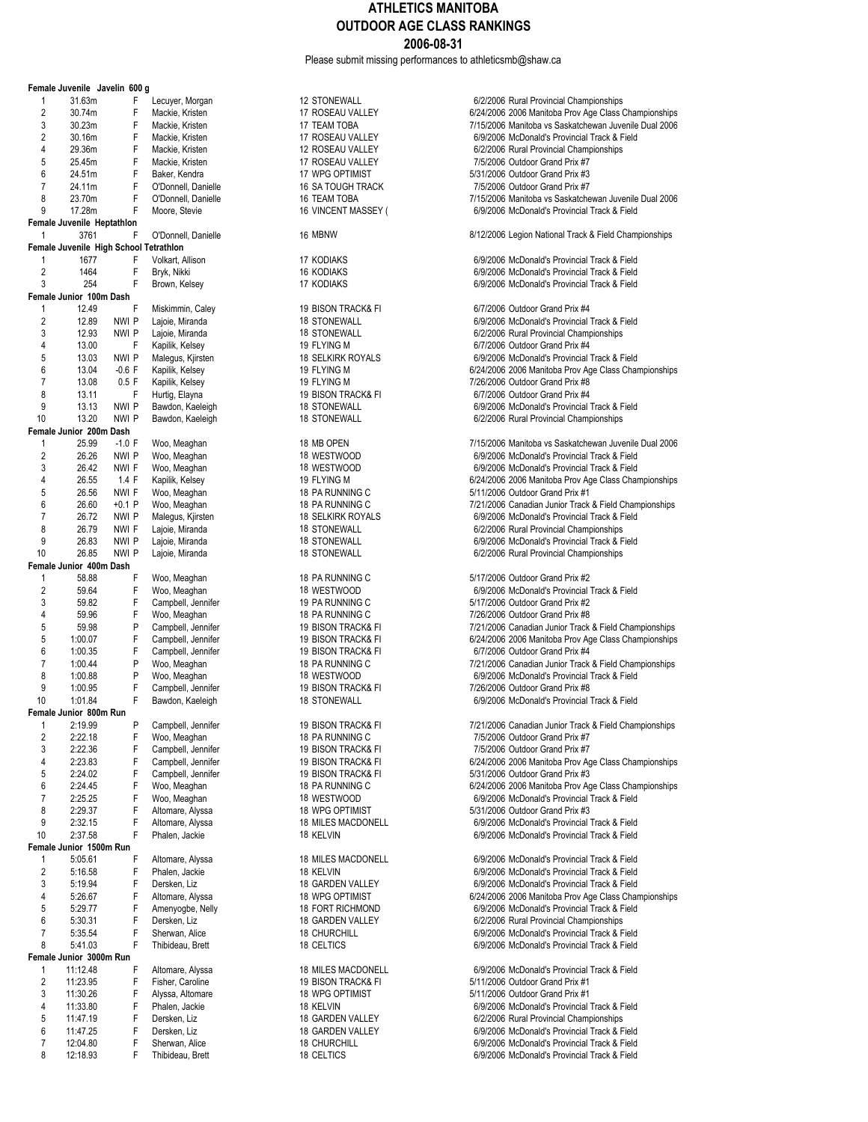Please submit missing performances to athleticsmb@shaw.ca

|                | Female Juvenile Javelin 600 g          |                |   |                                    |
|----------------|----------------------------------------|----------------|---|------------------------------------|
| 1              | 31.63m                                 | F              |   | Lecuyer, Morgan                    |
| $\overline{c}$ | 30.74m                                 |                | F | Mackie, Kristen                    |
| 3              | 30.23m                                 |                | F | Mackie, Kristen                    |
| 2              | 30.16m                                 |                | F | Mackie, Kristen                    |
| 4              | 29.36m                                 | F              |   | Mackie, Kristen                    |
| 5              | 25.45m                                 |                | F | Mackie, Kristen                    |
| 6              | 24.51m                                 | F              |   | Baker, Kendra                      |
| 7              | 24.11m                                 |                | F | O'Donnell, Daniell                 |
| 8              | 23.70m                                 |                | F | O'Donnell, Daniell                 |
| 9              | 17.28m                                 |                | F | Moore, Stevie                      |
|                | Female Juvenile Heptathlon             |                |   |                                    |
| 1              | 3761                                   |                | F | O'Donnell, Daniell                 |
|                | Female Juvenile High School Tetrathlon |                |   |                                    |
| 1              | 1677                                   |                | F | Volkart, Allison                   |
| 2              | 1464                                   |                | F | Bryk, Nikki                        |
| 3              | 254                                    | F              |   | Brown, Kelsey                      |
|                | Female Junior 100m Dash                |                | F |                                    |
| 1<br>2         | 12.49                                  |                |   | Miskimmin, Caley                   |
| 3              | 12.89<br>12.93                         | nwi p<br>NWI P |   | Lajoie, Miranda                    |
| 4              | 13.00                                  |                | F | Lajoie, Miranda<br>Kapilik, Kelsey |
| 5              | 13.03                                  | NWI P          |   | Malegus, Kjirsten                  |
| 6              | 13.04                                  | $-0.6$ F       |   | Kapilik, Kelsey                    |
| 7              | 13.08                                  | 0.5 F          |   | Kapilik, Kelsey                    |
| 8              | 13.11                                  |                | F | Hurtig, Elayna                     |
| 9              | 13.13                                  | nwi p          |   | Bawdon, Kaeleigh                   |
| 10             | 13.20                                  | nwi p          |   | Bawdon, Kaeleigh                   |
|                | Female Junior 200m Dash                |                |   |                                    |
| 1              | 25.99                                  | $-1.0 F$       |   | Woo, Meaghan                       |
| $\overline{2}$ | 26.26                                  | nwi p          |   | Woo, Meaghan                       |
| 3              | 26.42                                  | NWI F          |   | Woo, Meaghan                       |
| 4              | 26.55                                  | 1.4 F          |   | Kapilik, Kelsey                    |
| 5              | 26.56                                  | NWI F          |   | Woo, Meaghan                       |
| 6              | 26.60                                  | +0.1 P         |   | Woo, Meaghan                       |
| 7              | 26.72                                  | nwi p          |   | Malegus, Kjirsten                  |
| 8              | 26.79                                  | NWI F          |   | Lajoie, Miranda                    |
| 9              | 26.83                                  | NWI P          |   | Lajoie, Miranda                    |
| 10             | 26.85                                  | NWI P          |   | Lajoie, Miranda                    |
|                | Female Junior 400m Dash                |                |   |                                    |
| 1              | 58.88                                  | F              |   | Woo, Meaghan                       |
| $\overline{2}$ | 59.64                                  |                | F | Woo, Meaghan                       |
| 3              | 59.82                                  | F              |   | Campbell, Jennife                  |
| 4              | 59.96                                  |                | F | Woo, Meaghan                       |
| 5              | 59.98                                  |                | P | Campbell, Jennife                  |
| 5              | 1:00.07                                |                | F | Campbell, Jennife                  |
| 6              | 1:00.35                                |                | F | Campbell, Jennife                  |
| 7              | 1:00.44                                |                | P | Woo, Meaghan                       |
| 8              | 1:00.88                                |                | P | Woo, Meaghan                       |
| 9              | 1:00.95                                |                | F | Campbell, Jennife                  |
| 10             | 1:01.84                                | F              |   | Bawdon, Kaeleigh                   |
| Femal<br>1     | Junior 800m<br>2:19.99                 |                | P | Campbell, Jennife                  |
| 2              | 2:22.18                                | F              |   | Woo, Meaghan                       |
| 3              | 2:22.36                                |                | F | Campbell, Jennife                  |
| 4              | 2:23.83                                | F              |   | Campbell, Jennife                  |
| 5              | 2:24.02                                |                | F | Campbell, Jennife                  |
| 6              | 2:24.45                                |                | F | Woo, Meaghan                       |
| 7              | 2:25.25                                |                | F | Woo, Meaghan                       |
| 8              | 2:29.37                                |                | F | Altomare, Alyssa                   |
| 9              | 2:32.15                                | F              |   | Altomare, Alyssa                   |
| 10             | 2:37.58                                |                | F | Phalen, Jackie                     |
|                | Female Junior 1500m Run                |                |   |                                    |
| 1              | 5:05.61                                | F              |   | Altomare, Alyssa                   |
| $\overline{2}$ | 5:16.58                                |                | F | Phalen, Jackie                     |
| 3              | 5:19.94                                |                | F | Dersken, Liz                       |
| 4              | 5:26.67                                |                | F | Altomare, Alyssa                   |
| 5              | 5:29.77                                | F              |   | Amenyogbe, Nelly                   |
| 6              | 5:30.31                                |                | F | Dersken, Liz                       |
| 7              | 5:35.54                                | F              |   | Sherwan, Alice                     |
| 8              | 5:41.03                                | F              |   | Thibideau, Brett                   |
|                | Female Junior 3000m Run                |                |   |                                    |
| 1              | 11:12.48                               | F              |   | Altomare, Alyssa                   |
| $\overline{2}$ | 11:23.95                               |                | F | Fisher, Caroline                   |
| 3              | 11:30.26                               |                | F | Alyssa, Altomare                   |
| 4              | 11:33.80                               |                | F | Phalen, Jackie                     |
| 5              | 11:47.19                               | F              |   | Dersken, Liz                       |
| 6              | 11:47.25                               |                | F | Dersken, Liz                       |
| 7              | 12:04.80                               |                | F | Sherwan, Alice                     |
| 8              | 12:18.93                               |                | F | Thibideau, Brett                   |

| 12 STONEWALL<br>17 ROSEAU VALLEY<br>17 TEAM TOBA<br>17 ROSEAU VALLEY<br>12 ROSEAU VALLEY<br>17 ROSEAU VALLEY<br>17 WPG OPTIMIST<br>16 SA TOUGH TRACK<br>16 TEAM TOBA<br>16 VINCENT MASSEY (                                      |
|----------------------------------------------------------------------------------------------------------------------------------------------------------------------------------------------------------------------------------|
| 16 MBNW                                                                                                                                                                                                                          |
| <b>17 KODIAKS</b><br><b>16 KODIAKS</b><br>17 KODIAKS                                                                                                                                                                             |
| 19 BISON TRACK& FI<br>18 STONEWALL<br>18 STONEWALL<br>19 FLYING M<br><b>18 SELKIRK ROYALS</b><br>19 FLYING M<br>19 FLYING M<br>19 BISON TRACK& FI<br>18 STONEWALL<br><b>18 STONEWALL</b>                                         |
| 18 MB OPEN<br>18 WESTWOOD<br>18 WESTWOOD<br>19 FLYING M<br>18 PA RUNNING C<br>18 PA RUNNING C<br>18 SELKIRK ROYALS<br><b>18 STONEWALL</b><br><b>18 STONEWALL</b><br><b>18 STONEWALL</b>                                          |
| 18 PA RUNNING C<br>18 WESTWOOD<br>19 PA RUNNING C<br>18 PA RUNNING C<br>19 BISON TRACK& FI<br>19 BISON TRACK& FI<br>19 BISON TRACK& FI<br>18 PA RUNNING C<br>18 WESTWOOD<br><b>19 BISON TRACK&amp; FI</b><br><b>18 STONEWALL</b> |
| 19 BISON TRACK& FI<br>18 PA RUNNING C<br>19 BISON TRACK& FI<br>19 BISON TRACK& FI<br>19 BISON TRACK& FI<br>18 PA RUNNING C<br>18 WESTWOOD<br>18 WPG OPTIMIST<br>18 MILES MACDONELL<br>18 KELVIN                                  |
| 18 MILES MACDONELL<br>18 KELVIN<br>18 GARDEN VALLEY<br><b>18 WPG OPTIMIST</b><br>18 FORT RICHMOND<br>18 GARDEN VALLEY<br><b>18 CHURCHILL</b><br>18 CELTICS                                                                       |
| 18 MILES MACDONELL<br><b>19 BISON TRACK&amp; FI</b><br>18 WPG OPTIMIST<br>18 KELVIN<br>18 GARDEN VALLEY<br>18 GARDEN VALLEY<br>18 CHURCHILL                                                                                      |

6/2/2006 Rural Provincial Championships 6/24/2006 2006 Manitoba Prov Age Class Championships 3 30.23m F Mackie, Kristen 17 TEAM TOBA 7/15/2006 Manitoba vs Saskatchewan Juvenile Dual 2006 6/9/2006 McDonald's Provincial Track & Field 6/2/2006 Rural Provincial Championships 7/5/2006 Outdoor Grand Prix #7  $5/31/2006$  Outdoor Grand Prix #3 16 SA TOUGH TRACK 7/5/2006 Outdoor Grand Prix #7 7/15/2006 Manitoba vs Saskatchewan Juvenile Dual 2006 6/9/2006 McDonald's Provincial Track & Field e 16 MBNW 16 MBNW 3/12/2006 Legion National Track & Field Championships 6/9/2006 McDonald's Provincial Track & Field 6/9/2006 McDonald's Provincial Track & Field 6/9/2006 McDonald's Provincial Track & Field 6/7/2006 Outdoor Grand Prix #4 6/9/2006 McDonald's Provincial Track & Field 6/2/2006 Rural Provincial Championships 6/7/2006 Outdoor Grand Prix #4 6/9/2006 McDonald's Provincial Track & Field 6/24/2006 2006 Manitoba Prov Age Class Championships 7/26/2006 Outdoor Grand Prix #8 6/7/2006 Outdoor Grand Prix #4 6/9/2006 McDonald's Provincial Track & Field 6/2/2006 Rural Provincial Championships 7/15/2006 Manitoba vs Saskatchewan Juvenile Dual 2006 6/9/2006 McDonald's Provincial Track & Field 6/9/2006 McDonald's Provincial Track & Field 6/24/2006 2006 Manitoba Prov Age Class Championships 5/11/2006 Outdoor Grand Prix #1 7/21/2006 Canadian Junior Track & Field Championships 6/9/2006 McDonald's Provincial Track & Field 6/2/2006 Rural Provincial Championships 6/9/2006 McDonald's Provincial Track & Field 6/2/2006 Rural Provincial Championships 5/17/2006 Outdoor Grand Prix #2 6/9/2006 McDonald's Provincial Track & Field 3/17/2006 Outdoor Grand Prix #2 7/26/2006 Outdoor Grand Prix #8 7/21/2006 Canadian Junior Track & Field Championships 19 BISON TRACK& FI 6/24/2006 2006 Manitoba Prov Age Class Championships er 19 BISON TRACK& FI 6/7/2006 Outdoor Grand Prix #4 7/21/2006 Canadian Junior Track & Field Championships 6/9/2006 McDonald's Provincial Track & Field 9 19 BISON TRACK& FI 7/26/2006 Outdoor Grand Prix #8 6/9/2006 McDonald's Provincial Track & Field 19 BISON TRACK& FI **Campbell, CAMP** 7/21/2006 Canadian Junior Track & Field Championships 7/5/2006 Outdoor Grand Prix #7 3 2:22.36 Pressure 19 BISON TRACK& FI 3:22.2006 Outdoor Grand Prix #7 19 BISON TRACK& FI 6/24/2006 2006 Manitoba Prov Age Class Championships er 19 BISON TRACK& FI 5/31/2006 Outdoor Grand Prix #3 6/24/2006 2006 Manitoba Prov Age Class Championships 6/9/2006 McDonald's Provincial Track & Field 5/31/2006 Outdoor Grand Prix #3 6/9/2006 McDonald's Provincial Track & Field 6/9/2006 McDonald's Provincial Track & Field 6/9/2006 McDonald's Provincial Track & Field 6/9/2006 McDonald's Provincial Track & Field 6/9/2006 McDonald's Provincial Track & Field 6/24/2006 2006 Manitoba Prov Age Class Championships 6/9/2006 McDonald's Provincial Track & Field 6/2/2006 Rural Provincial Championships 6/9/2006 McDonald's Provincial Track & Field 6/9/2006 McDonald's Provincial Track & Field 6/9/2006 McDonald's Provincial Track & Field 5/11/2006 Outdoor Grand Prix #1 5/11/2006 Outdoor Grand Prix #1 6/9/2006 McDonald's Provincial Track & Field 6/2/2006 Rural Provincial Championships 6/9/2006 McDonald's Provincial Track & Field 18 CHURCHILL **FREE SHERWAN CHURCHILL 6/9/2006** McDonald's Provincial Track & Field<br>18 CELTICS **CHURCHILL 6/9/2006** McDonald's Provincial Track & Field

6/9/2006 McDonald's Provincial Track & Field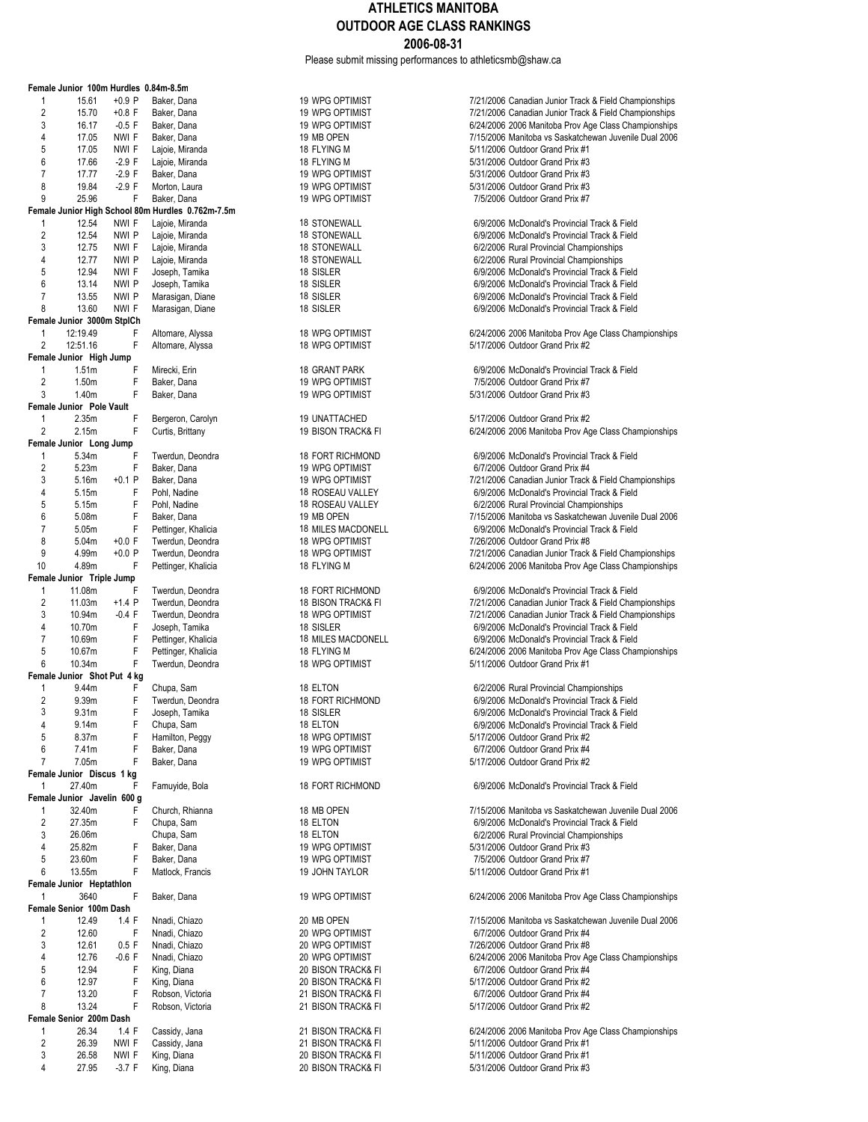Please submit missing performances to athleticsmb@shaw.ca

|                         | Female Junior 100m Hurdles 0.84m-8.5m |          |                                                                  |                                  |                                                                   |
|-------------------------|---------------------------------------|----------|------------------------------------------------------------------|----------------------------------|-------------------------------------------------------------------|
| 1                       | 15.61                                 | $+0.9$ P | Baker, Dana                                                      | 19 WPG OPTIMIST                  | 7/21/2006 Canadian Junior Track                                   |
| $\overline{2}$          | 15.70                                 | $+0.8$ F | Baker, Dana                                                      | 19 WPG OPTIMIST                  | 7/21/2006 Canadian Junior Track                                   |
| 3                       | 16.17                                 | $-0.5 F$ | Baker, Dana                                                      | 19 WPG OPTIMIST                  | 6/24/2006 2006 Manitoba Prov Ag                                   |
| 4                       | 17.05                                 | NWI F    | Baker, Dana                                                      | 19 MB OPEN                       | 7/15/2006 Manitoba vs Saskatche                                   |
| 5                       | 17.05                                 | NWI F    | Lajoie, Miranda                                                  | 18 FLYING M                      | 5/11/2006 Outdoor Grand Prix #1                                   |
| 6                       | 17.66                                 | $-2.9 F$ | Lajoie, Miranda                                                  | 18 FLYING M                      | 5/31/2006 Outdoor Grand Prix #3                                   |
| $\overline{7}$          | 17.77                                 | $-2.9 F$ | Baker, Dana                                                      | 19 WPG OPTIMIST                  | 5/31/2006 Outdoor Grand Prix #3                                   |
| 8                       | 19.84                                 | $-2.9$ F | Morton, Laura                                                    | 19 WPG OPTIMIST                  | 5/31/2006 Outdoor Grand Prix #3                                   |
| 9                       | 25.96                                 | F        | Baker, Dana<br>Female Junior High School 80m Hurdles 0.762m-7.5m | 19 WPG OPTIMIST                  | 7/5/2006 Outdoor Grand Prix #7                                    |
| 1                       | 12.54                                 | NWI F    | Lajoie, Miranda                                                  | 18 STONEWALL                     | 6/9/2006 McDonald's Provincial                                    |
| $\overline{\mathbf{c}}$ | 12.54                                 | NWI P    | Lajoie, Miranda                                                  | 18 STONEWALL                     | 6/9/2006 McDonald's Provincial                                    |
| 3                       | 12.75                                 | NWI F    | Lajoie, Miranda                                                  | <b>18 STONEWALL</b>              | 6/2/2006 Rural Provincial Champ                                   |
| 4                       | 12.77                                 | NWI P    | Lajoie, Miranda                                                  | <b>18 STONEWALL</b>              | 6/2/2006 Rural Provincial Champ                                   |
| 5                       | 12.94                                 | NWI F    | Joseph, Tamika                                                   | 18 SISLER                        | 6/9/2006 McDonald's Provincial                                    |
| 6                       | 13.14                                 | NWI P    | Joseph, Tamika                                                   | 18 SISLER                        | 6/9/2006 McDonald's Provincial                                    |
| $\overline{7}$          | 13.55                                 | NWI P    | Marasigan, Diane                                                 | 18 SISLER                        | 6/9/2006 McDonald's Provincial                                    |
| 8                       | 13.60                                 | NWI F    | Marasigan, Diane                                                 | 18 SISLER                        | 6/9/2006 McDonald's Provincial                                    |
|                         | Female Junior 3000m StplCh            |          |                                                                  |                                  |                                                                   |
| 1                       | 12:19.49                              | F        | Altomare, Alyssa                                                 | 18 WPG OPTIMIST                  | 6/24/2006 2006 Manitoba Prov Ag                                   |
| 2                       | 12:51.16                              | F        | Altomare, Alyssa                                                 | 18 WPG OPTIMIST                  | 5/17/2006 Outdoor Grand Prix #2                                   |
|                         | Female Junior High Jump               |          |                                                                  |                                  |                                                                   |
| 1                       | 1.51 <sub>m</sub>                     | F        | Mirecki, Erin                                                    | 18 GRANT PARK                    | 6/9/2006 McDonald's Provincial                                    |
| 2                       | 1.50m                                 | F        | Baker, Dana                                                      | 19 WPG OPTIMIST                  | 7/5/2006 Outdoor Grand Prix #7                                    |
| 3                       | 1.40m                                 | F        | Baker, Dana                                                      | 19 WPG OPTIMIST                  | 5/31/2006 Outdoor Grand Prix #3                                   |
|                         | Female Junior Pole Vault              |          |                                                                  |                                  |                                                                   |
| 1                       | 2.35m                                 | F        | Bergeron, Carolyn                                                | 19 UNATTACHED                    | 5/17/2006 Outdoor Grand Prix #2                                   |
| 2                       | 2.15m                                 | F        | Curtis, Brittany                                                 | 19 BISON TRACK& FI               | 6/24/2006 2006 Manitoba Prov Ag                                   |
|                         | Female Junior Long Jump               |          |                                                                  |                                  |                                                                   |
| 1                       | 5.34m                                 | F        | Twerdun, Deondra                                                 | 18 FORT RICHMOND                 | 6/9/2006 McDonald's Provincial                                    |
| $\mathbf{2}$            | 5.23m                                 | F        | Baker, Dana                                                      | 19 WPG OPTIMIST                  | 6/7/2006 Outdoor Grand Prix #4                                    |
| 3                       | 5.16m                                 | $+0.1$ P | Baker, Dana                                                      | 19 WPG OPTIMIST                  | 7/21/2006 Canadian Junior Track                                   |
| 4                       | 5.15m                                 | F        | Pohl, Nadine                                                     | 18 ROSEAU VALLEY                 | 6/9/2006 McDonald's Provincial                                    |
| 5                       | 5.15m                                 | F        | Pohl, Nadine                                                     | 18 ROSEAU VALLEY                 | 6/2/2006 Rural Provincial Champ                                   |
| 6<br>$\overline{7}$     | 5.08m                                 | F<br>F   | Baker, Dana                                                      | 19 MB OPEN<br>18 MILES MACDONELL | 7/15/2006 Manitoba vs Saskatche<br>6/9/2006 McDonald's Provincial |
| 8                       | 5.05m<br>5.04m                        | $+0.0 F$ | Pettinger, Khalicia<br>Twerdun, Deondra                          | 18 WPG OPTIMIST                  | 7/26/2006 Outdoor Grand Prix #8                                   |
| 9                       | 4.99m                                 | $+0.0 P$ | Twerdun, Deondra                                                 | 18 WPG OPTIMIST                  | 7/21/2006 Canadian Junior Track                                   |
| 10                      | 4.89m                                 | F        | Pettinger, Khalicia                                              | 18 FLYING M                      | 6/24/2006 2006 Manitoba Prov Ag                                   |
|                         | Female Junior Triple Jump             |          |                                                                  |                                  |                                                                   |
| 1                       | 11.08m                                | F        | Twerdun, Deondra                                                 | 18 FORT RICHMOND                 | 6/9/2006 McDonald's Provincial                                    |
| $\overline{\mathbf{c}}$ | 11.03m                                | $+1.4$ P | Twerdun, Deondra                                                 | 18 BISON TRACK& FI               | 7/21/2006 Canadian Junior Track                                   |
| 3                       | 10.94m                                | $-0.4$ F | Twerdun, Deondra                                                 | 18 WPG OPTIMIST                  | 7/21/2006 Canadian Junior Track                                   |
| 4                       | 10.70m                                | F        | Joseph, Tamika                                                   | 18 SISLER                        | 6/9/2006 McDonald's Provincial                                    |
| $\overline{7}$          | 10.69m                                | F        | Pettinger, Khalicia                                              | 18 MILES MACDONELL               | 6/9/2006 McDonald's Provincial                                    |
| 5                       | 10.67m                                | F        | Pettinger, Khalicia                                              | 18 FLYING M                      | 6/24/2006 2006 Manitoba Prov Ag                                   |
| 6                       | 10.34m                                | F        | Twerdun, Deondra                                                 | 18 WPG OPTIMIST                  | 5/11/2006 Outdoor Grand Prix #1                                   |
|                         | Female Junior Shot Put 4 kg           |          |                                                                  |                                  |                                                                   |
| 1                       | 9.44m                                 | F        | Chupa, Sam                                                       | 18 ELTON                         | 6/2/2006 Rural Provincial Champ                                   |
| $\overline{2}$          | 9.39m                                 | F        | Twerdun, Deondra                                                 | <b>18 FORT RICHMOND</b>          | 6/9/2006 McDonald's Provincial                                    |
| 3                       | 9.31m                                 | F        | Joseph, Tamika                                                   | 18 SISLER                        | 6/9/2006 McDonald's Provincial                                    |
| 4                       | 9.14m                                 | F        | Chupa, Sam                                                       | 18 ELTON                         | 6/9/2006 McDonald's Provincial                                    |
| 5                       | 8.37m                                 | F        | Hamilton, Peggy                                                  | 18 WPG OPTIMIST                  | 5/17/2006 Outdoor Grand Prix #2                                   |
| 6                       | 7.41m                                 | F        | Baker, Dana                                                      | 19 WPG OPTIMIST                  | 6/7/2006 Outdoor Grand Prix #4                                    |
| 7                       | 7.05m                                 | F        | Baker, Dana                                                      | 19 WPG OPTIMIST                  | 5/17/2006 Outdoor Grand Prix #2                                   |
|                         | Female Junior Discus 1 kg             |          |                                                                  |                                  |                                                                   |
| 1                       | 27.40m                                | F        | Famuyide, Bola                                                   | <b>18 FORT RICHMOND</b>          | 6/9/2006 McDonald's Provincial                                    |
|                         | Female Junior Javelin 600 g           |          |                                                                  |                                  |                                                                   |
| 1                       | 32.40m                                | F        | Church, Rhianna                                                  | 18 MB OPEN                       | 7/15/2006 Manitoba vs Saskatche                                   |
| 2                       | 27.35m                                | F        | Chupa, Sam                                                       | 18 ELTON                         | 6/9/2006 McDonald's Provincial                                    |
| 3                       | 26.06m                                |          | Chupa, Sam                                                       | 18 ELTON                         | 6/2/2006 Rural Provincial Champ                                   |
| 4<br>5                  | 25.82m                                | F<br>F   | Baker, Dana<br>Baker, Dana                                       | 19 WPG OPTIMIST                  | 5/31/2006 Outdoor Grand Prix #3<br>7/5/2006 Outdoor Grand Prix #7 |
| 6                       | 23.60m<br>13.55m                      | F        | Matlock, Francis                                                 | 19 WPG OPTIMIST                  | 5/11/2006 Outdoor Grand Prix #1                                   |
|                         | Female Junior Heptathlon              |          |                                                                  | 19 JOHN TAYLOR                   |                                                                   |
| 1                       | 3640                                  | F        | Baker, Dana                                                      | 19 WPG OPTIMIST                  | 6/24/2006 2006 Manitoba Prov Ao                                   |
|                         | Female Senior 100m Dash               |          |                                                                  |                                  |                                                                   |
| 1                       | 12.49                                 | 1.4 F    | Nnadi, Chiazo                                                    | 20 MB OPEN                       | 7/15/2006 Manitoba vs Saskatche                                   |
| 2                       | 12.60                                 | F        | Nnadi, Chiazo                                                    | 20 WPG OPTIMIST                  | 6/7/2006 Outdoor Grand Prix #4                                    |
| 3                       | 12.61                                 | 0.5 F    | Nnadi, Chiazo                                                    | 20 WPG OPTIMIST                  | 7/26/2006 Outdoor Grand Prix #8                                   |
| 4                       | 12.76                                 | $-0.6$ F | Nnadi, Chiazo                                                    | 20 WPG OPTIMIST                  | 6/24/2006 2006 Manitoba Prov Ag                                   |
| 5                       | 12.94                                 | F        | King, Diana                                                      | 20 BISON TRACK& FI               | 6/7/2006 Outdoor Grand Prix #4                                    |
| 6                       | 12.97                                 | F        | King, Diana                                                      | 20 BISON TRACK& FI               | 5/17/2006 Outdoor Grand Prix #2                                   |
| 7                       | 13.20                                 | F        | Robson, Victoria                                                 | 21 BISON TRACK& FI               | 6/7/2006 Outdoor Grand Prix #4                                    |
| 8                       | 13.24                                 | F        | Robson, Victoria                                                 | 21 BISON TRACK& FI               | 5/17/2006 Outdoor Grand Prix #2                                   |
|                         | Female Senior 200m Dash               |          |                                                                  |                                  |                                                                   |
| 1                       | 26.34                                 | 1.4 F    | Cassidy, Jana                                                    | 21 BISON TRACK& FI               | 6/24/2006 2006 Manitoba Prov Ag                                   |
| 2                       | 26.39                                 | NWI F    | Cassidy, Jana                                                    | 21 BISON TRACK& FI               | 5/11/2006 Outdoor Grand Prix #1                                   |
| 3                       | 26.58                                 | NWI F    | King, Diana                                                      | 20 BISON TRACK& FI               | 5/11/2006 Outdoor Grand Prix #1                                   |
| 4                       | 27.95                                 | $-3.7 F$ | King, Diana                                                      | 20 BISON TRACK& FI               | 5/31/2006 Outdoor Grand Prix #3                                   |

| <b>19 WPG OPTIMIST</b>                    | 6/24/2006 2006 Manitoba Prov A                                    |
|-------------------------------------------|-------------------------------------------------------------------|
| 19 MB OPEN                                | 7/15/2006 Manitoba vs Saskatche                                   |
| 18 FLYING M                               | 5/11/2006 Outdoor Grand Prix #1                                   |
| 18 FLYING M                               | 5/31/2006 Outdoor Grand Prix #3                                   |
| 19 WPG OPTIMIST                           | 5/31/2006 Outdoor Grand Prix #3                                   |
| <b>19 WPG OPTIMIST</b><br>19 WPG OPTIMIST | 5/31/2006 Outdoor Grand Prix #3<br>7/5/2006 Outdoor Grand Prix #7 |
|                                           |                                                                   |
| <b>18 STONEWALL</b>                       | 6/9/2006 McDonald's Provincial                                    |
| <b>18 STONEWALL</b>                       | 6/9/2006 McDonald's Provincial                                    |
| <b>18 STONEWALL</b>                       | 6/2/2006 Rural Provincial Cham                                    |
| <b>18 STONEWALL</b>                       | 6/2/2006 Rural Provincial Cham                                    |
| 18 SISLER                                 | 6/9/2006 McDonald's Provincial                                    |
| 18 SISLER                                 | 6/9/2006 McDonald's Provincial                                    |
| 18 SISLER                                 | 6/9/2006 McDonald's Provincial                                    |
| 18 SISLER                                 | 6/9/2006 McDonald's Provincial                                    |
| <b>18 WPG OPTIMIST</b>                    | 6/24/2006 2006 Manitoba Prov A                                    |
| <b>18 WPG OPTIMIST</b>                    | 5/17/2006 Outdoor Grand Prix #2                                   |
|                                           |                                                                   |
| 18 GRANT PARK                             | 6/9/2006 McDonald's Provincial                                    |
| <b>19 WPG OPTIMIST</b>                    | 7/5/2006 Outdoor Grand Prix #7                                    |
| 19 WPG OPTIMIST                           | 5/31/2006 Outdoor Grand Prix #3                                   |
|                                           |                                                                   |
| 19 UNATTACHED                             | 5/17/2006 Outdoor Grand Prix #2                                   |
| 19 BISON TRACK& FI                        | 6/24/2006 2006 Manitoba Prov A                                    |
|                                           |                                                                   |
| <b>18 FORT RICHMOND</b>                   | 6/9/2006 McDonald's Provincial                                    |
| <b>19 WPG OPTIMIST</b>                    | 6/7/2006 Outdoor Grand Prix #4                                    |
| 19 WPG OPTIMIST                           | 7/21/2006 Canadian Junior Track                                   |
| 18 ROSEAU VALLEY                          | 6/9/2006 McDonald's Provincial                                    |
| 18 ROSEAU VALLEY                          | 6/2/2006 Rural Provincial Cham                                    |
| 19 MB OPEN                                | 7/15/2006 Manitoba vs Saskatche                                   |
| 18 MILES MACDONELL                        | 6/9/2006 McDonald's Provincial                                    |
| <b>18 WPG OPTIMIST</b>                    | 7/26/2006 Outdoor Grand Prix #8                                   |
| <b>18 WPG OPTIMIST</b>                    | 7/21/2006 Canadian Junior Track                                   |
| 18 FLYING M                               | 6/24/2006 2006 Manitoba Prov A                                    |
| <b>18 FORT RICHMOND</b>                   | 6/9/2006 McDonald's Provincial                                    |
| 18 BISON TRACK& FI                        | 7/21/2006 Canadian Junior Track                                   |
| 18 WPG OPTIMIST                           | 7/21/2006 Canadian Junior Track                                   |
| 18 SISLER                                 | 6/9/2006 McDonald's Provincial                                    |
| 18 MILES MACDONELL                        | 6/9/2006 McDonald's Provincial                                    |
| 18 FLYING M                               | 6/24/2006 2006 Manitoba Prov A                                    |
| <b>18 WPG OPTIMIST</b>                    | 5/11/2006 Outdoor Grand Prix #1                                   |
|                                           |                                                                   |
| 18 ELTON                                  | 6/2/2006 Rural Provincial Cham                                    |
| <b>18 FORT RICHMOND</b>                   | 6/9/2006 McDonald's Provincial                                    |
| 18 SISLER                                 | 6/9/2006 McDonald's Provincial                                    |
| 18 ELTON                                  | 6/9/2006 McDonald's Provincial                                    |
| <b>18 WPG OPTIMIST</b>                    | 5/17/2006 Outdoor Grand Prix #2                                   |
| 19 WPG OPTIMIST                           | 6/7/2006 Outdoor Grand Prix #4                                    |
| <b>19 WPG OPTIMIST</b>                    | 5/17/2006 Outdoor Grand Prix #2                                   |
|                                           |                                                                   |
| <b>18 FORT RICHMOND</b>                   | 6/9/2006 McDonald's Provincial                                    |
|                                           |                                                                   |
| 18 MB OPEN<br>18 ELTON                    | 7/15/2006 Manitoba vs Saskatche                                   |
| 18 ELTON                                  | 6/9/2006 McDonald's Provincial<br>6/2/2006 Rural Provincial Cham  |
| <b>19 WPG OPTIMIST</b>                    | 5/31/2006 Outdoor Grand Prix #3                                   |
| 19 WPG OPTIMIST                           | 7/5/2006 Outdoor Grand Prix #7                                    |
| 19 JOHN TAYLOR                            | 5/11/2006 Outdoor Grand Prix #1                                   |
|                                           |                                                                   |
| <b>19 WPG OPTIMIST</b>                    | 6/24/2006 2006 Manitoba Prov A                                    |
|                                           |                                                                   |
| 20 MB OPEN                                | 7/15/2006 Manitoba vs Saskatche                                   |
| 20 WPG OPTIMIST                           | 6/7/2006 Outdoor Grand Prix #4                                    |
| 20 WPG OPTIMIST                           | 7/26/2006 Outdoor Grand Prix #8                                   |
| 20 WPG OPTIMIST                           | 6/24/2006 2006 Manitoba Prov A                                    |
| 20 BISON TRACK& FI                        | 6/7/2006 Outdoor Grand Prix #4                                    |
| 20 BISON TRACK& FI                        | 5/17/2006 Outdoor Grand Prix #2                                   |
| 21 BISON TRACK& FI                        | 6/7/2006 Outdoor Grand Prix #4                                    |
| 21 BISON TRACK& FI                        | 5/17/2006 Outdoor Grand Prix #2                                   |
|                                           |                                                                   |
| 21 BISON TRACK& FI                        | 6/24/2006 2006 Manitoba Prov A                                    |
| 21 BISON TRACK& FI                        | 5/11/2006 Outdoor Grand Prix #1                                   |
| 20 BISON TRACK& FI<br>20 BISON TRACK& FI  | 5/11/2006 Outdoor Grand Prix #1                                   |
|                                           | 5/31/2006 Outdoor Grand Prix #3                                   |

19 WPG OPTIMIST<br>19 WPG OPTIMIST 19 PRESS TO 2006 Canadian Junior Track & Field Championships 7/21/2006 Canadian Junior Track & Field Championships 6/24/2006 2006 Manitoba Prov Age Class Championships 7/15/2006 Manitoba vs Saskatchewan Juvenile Dual 2006 5/11/2006 Outdoor Grand Prix #1 5/31/2006 Outdoor Grand Prix #3  $5/31/2006$  Outdoor Grand Prix #3 5/31/2006 Outdoor Grand Prix #3 7/5/2006 Outdoor Grand Prix #7 1 12.54 NWI F Lajoie, Miranda 18 STONEWALL 6/9/2006 McDonald's Provincial Track & Field 6/9/2006 McDonald's Provincial Track & Field 6/2/2006 Rural Provincial Championships 6/2/2006 Rural Provincial Championships 5 12.94 NWI F Joseph, Tamika 18 SISLER 6/9/2006 McDonald's Provincial Track & Field 6/9/2006 McDonald's Provincial Track & Field 6/9/2006 McDonald's Provincial Track & Field 6/9/2006 McDonald's Provincial Track & Field 6/24/2006 2006 Manitoba Prov Age Class Championships 5/17/2006 Outdoor Grand Prix #2 6/9/2006 McDonald's Provincial Track & Field 7/5/2006 Outdoor Grand Prix #7 5/31/2006 Outdoor Grand Prix #3 5/17/2006 Outdoor Grand Prix #2 6/24/2006 2006 Manitoba Prov Age Class Championships 6/9/2006 McDonald's Provincial Track & Field 6/7/2006 Outdoor Grand Prix #4 7/21/2006 Canadian Junior Track & Field Championships 6/9/2006 McDonald's Provincial Track & Field 6/2/2006 Rural Provincial Championships 7/15/2006 Manitoba vs Saskatchewan Juvenile Dual 2006 6/9/2006 McDonald's Provincial Track & Field 7/26/2006 Outdoor Grand Prix #8 7/21/2006 Canadian Junior Track & Field Championships 6/24/2006 2006 Manitoba Prov Age Class Championships 6/9/2006 McDonald's Provincial Track & Field 7/21/2006 Canadian Junior Track & Field Championships 7/21/2006 Canadian Junior Track & Field Championships 6/9/2006 McDonald's Provincial Track & Field 6/9/2006 McDonald's Provincial Track & Field 6/24/2006 2006 Manitoba Prov Age Class Championships 5/11/2006 Outdoor Grand Prix #1 6/2/2006 Rural Provincial Championships 6/9/2006 McDonald's Provincial Track & Field 6/9/2006 McDonald's Provincial Track & Field 6/9/2006 McDonald's Provincial Track & Field 5/17/2006 Outdoor Grand Prix #2 6/7/2006 Outdoor Grand Prix #4 5/17/2006 Outdoor Grand Prix #2 6/9/2006 McDonald's Provincial Track & Field 7/15/2006 Manitoba vs Saskatchewan Juvenile Dual 2006 6/9/2006 McDonald's Provincial Track & Field 6/2/2006 Rural Provincial Championships 5/31/2006 Outdoor Grand Prix #3 7/5/2006 Outdoor Grand Prix #7 5/11/2006 Outdoor Grand Prix #1 6/24/2006 2006 Manitoba Prov Age Class Championships 7/15/2006 Manitoba vs Saskatchewan Juvenile Dual 2006 6/7/2006 Outdoor Grand Prix #4 7/26/2006 Outdoor Grand Prix #8 6/24/2006 2006 Manitoba Prov Age Class Championships 6/7/2006 Outdoor Grand Prix #4 5/17/2006 Outdoor Grand Prix #2 6/7/2006 Outdoor Grand Prix #4 5/17/2006 Outdoor Grand Prix #2 6/24/2006 2006 Manitoba Prov Age Class Championships 5/11/2006 Outdoor Grand Prix #1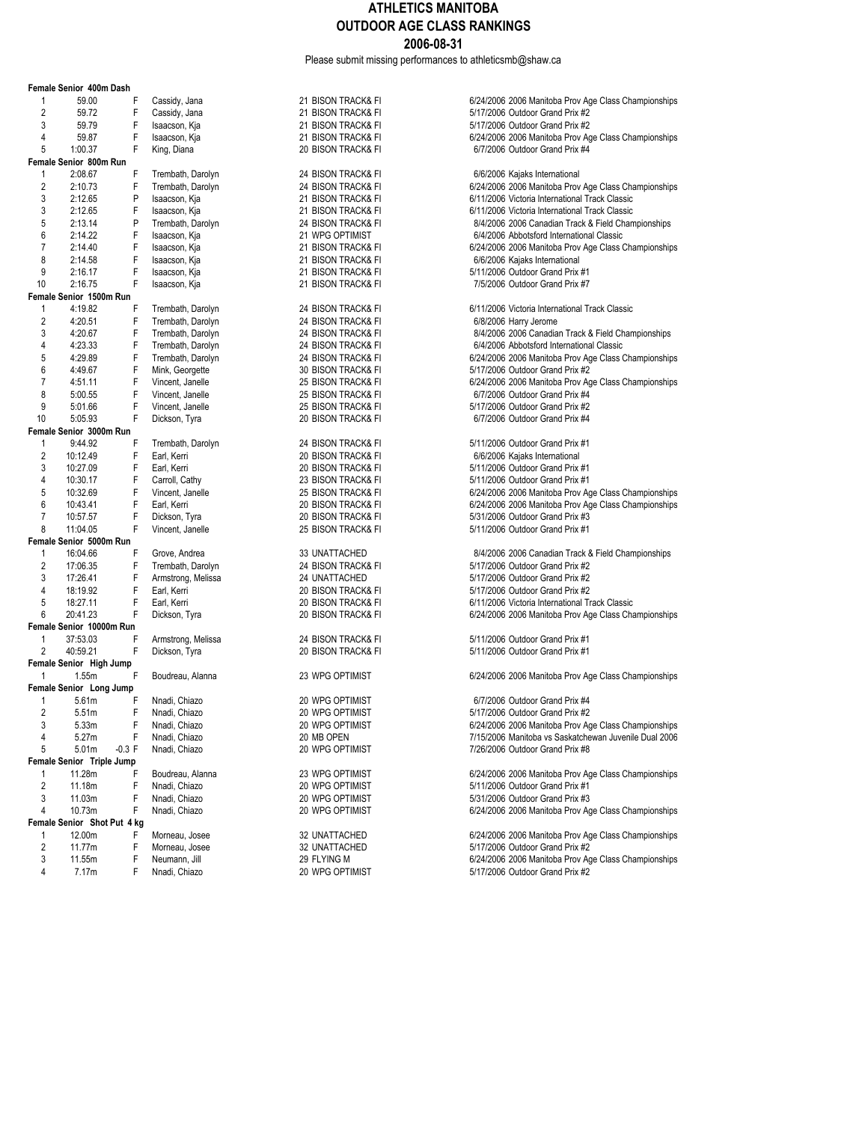Please submit missing performances to athleticsmb@shaw.ca

|                | Female Senior 400m Dash            |          |                    |                    |                                                       |
|----------------|------------------------------------|----------|--------------------|--------------------|-------------------------------------------------------|
| 1              | 59.00                              | F        | Cassidy, Jana      | 21 BISON TRACK& FI | 6/24/2006 2006 Manitoba Prov Age Class Championships  |
| 2              | 59.72                              | F        | Cassidy, Jana      | 21 BISON TRACK& FI | 5/17/2006 Outdoor Grand Prix #2                       |
| 3              | 59.79                              | F        | Isaacson, Kja      | 21 BISON TRACK& FI | 5/17/2006 Outdoor Grand Prix #2                       |
| 4              | 59.87                              | F        | Isaacson, Kja      | 21 BISON TRACK& FI | 6/24/2006 2006 Manitoba Prov Age Class Championships  |
| 5              | 1:00.37                            | F        | King, Diana        | 20 BISON TRACK& FI | 6/7/2006 Outdoor Grand Prix #4                        |
|                | Female Senior 800m Run             |          |                    |                    |                                                       |
| 1              | 2:08.67                            | F        | Trembath, Darolyn  | 24 BISON TRACK& FI | 6/6/2006 Kajaks International                         |
| $\overline{2}$ | 2:10.73                            | F        | Trembath, Darolyn  | 24 BISON TRACK& FI | 6/24/2006 2006 Manitoba Prov Age Class Championships  |
| 3              | 2:12.65                            | P        | Isaacson, Kja      | 21 BISON TRACK& FI | 6/11/2006 Victoria International Track Classic        |
| 3              | 2:12.65                            | F        | Isaacson, Kja      | 21 BISON TRACK& FI | 6/11/2006 Victoria International Track Classic        |
| 5              | 2:13.14                            | P        | Trembath, Darolyn  | 24 BISON TRACK& FI | 8/4/2006 2006 Canadian Track & Field Championships    |
| 6              | 2:14.22                            | F        | Isaacson, Kja      | 21 WPG OPTIMIST    | 6/4/2006 Abbotsford International Classic             |
| 7              | 2:14.40                            | F        | Isaacson, Kja      | 21 BISON TRACK& FI | 6/24/2006 2006 Manitoba Prov Age Class Championships  |
| 8              | 2:14.58                            | F        | Isaacson, Kja      | 21 BISON TRACK& FI | 6/6/2006 Kajaks International                         |
| 9              | 2:16.17                            | F        | Isaacson, Kja      | 21 BISON TRACK& FI | 5/11/2006 Outdoor Grand Prix #1                       |
| 10             | 2:16.75                            | F        | Isaacson, Kja      | 21 BISON TRACK& FI | 7/5/2006 Outdoor Grand Prix #7                        |
|                | Female Senior 1500m Run            |          |                    |                    |                                                       |
| 1              | 4:19.82                            | F        | Trembath, Darolyn  | 24 BISON TRACK& FI | 6/11/2006 Victoria International Track Classic        |
| $\sqrt{2}$     | 4:20.51                            | F        | Trembath, Darolyn  | 24 BISON TRACK& FI | 6/8/2006 Harry Jerome                                 |
| 3              | 4:20.67                            | F        | Trembath, Darolyn  | 24 BISON TRACK& FI | 8/4/2006 2006 Canadian Track & Field Championships    |
| 4              | 4:23.33                            | F        | Trembath, Darolyn  | 24 BISON TRACK& FI | 6/4/2006 Abbotsford International Classic             |
| 5              | 4:29.89                            | F        | Trembath, Darolyn  | 24 BISON TRACK& FI | 6/24/2006 2006 Manitoba Prov Age Class Championships  |
| 6              | 4:49.67                            | F        | Mink, Georgette    | 30 BISON TRACK& FI | 5/17/2006 Outdoor Grand Prix #2                       |
| $\overline{7}$ | 4:51.11                            | F        | Vincent, Janelle   | 25 BISON TRACK& FI | 6/24/2006 2006 Manitoba Prov Age Class Championships  |
| 8              | 5:00.55                            | F        | Vincent, Janelle   | 25 BISON TRACK& FI | 6/7/2006 Outdoor Grand Prix #4                        |
| 9<br>10        | 5:01.66                            | F<br>F   | Vincent, Janelle   | 25 BISON TRACK& FI | 5/17/2006 Outdoor Grand Prix #2                       |
|                | 5:05.93<br>Female Senior 3000m Run |          | Dickson, Tyra      | 20 BISON TRACK& FI | 6/7/2006 Outdoor Grand Prix #4                        |
| $\mathbf{1}$   | 9:44.92                            | F        | Trembath, Darolyn  | 24 BISON TRACK& FI | 5/11/2006 Outdoor Grand Prix #1                       |
| $\overline{2}$ | 10:12.49                           | F        | Earl, Kerri        | 20 BISON TRACK& FI | 6/6/2006 Kajaks International                         |
| 3              | 10:27.09                           | F        | Earl, Kerri        | 20 BISON TRACK& FI | 5/11/2006 Outdoor Grand Prix #1                       |
| 4              | 10:30.17                           | F        | Carroll, Cathy     | 23 BISON TRACK& FI | 5/11/2006 Outdoor Grand Prix #1                       |
| 5              | 10:32.69                           | F        | Vincent, Janelle   | 25 BISON TRACK& FI | 6/24/2006 2006 Manitoba Prov Age Class Championships  |
| 6              | 10:43.41                           | F        | Earl, Kerri        | 20 BISON TRACK& FI | 6/24/2006 2006 Manitoba Prov Age Class Championships  |
| $\overline{7}$ | 10:57.57                           | F        | Dickson, Tyra      | 20 BISON TRACK& FI | 5/31/2006 Outdoor Grand Prix #3                       |
| 8              | 11:04.05                           | F        | Vincent, Janelle   | 25 BISON TRACK& FI | 5/11/2006 Outdoor Grand Prix #1                       |
|                | Female Senior 5000m Run            |          |                    |                    |                                                       |
| 1              | 16:04.66                           | F        | Grove, Andrea      | 33 UNATTACHED      | 8/4/2006 2006 Canadian Track & Field Championships    |
| 2              | 17:06.35                           | F        | Trembath, Darolyn  | 24 BISON TRACK& FI | 5/17/2006 Outdoor Grand Prix #2                       |
| 3              | 17:26.41                           | F        | Armstrong, Melissa | 24 UNATTACHED      | 5/17/2006 Outdoor Grand Prix #2                       |
| $\overline{4}$ | 18:19.92                           | F        | Earl, Kerri        | 20 BISON TRACK& FI | 5/17/2006 Outdoor Grand Prix #2                       |
| 5              | 18:27.11                           | F        | Earl, Kerri        | 20 BISON TRACK& FI | 6/11/2006 Victoria International Track Classic        |
| 6              | 20:41.23                           | F        | Dickson, Tyra      | 20 BISON TRACK& FI | 6/24/2006 2006 Manitoba Prov Age Class Championships  |
|                | Female Senior 10000m Run           |          |                    |                    |                                                       |
| 1              | 37:53.03                           | F        | Armstrong, Melissa | 24 BISON TRACK& FI | 5/11/2006 Outdoor Grand Prix #1                       |
| $\overline{2}$ | 40:59.21                           | F        | Dickson, Tyra      | 20 BISON TRACK& FI | 5/11/2006 Outdoor Grand Prix #1                       |
|                | Female Senior High Jump            |          |                    |                    |                                                       |
| 1              | 1.55m                              | F        | Boudreau, Alanna   | 23 WPG OPTIMIST    | 6/24/2006 2006 Manitoba Prov Age Class Championships  |
|                | Female Senior Long Jump            |          |                    |                    |                                                       |
| 1              | 5.61m                              | F        | Nnadi, Chiazo      | 20 WPG OPTIMIST    | 6/7/2006 Outdoor Grand Prix #4                        |
| $\overline{2}$ | 5.51m                              | F        | Nnadi, Chiazo      | 20 WPG OPTIMIST    | 5/17/2006 Outdoor Grand Prix #2                       |
| 3              | 5.33m                              | F        | Nnadi, Chiazo      | 20 WPG OPTIMIST    | 6/24/2006 2006 Manitoba Prov Age Class Championships  |
| 4              | 5.27m                              | F        | Nnadi, Chiazo      | 20 MB OPEN         | 7/15/2006 Manitoba vs Saskatchewan Juvenile Dual 2006 |
| 5              | 5.01m                              | $-0.3$ F | Nnadi, Chiazo      | 20 WPG OPTIMIST    | 7/26/2006 Outdoor Grand Prix #8                       |
|                | Female Senior Triple Jump          |          |                    |                    |                                                       |
| 1              | 11.28m                             | F        | Boudreau, Alanna   | 23 WPG OPTIMIST    | 6/24/2006 2006 Manitoba Prov Age Class Championships  |
| $\overline{2}$ | 11.18m                             | F        | Nnadi, Chiazo      | 20 WPG OPTIMIST    | 5/11/2006 Outdoor Grand Prix #1                       |
| 3              | 11.03m                             | F        | Nnadi, Chiazo      | 20 WPG OPTIMIST    | 5/31/2006 Outdoor Grand Prix #3                       |
| 4              | 10.73m                             | F        | Nnadi, Chiazo      | 20 WPG OPTIMIST    | 6/24/2006 2006 Manitoba Prov Age Class Championships  |
|                | Female Senior Shot Put 4 kg        |          |                    |                    |                                                       |
| 1              | 12.00m                             | F        | Morneau, Josee     | 32 UNATTACHED      | 6/24/2006 2006 Manitoba Prov Age Class Championships  |
| $\overline{c}$ | 11.77m                             | F        | Morneau, Josee     | 32 UNATTACHED      | 5/17/2006 Outdoor Grand Prix #2                       |
| 3              | 11.55m                             | F        | Neumann, Jill      | 29 FLYING M        | 6/24/2006 2006 Manitoba Prov Age Class Championships  |
| 4              | 7.17m                              | F        | Nnadi, Chiazo      | 20 WPG OPTIMIST    | 5/17/2006 Outdoor Grand Prix #2                       |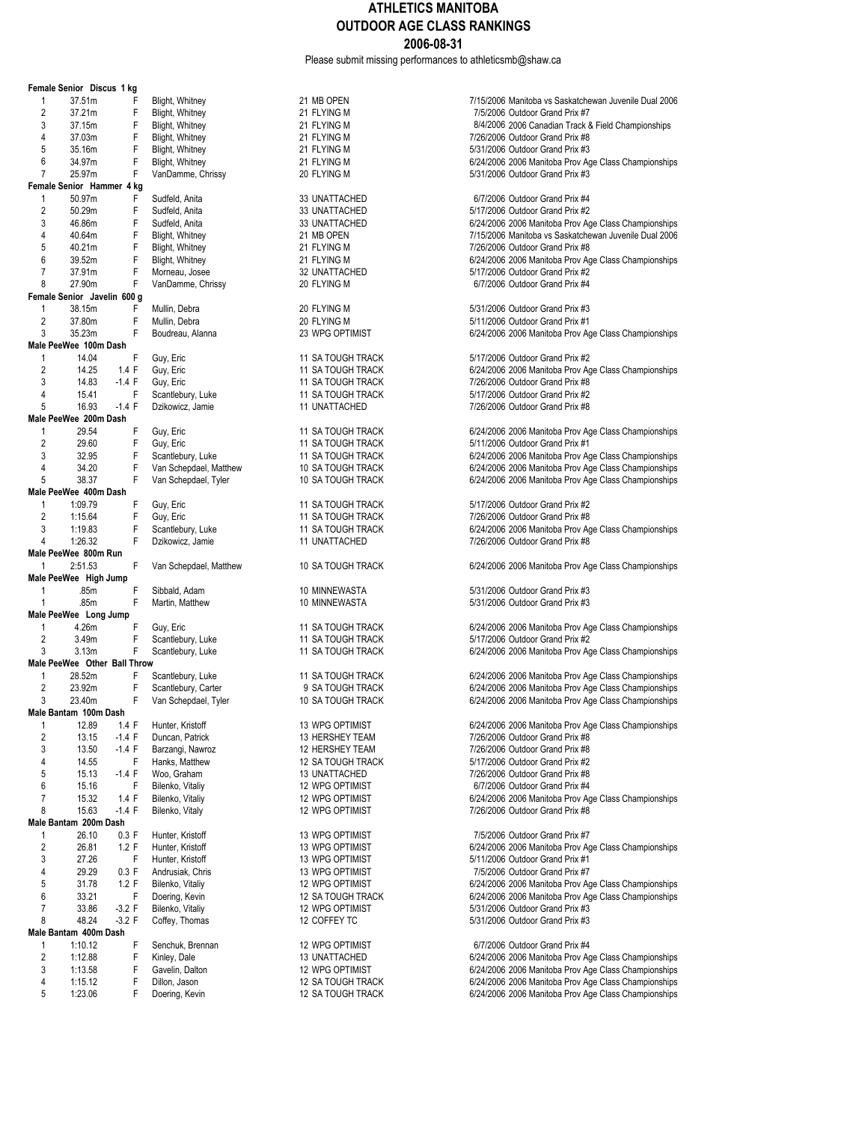Please submit missing performances to athleticsmb@shaw.ca

|                     | Female Senior Discus 1 kg           |               |                               |
|---------------------|-------------------------------------|---------------|-------------------------------|
| 1                   | 37.51m                              | F             | Blight, Whitney               |
| 2                   | 37.21m                              | F             | Blight, Whitney               |
| 3                   | 37.15m                              | F             | Blight, Whitney               |
| 4                   | 37.03m                              | F             | Blight, Whitney               |
| 5                   | 35.16m                              | F             | Blight, Whitney               |
| 6<br>7              | 34.97m                              | F<br>F        | Blight, Whitney               |
|                     | 25.97m<br>Female Senior Hammer 4 kg |               | VanDamme, Chris               |
| 1                   | 50.97m                              | F             | Sudfeld, Anita                |
| 2                   | 50.29m                              | F             | Sudfeld, Anita                |
| 3                   | 46.86m                              | F             | Sudfeld, Anita                |
| 4                   | 40.64m                              | F             | Blight, Whitney               |
| 5                   | 40.21m                              | F             | Blight, Whitney               |
| 6                   | 39.52m                              | F             | Blight, Whitney               |
| 7                   | 37.91m                              | F             | Morneau, Josee                |
| 8                   | 27.90m                              | F             | VanDamme, Chris               |
|                     | Female Senior Javelin 600 g         |               |                               |
| 1                   | 38.15m                              | F             | Mullin, Debra                 |
| 2                   | 37.80m                              | F             | Mullin, Debra                 |
| 3                   | 35.23m                              | F             | Boudreau, Alanna              |
|                     | Male PeeWee 100m Dash               |               |                               |
| 1<br>$\overline{2}$ | 14.04                               | F<br>1.4 F    | Guy, Eric                     |
| 3                   | 14.25<br>14.83                      | $-1.4$ F      | Guy, Eric<br>Guy, Eric        |
| 4                   | 15.41                               | F             | Scantlebury, Luke             |
| 5                   | 16.93                               | $-1.4 F$      | Dzikowicz, Jamie              |
|                     | Male PeeWee 200m Dash               |               |                               |
| 1                   | 29.54                               | F             | Guy, Eric                     |
| $\overline{2}$      | 29.60                               | F             | Guy, Eric                     |
| 3                   | 32.95                               | F             | Scantlebury, Luke             |
| 4                   | 34.20                               | F             | Van Schepdael, M              |
| 5                   | 38.37                               | F             | Van Schepdael, T              |
|                     | Male PeeWee 400m Dash               |               |                               |
| 1                   | 1:09.79                             | F             | Guy, Eric                     |
| $\overline{2}$      | 1:15.64                             | F             | Guy, Eric                     |
| 3                   | 1:19.83                             | F             | Scantlebury, Luke             |
|                     |                                     |               |                               |
| 4                   | 1:26.32                             | F             | Dzikowicz, Jamie              |
|                     | Male PeeWee 800m Run                |               |                               |
| 1                   | 2:51.53                             | F             | Van Schepdael, M              |
|                     | Male PeeWee High Jump               |               |                               |
| 1<br>1              | .85m<br>.85m                        | F<br>F        | Sibbald, Adam                 |
|                     | Male PeeWee Long Jump               |               | Martin, Matthew               |
| 1                   | 4.26m                               | F             | Guy, Eric                     |
| 2                   | 3.49m                               | F             | Scantlebury, Luke             |
| 3                   | 3.13m                               | F             | Scantlebury, Luke             |
|                     | Male PeeWee Other Ball Throw        |               |                               |
| 1                   | 28.52m                              | F             | Scantlebury, Luke             |
| 2                   | 23.92m                              | F             | Scantlebury, Cart             |
| 3                   | 23.40m                              | F             | Van Schepdael, T              |
|                     | Male Bantam 100m Dash               |               |                               |
| 1                   | 12.89                               | 1.4 F         | Hunter, Kristoff              |
| 2                   | 13.15                               | -1.4 F        | Duncan, Patrick               |
| 3<br>4              | 13.50                               | $-1.4$ F<br>F | Barzangi, Nawroz              |
| 5                   | 14.55<br>15.13                      | $-1.4 F$      | Hanks, Matthew<br>Woo, Graham |
| 6                   | 15.16                               | F             | Bilenko, Vitaliy              |
| 7                   | 15.32                               | 1.4 F         | Bilenko, Vitaliy              |
| 8                   | 15.63                               | $-1.4 F$      | Bilenko, Vitaly               |
|                     | Male Bantam 200m Dash               |               |                               |
| 1                   | 26.10                               | 0.3 F         | Hunter, Kristoff              |
| 2                   | 26.81                               | 1.2 F         | Hunter, Kristoff              |
| 3                   | 27.26                               | F             | Hunter, Kristoff              |
| 4                   | 29.29                               | 0.3 F         | Andrusiak, Chris              |
| 5                   | 31.78                               | 1.2 F         | Bilenko, Vitaliy              |
| 6                   | 33.21                               | F             | Doering, Kevin                |
| 7<br>8              | 33.86                               | $-3.2 F$      | Bilenko, Vitaliy              |
|                     | 48.24                               | $-3.2$ F      | Coffey, Thomas                |
| 1                   | Male Bantam 400m Dash<br>1:10.12    | F             | Senchuk, Brennar              |
| 2                   | 1:12.88                             | F             | Kinley, Dale                  |
| 3                   | 1:13.58                             | F             | Gavelin, Dalton               |
| 4<br>5              | 1:15.12                             | F<br>F        | Dillon, Jason                 |

| 21 FLYING M<br>21 FLYING M<br>21 FLYING M<br>21 FLYING M<br>21 FLYING M<br>20 FLYING M                                                                      |
|-------------------------------------------------------------------------------------------------------------------------------------------------------------|
| 33 UNATTACHED<br>33 UNATTACHED<br>33 UNATTACHED<br>21 MB OPEN<br>21 FLYING M<br>21 FLYING M<br>32 UNATTACHED<br>20 FLYING M                                 |
| 20 FLYING M<br>20 FLYING M<br>23 WPG OPTIMIST                                                                                                               |
| 11 SA TOUGH TRACK<br>11 SA TOUGH TRACK<br>11 SA TOUGH TRACK<br>11 SA TOUGH TRACK<br>11 UNATTACHED                                                           |
| 11 SA TOUGH TRACK<br>11 SA TOUGH TRACK<br>11 SA TOUGH TRACK<br>10 SA TOUGH TRACK<br><b>10 SA TOUGH TRACK</b>                                                |
| 11 SA TOUGH TRACK<br><b>11 SA TOUGH TRACK</b><br><b>11 SA TOUGH TRACK</b><br>11 UNATTACHED                                                                  |
| 10 SA TOUGH TRACK                                                                                                                                           |
| 10 MINNEWASTA<br>10 MINNEWASTA                                                                                                                              |
| 11 SA TOUGH TRACK<br>11 SA TOUGH TRACK<br>11 SA TOUGH TRACK                                                                                                 |
| 11 SA TOUGH TRACK<br>9 SA TOUGH TRACK<br>10 SA TOUGH TRACK                                                                                                  |
| 13 WPG OPTIMIST<br>13 HERSHEY TEAM<br>12 HERSHEY TEAM<br>12 SA TOUGH TRACK<br>13 UNATTACHED<br><b>12 WPG OPTIMIST</b><br>12 WPG OPTIMIST<br>12 WPG OPTIMIST |
| 13 WPG OPTIMIST<br>13 WPG OPTIMIST<br>13 WPG OPTIMIST<br>13 WPG OPTIMIST<br>12 WPG OPTIMIST<br><b>12 SA TOUGH TRACK</b><br>12 WPG OPTIMIST<br>12 COFFEY TC  |
| 12 WPG OPTIMIST<br>13 UNATTACHED<br>12 WPG OPTIMIST<br>12 SA TOUCH TRA                                                                                      |

21 MB OPEN 7/15/2006 Manitoba vs Saskatchewan Juvenile Dual 2006 7/5/2006 Outdoor Grand Prix #7 8/4/2006 2006 Canadian Track & Field Championships 7/26/2006 Outdoor Grand Prix #8 5/31/2006 Outdoor Grand Prix #3 6/24/2006 2006 Manitoba Prov Age Class Championships 5/31/2006 Outdoor Grand Prix #3 6/7/2006 Outdoor Grand Prix #4 5/17/2006 Outdoor Grand Prix #2 6/24/2006 2006 Manitoba Prov Age Class Championships 7/15/2006 Manitoba vs Saskatchewan Juvenile Dual 2006 7/26/2006 Outdoor Grand Prix #8 6/24/2006 2006 Manitoba Prov Age Class Championships 5/17/2006 Outdoor Grand Prix #2 8 8 8 3 20 FLYING M 6/7/2006 Outdoor Grand Prix #4  $5/31/2006$  Outdoor Grand Prix #3 5/11/2006 Outdoor Grand Prix #1 6/24/2006 2006 Manitoba Prov Age Class Championships 5/17/2006 Outdoor Grand Prix #2 6/24/2006 2006 Manitoba Prov Age Class Championships 7/26/2006 Outdoor Grand Prix #8 5/17/2006 Outdoor Grand Prix #2 7/26/2006 Outdoor Grand Prix #8 6/24/2006 2006 Manitoba Prov Age Class Championships 5/11/2006 Outdoor Grand Prix #1 3 31 3A TOUGH TRACK 6/24/2006 2006 Manitoba Prov Age Class Championships<br>10 3A TOUGH TRACK 6/24/2006 2006 Manitoba Prov Age Class Championships 6/24/2006 2006 Manitoba Prov Age Class Championships vler 10 SA TOUGH TRACK 6/24/2006 2006 Manitoba Prov Age Class Championships 5/17/2006 Outdoor Grand Prix #2 7/26/2006 Outdoor Grand Prix #8 6/24/2006 2006 Manitoba Prov Age Class Championships 7/26/2006 Outdoor Grand Prix #8 1 10:53 Tatthew 10 SA TOUGH TRACK 6/24/2006 2006 Manitoba Prov Age Class Championships 5/31/2006 Outdoor Grand Prix #3 5/31/2006 Outdoor Grand Prix #3 6/24/2006 2006 Manitoba Prov Age Class Championships 5/17/2006 Outdoor Grand Prix #2 6/24/2006 2006 Manitoba Prov Age Class Championships 6/24/2006 2006 Manitoba Prov Age Class Championships 2 23.472006 2006 Manitoba Prov Age Class Championships<br>2006 Manitoba Prov Age Class Championships (10.5 King the Stanting State Class Championships iver Stanting St 6/24/2006 2006 Manitoba Prov Age Class Championships 6/24/2006 2006 Manitoba Prov Age Class Championships 7/26/2006 Outdoor Grand Prix #8 7/26/2006 Outdoor Grand Prix #8 5/17/2006 Outdoor Grand Prix #2 7/26/2006 Outdoor Grand Prix #8 6/7/2006 Outdoor Grand Prix #4 6/24/2006 2006 Manitoba Prov Age Class Championships 7/26/2006 Outdoor Grand Prix #8 7/5/2006 Outdoor Grand Prix #7 6/24/2006 2006 Manitoba Prov Age Class Championships 5/11/2006 Outdoor Grand Prix #1 7/5/2006 Outdoor Grand Prix #7 6/24/2006 2006 Manitoba Prov Age Class Championships 6/24/2006 2006 Manitoba Prov Age Class Championships 5/31/2006 Outdoor Grand Prix #3 5/31/2006 Outdoor Grand Prix #3

n 12 WPG OPTIMIST 6/7/2006 Outdoor Grand Prix #4 6/24/2006 2006 Manitoba Prov Age Class Championships 6/24/2006 2006 Manitoba Prov Age Class Championships 6/24/2006 2006 Manitoba Prov Age Class Championships 12 SA TOUGH TRACK 6/24/2006 2006 Manitoba Prov Age Class Championships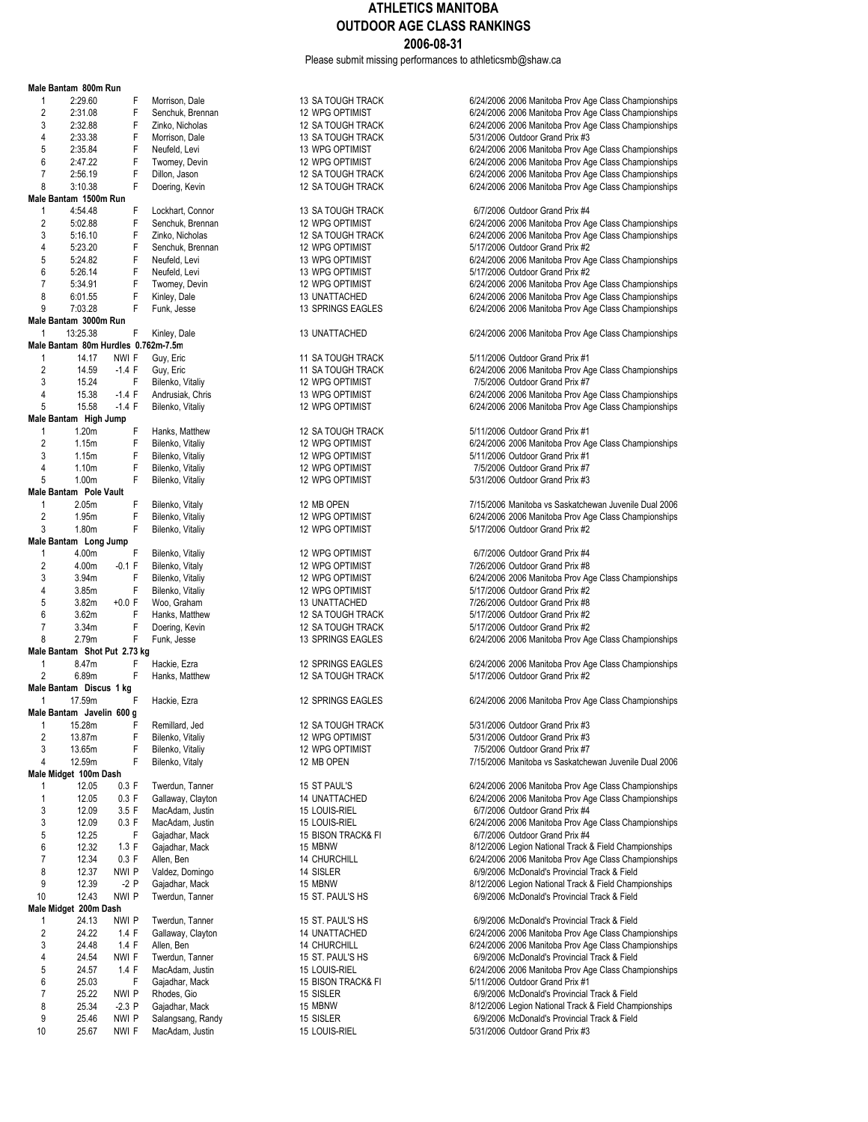Please submit missing performances to athleticsmb@shaw.ca

|    | Male Bantam 800m Run                |          |   |                   |
|----|-------------------------------------|----------|---|-------------------|
|    | 1<br>2:29.60                        |          | F | Morrison, Dale    |
|    | $\overline{2}$<br>2:31.08           |          | F | Senchuk, Brennai  |
|    | 3<br>2:32.88                        |          | F | Zinko, Nicholas   |
|    | 4<br>2:33.38                        |          | F | Morrison, Dale    |
|    | 5<br>2:35.84                        |          | F | Neufeld, Levi     |
|    | 6<br>2:47.22                        |          | F | Twomey, Devin     |
|    |                                     |          |   |                   |
|    | 7<br>2:56.19                        |          | F | Dillon, Jason     |
|    | 3:10.38<br>8                        |          | F | Doering, Kevin    |
|    | Male Bantam 1500m Run               |          |   |                   |
|    | 4:54.48<br>1                        |          | F | Lockhart, Connor  |
|    | 2<br>5:02.88                        |          | F | Senchuk, Brennai  |
|    | 3<br>5:16.10                        |          | F | Zinko, Nicholas   |
|    | 4<br>5:23.20                        |          | F | Senchuk, Brennai  |
|    | 5<br>5:24.82                        |          | F | Neufeld, Levi     |
|    | 6<br>5:26.14                        |          | F | Neufeld, Levi     |
|    | 7<br>5:34.91                        |          | F | Twomey, Devin     |
|    |                                     |          | F |                   |
|    | 6:01.55<br>8                        |          |   | Kinley, Dale      |
|    | 9<br>7:03.28                        |          | F | Funk, Jesse       |
|    | Male Bantam 3000m Run               |          |   |                   |
|    | 13:25.38<br>1                       |          | F | Kinley, Dale      |
|    | Male Bantam 80m Hurdles 0.762m-7.5m |          |   |                   |
|    | 14.17<br>1                          | NWI F    |   | Guy, Eric         |
|    | 2<br>14.59                          | $-1.4 F$ |   | Guy, Eric         |
|    | 3<br>15.24                          |          | F | Bilenko, Vitaliy  |
|    | 4<br>15.38                          | $-1.4 F$ |   | Andrusiak, Chris  |
|    | 5<br>15.58                          | $-1.4 F$ |   | Bilenko, Vitaliy  |
|    |                                     |          |   |                   |
|    | Male Bantam High Jump               |          |   |                   |
|    | 1<br>1.20m                          |          | F | Hanks, Matthew    |
|    | 2<br>1.15m                          |          | F | Bilenko, Vitaliy  |
|    | 3<br>1.15m                          |          | F | Bilenko, Vitaliy  |
|    | 4<br>1.10 <sub>m</sub>              |          | F | Bilenko, Vitaliy  |
|    | 5<br>1.00m                          |          | F | Bilenko, Vitaliy  |
|    | Male Bantam Pole Vault              |          |   |                   |
|    | 1<br>2.05m                          |          | F | Bilenko, Vitaly   |
|    | 2<br>1.95m                          |          | F | Bilenko, Vitaliy  |
|    | 3<br>1.80m                          |          | F | Bilenko, Vitaliy  |
|    | Male Bantam Long Jump               |          |   |                   |
|    | 1<br>4.00m                          |          | F |                   |
|    |                                     | $-0.1 F$ |   | Bilenko, Vitaliy  |
|    | 2<br>4.00m                          |          |   | Bilenko, Vitaly   |
|    | 3<br>3.94m                          |          | F | Bilenko, Vitaliy  |
|    | 4<br>3.85m                          |          | F | Bilenko, Vitaliy  |
|    | 5<br>3.82m                          | $+0.0 F$ |   | Woo, Graham       |
|    | 6<br>3.62m                          |          | F | Hanks, Matthew    |
|    | 7<br>3.34m                          |          | F | Doering, Kevin    |
|    | 8<br>2.79m                          |          | F | Funk, Jesse       |
|    | Male Bantam Shot Put 2.73 kg        |          |   |                   |
|    | 1<br>8.47m                          |          | F | Hackie, Ezra      |
|    | $\overline{2}$<br>6.89m             |          | F | Hanks, Matthew    |
|    | Male Bantam Discus 1 kg             |          |   |                   |
|    | 1<br>17.59m                         |          | F | Hackie, Ezra      |
|    | Male Bantam Javelin 600 g           |          |   |                   |
|    |                                     |          |   |                   |
|    | 1<br>15.28m                         |          | F | Remillard, Jed    |
|    | 2<br>13.87m                         |          | F | Bilenko, Vitaliy  |
|    | 3<br>13.65m                         |          | F | Bilenko, Vitaliy  |
|    | 4<br>12.59m                         |          | F | Bilenko, Vitaly   |
|    | Male Midget 100m Dash               |          |   |                   |
|    | 1<br>12.05                          | 0.3 F    |   | Twerdun, Tanner   |
|    | 1<br>12.05                          | 0.3 F    |   | Gallaway, Claytor |
|    | 3<br>12.09                          | 3.5 F    |   | MacAdam, Justin   |
|    | 3<br>12.09                          | 0.3 F    |   | MacAdam, Justin   |
|    | 5<br>12.25                          |          | F | Gajadhar, Mack    |
|    |                                     |          |   |                   |
|    | 6<br>12.32                          | 1.3 F    |   | Gajadhar, Mack    |
|    | 7<br>12.34                          | 0.3 F    |   | Allen, Ben        |
|    | 8<br>12.37                          | NWI P    |   | Valdez, Domingo   |
|    | 9<br>12.39                          | -2 P     |   | Gajadhar, Mack    |
| 10 | 12.43                               | nwi p    |   | Twerdun, Tanner   |
|    | Male Midget 200m Dash               |          |   |                   |
|    | 1<br>24.13                          | nwi p    |   | Twerdun, Tanner   |
|    | 2<br>24.22                          | 1.4 F    |   | Gallaway, Claytor |
|    | 3<br>24.48                          | 1.4 F    |   | Allen, Ben        |
|    | 4<br>24.54                          | NWI F    |   | Twerdun, Tanner   |
|    | 5<br>24.57                          | 1.4 F    |   | MacAdam, Justin   |
|    | 6                                   |          | F |                   |
|    | 25.03                               |          |   | Gajadhar, Mack    |
|    | 7<br>25.22                          | nwi p    |   | Rhodes, Gio       |
|    | 8<br>25.34                          | $-2.3P$  |   | Gajadhar, Mack    |
|    | 9<br>25.46                          | nwi p    |   | Salangsang, Ran   |
| 10 | 25.67                               | nwi f    |   | MacAdam, Justin   |

|   | 13 SA TOUGH TRACK        | 6/24/2006 2006 Manitoba Prov Ag                                   |
|---|--------------------------|-------------------------------------------------------------------|
|   | 12 WPG OPTIMIST          | 6/24/2006 2006 Manitoba Prov Ag                                   |
| n |                          |                                                                   |
|   | <b>12 SA TOUGH TRACK</b> | 6/24/2006 2006 Manitoba Prov Ag                                   |
|   | 13 SA TOUGH TRACK        | 5/31/2006 Outdoor Grand Prix #3                                   |
|   | 13 WPG OPTIMIST          | 6/24/2006 2006 Manitoba Prov Ag                                   |
|   | 12 WPG OPTIMIST          | 6/24/2006 2006 Manitoba Prov Ag                                   |
|   | <b>12 SA TOUGH TRACK</b> | 6/24/2006 2006 Manitoba Prov Ag                                   |
|   | <b>12 SA TOUGH TRACK</b> | 6/24/2006 2006 Manitoba Prov Ag                                   |
|   |                          |                                                                   |
|   |                          |                                                                   |
|   | 13 SA TOUGH TRACK        | 6/7/2006 Outdoor Grand Prix #4                                    |
| n | 12 WPG OPTIMIST          | 6/24/2006 2006 Manitoba Prov Ag                                   |
|   | <b>12 SA TOUGH TRACK</b> | 6/24/2006 2006 Manitoba Prov Ag                                   |
| n | <b>12 WPG OPTIMIST</b>   | 5/17/2006 Outdoor Grand Prix #2                                   |
|   | 13 WPG OPTIMIST          | 6/24/2006 2006 Manitoba Prov Ag                                   |
|   | 13 WPG OPTIMIST          | 5/17/2006 Outdoor Grand Prix #2                                   |
|   | 12 WPG OPTIMIST          | 6/24/2006 2006 Manitoba Prov Ag                                   |
|   |                          |                                                                   |
|   | <b>13 UNATTACHED</b>     | 6/24/2006 2006 Manitoba Prov Ag                                   |
|   | 13 SPRINGS EAGLES        | 6/24/2006 2006 Manitoba Prov Ag                                   |
|   |                          |                                                                   |
|   | 13 UNATTACHED            | 6/24/2006 2006 Manitoba Prov Ag                                   |
|   |                          |                                                                   |
|   | <b>11 SA TOUGH TRACK</b> | 5/11/2006 Outdoor Grand Prix #1                                   |
|   | <b>11 SA TOUGH TRACK</b> | 6/24/2006 2006 Manitoba Prov Ag                                   |
|   | 12 WPG OPTIMIST          | 7/5/2006 Outdoor Grand Prix #7                                    |
|   |                          |                                                                   |
|   | 13 WPG OPTIMIST          | 6/24/2006 2006 Manitoba Prov Ag                                   |
|   | 12 WPG OPTIMIST          | 6/24/2006 2006 Manitoba Prov Ag                                   |
|   |                          |                                                                   |
|   | 12 SA TOUGH TRACK        | 5/11/2006 Outdoor Grand Prix #1                                   |
|   | 12 WPG OPTIMIST          | 6/24/2006 2006 Manitoba Prov Ag                                   |
|   | 12 WPG OPTIMIST          | 5/11/2006 Outdoor Grand Prix #1                                   |
|   | 12 WPG OPTIMIST          |                                                                   |
|   |                          | 7/5/2006 Outdoor Grand Prix #7                                    |
|   | 12 WPG OPTIMIST          | 5/31/2006 Outdoor Grand Prix #3                                   |
|   |                          |                                                                   |
|   | 12 MB OPEN               | 7/15/2006 Manitoba vs Saskatche                                   |
|   | 12 WPG OPTIMIST          | 6/24/2006 2006 Manitoba Prov Ag                                   |
|   | 12 WPG OPTIMIST          | 5/17/2006 Outdoor Grand Prix #2                                   |
|   |                          |                                                                   |
|   | 12 WPG OPTIMIST          | 6/7/2006 Outdoor Grand Prix #4                                    |
|   | 12 WPG OPTIMIST          | 7/26/2006 Outdoor Grand Prix #8                                   |
|   |                          |                                                                   |
|   | 12 WPG OPTIMIST          | 6/24/2006 2006 Manitoba Prov Ag                                   |
|   | 12 WPG OPTIMIST          | 5/17/2006 Outdoor Grand Prix #2                                   |
|   | 13 UNATTACHED            | 7/26/2006 Outdoor Grand Prix #8                                   |
|   | <b>12 SA TOUGH TRACK</b> | 5/17/2006 Outdoor Grand Prix #2                                   |
|   | <b>12 SA TOUGH TRACK</b> | 5/17/2006 Outdoor Grand Prix #2                                   |
|   | 13 SPRINGS EAGLES        | 6/24/2006 2006 Manitoba Prov Ag                                   |
|   |                          |                                                                   |
|   |                          |                                                                   |
|   | 12 SPRINGS EAGLES        | 6/24/2006 2006 Manitoba Prov Ag                                   |
|   | <b>12 SA TOUGH TRACK</b> | 5/17/2006 Outdoor Grand Prix #2                                   |
|   |                          |                                                                   |
|   | 12 SPRINGS EAGLES        | 6/24/2006 2006 Manitoba Prov Ag                                   |
|   |                          |                                                                   |
|   | 12 SA TOUGH TRACK        | 5/31/2006 Outdoor Grand Prix #3                                   |
|   | 12 WPG OPTIMIST          | 5/31/2006 Outdoor Grand Prix #3                                   |
|   | 12 WPG OPTIMIST          | 7/5/2006 Outdoor Grand Prix #7                                    |
|   | 12 MB OPEN               | 7/15/2006 Manitoba vs Saskatche                                   |
|   |                          |                                                                   |
|   |                          |                                                                   |
|   | 15 ST PAUL'S             | 6/24/2006 2006 Manitoba Prov Ag                                   |
| n | 14 UNATTACHED            | 6/24/2006 2006 Manitoba Prov Ag                                   |
|   | 15 LOUIS-RIEL            | 6/7/2006 Outdoor Grand Prix #4                                    |
|   | 15 LOUIS-RIEL            | 6/24/2006 2006 Manitoba Prov Ag                                   |
|   | 15 BISON TRACK& FI       | 6/7/2006 Outdoor Grand Prix #4                                    |
|   | 15 MBNW                  | 8/12/2006 Legion National Track                                   |
|   | <b>14 CHURCHILL</b>      | 6/24/2006 2006 Manitoba Prov Ag                                   |
|   |                          |                                                                   |
|   | 14 SISLER                | 6/9/2006 McDonald's Provincial                                    |
|   | 15 MBNW                  | 8/12/2006 Legion National Track                                   |
|   | 15 ST. PAUL'S HS         | 6/9/2006 McDonald's Provincial                                    |
|   |                          |                                                                   |
|   | 15 ST. PAUL'S HS         | 6/9/2006 McDonald's Provincial                                    |
| n | 14 UNATTACHED            | 6/24/2006 2006 Manitoba Prov Ag                                   |
|   | <b>14 CHURCHILL</b>      | 6/24/2006 2006 Manitoba Prov Ag                                   |
|   |                          | 6/9/2006 McDonald's Provincial                                    |
|   |                          |                                                                   |
|   | 15 ST. PAUL'S HS         |                                                                   |
|   | 15 LOUIS-RIEL            | 6/24/2006 2006 Manitoba Prov Ag                                   |
|   | 15 BISON TRACK& FI       | 5/11/2006 Outdoor Grand Prix #1                                   |
|   | 15 SISLER                | 6/9/2006 McDonald's Provincial                                    |
|   | 15 MBNW                  | 8/12/2006 Legion National Track<br>6/9/2006 McDonald's Provincial |

6/24/2006 2006 Manitoba Prov Age Class Championships n 2:32 WPG OPTIMIST 6/24/2006 2006 Manitoba Prov Age Class Championships 6/24/2006 2006 Manitoba Prov Age Class Championships 5/31/2006 Outdoor Grand Prix #3 6/24/2006 2006 Manitoba Prov Age Class Championships 6/24/2006 2006 Manitoba Prov Age Class Championships 6/24/2006 2006 Manitoba Prov Age Class Championships 6/24/2006 2006 Manitoba Prov Age Class Championships 6/7/2006 Outdoor Grand Prix #4 n 2:02.92 F Senach 2 5:02.88 F Senach 2006 Manitoba Prov Age Class Championships 6/24/2006 2006 Manitoba Prov Age Class Championships 6/24/2006 2006 Manitoba Prov Age Class Championships 5/17/2006 Outdoor Grand Prix #2 6/24/2006 2006 Manitoba Prov Age Class Championships 6/24/2006 2006 Manitoba Prov Age Class Championships 6/24/2006 2006 Manitoba Prov Age Class Championships 6/24/2006 2006 Manitoba Prov Age Class Championships 5/11/2006 Outdoor Grand Prix #1 6/24/2006 2006 Manitoba Prov Age Class Championships 7/5/2006 Outdoor Grand Prix #7 6/24/2006 2006 Manitoba Prov Age Class Championships 6/24/2006 2006 Manitoba Prov Age Class Championships 5/11/2006 Outdoor Grand Prix #1 6/24/2006 2006 Manitoba Prov Age Class Championships 5/11/2006 Outdoor Grand Prix #1 7/5/2006 Outdoor Grand Prix #7 5/31/2006 Outdoor Grand Prix #3 7/15/2006 Manitoba vs Saskatchewan Juvenile Dual 2006 6/24/2006 2006 Manitoba Prov Age Class Championships  $5/17/2006$  Outdoor Grand Prix #2 6/7/2006 Outdoor Grand Prix #4 7/26/2006 Outdoor Grand Prix #8 3.95.955.955.95<br>6/24/2006 2006 Manitoba Prov Age Class Championships 5/17/2006 Outdoor Grand Prix #2 7/26/2006 Outdoor Grand Prix #8 5/17/2006 Outdoor Grand Prix #2 5/17/2006 Outdoor Grand Prix #2 6/24/2006 2006 Manitoba Prov Age Class Championships 6/24/2006 2006 Manitoba Prov Age Class Championships 5/17/2006 Outdoor Grand Prix #2 6/24/2006 2006 Manitoba Prov Age Class Championships 5/31/2006 Outdoor Grand Prix #3 5/31/2006 Outdoor Grand Prix #3 7/5/2006 Outdoor Grand Prix #7 7/15/2006 Manitoba vs Saskatchewan Juvenile Dual 2006 6/24/2006 2006 Manitoba Prov Age Class Championships 6/24/2006 2006 Manitoba Prov Age Class Championships 6/7/2006 Outdoor Grand Prix #4 6/24/2006 2006 Manitoba Prov Age Class Championships 6/7/2006 Outdoor Grand Prix #4 8/12/2006 Legion National Track & Field Championships 6/24/2006 2006 Manitoba Prov Age Class Championships 6/9/2006 McDonald's Provincial Track & Field 8/12/2006 Legion National Track & Field Championships 6/9/2006 McDonald's Provincial Track & Field 6/9/2006 McDonald's Provincial Track & Field 6/24/2006 2006 Manitoba Prov Age Class Championships 6/24/2006 2006 Manitoba Prov Age Class Championships 6/9/2006 McDonald's Provincial Track & Field 6/24/2006 2006 Manitoba Prov Age Class Championships 5/11/2006 Outdoor Grand Prix #1 6/9/2006 McDonald's Provincial Track & Field

8/12/2006 Legion National Track & Field Championships dy 15 SISLER 6/9/2006 McDonald's Provincial Track & Field m, Justin 15 LOUIS-RIEL 15 LOUIS-RIEL 5/31/2006 Outdoor Grand Prix #3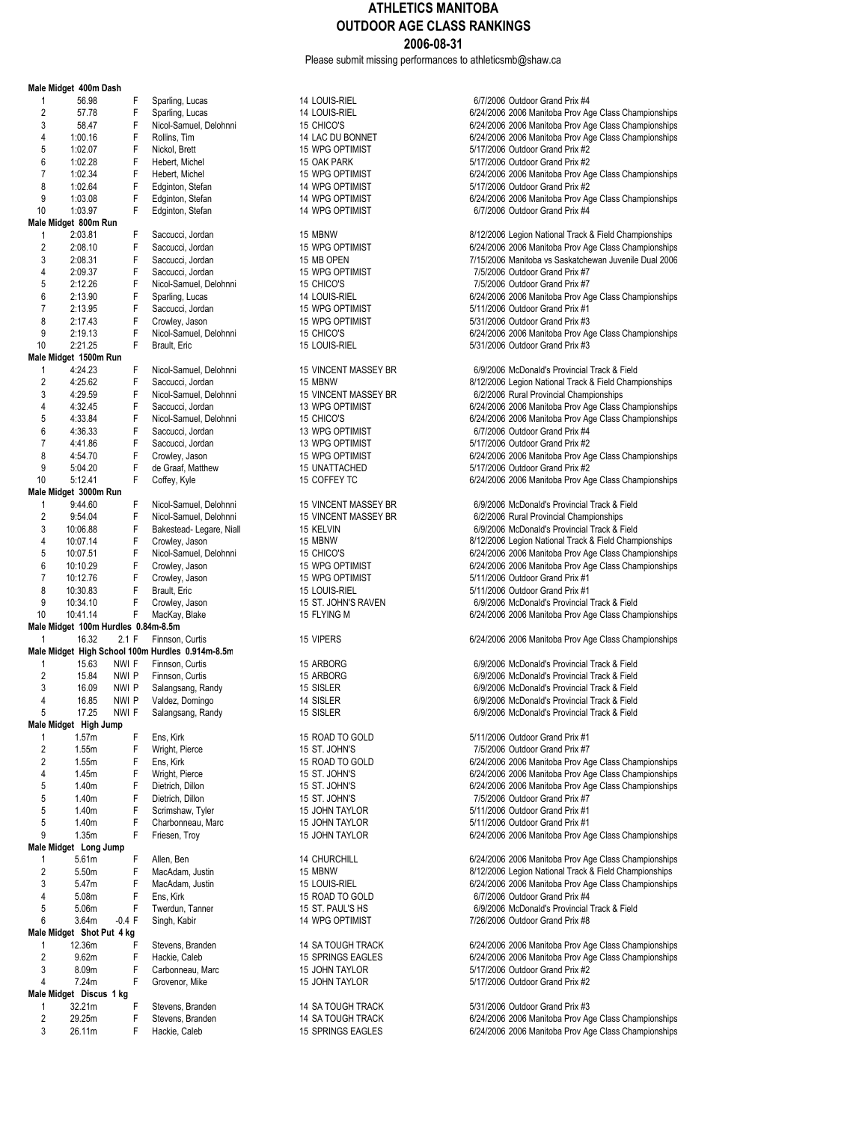Please submit missing performances to athleticsmb@shaw.ca

|                     | Male Midget 400m Dash               |                |                                                  |
|---------------------|-------------------------------------|----------------|--------------------------------------------------|
| 1                   | 56.98                               | F              | Sparling, Lucas                                  |
| $\overline{2}$      | 57.78                               | F              | Sparling, Lucas                                  |
| 3                   | 58.47                               | F              | Nicol-Samuel, Delohnn                            |
| 4                   | 1:00.16                             | F              | Rollins, Tim                                     |
| 5                   | 1:02.07                             | F              | Nickol, Brett                                    |
| 6<br>7              | 1:02.28<br>1:02.34                  | F<br>F         | Hebert, Michel                                   |
| 8                   | 1:02.64                             | F              | Hebert, Michel<br>Edginton, Stefan               |
| 9                   | 1:03.08                             | F              | Edginton, Stefan                                 |
| 10                  | 1:03.97                             | F              | Edginton, Stefan                                 |
|                     | Male Midget 800m Run                |                |                                                  |
| 1                   | 2:03.81                             | F              | Saccucci, Jordan                                 |
| 2                   | 2:08.10                             | F              | Saccucci, Jordan                                 |
| 3                   | 2:08.31                             | F              | Saccucci, Jordan                                 |
| 4                   | 2:09.37                             | F              | Saccucci, Jordan                                 |
| 5                   | 2:12.26                             | F              | Nicol-Samuel, Delohnn                            |
| 6                   | 2:13.90                             | F              | Sparling, Lucas                                  |
| 7                   | 2:13.95                             | F              | Saccucci, Jordan                                 |
| 8<br>9              | 2:17.43                             | F<br>F         | Crowley, Jason                                   |
| 10                  | 2:19.13<br>2:21.25                  | F              | Nicol-Samuel, Delohnn<br>Brault, Eric            |
|                     | Male Midget 1500m Run               |                |                                                  |
| 1                   | 4:24.23                             | F              | Nicol-Samuel, Delohnn                            |
| $\overline{2}$      | 4:25.62                             | F              | Saccucci, Jordan                                 |
| 3                   | 4:29.59                             | F              | Nicol-Samuel, Delohnn                            |
| 4                   | 4:32.45                             | F              | Saccucci, Jordan                                 |
| 5                   | 4:33.84                             | F              | Nicol-Samuel, Delohnn                            |
| 6                   | 4:36.33                             | F              | Saccucci, Jordan                                 |
| 7                   | 4:41.86                             | F              | Saccucci, Jordan                                 |
| 8                   | 4:54.70                             | F              | Crowley, Jason                                   |
| 9                   | 5:04.20                             | F              | de Graaf, Matthew                                |
| 10                  | 5:12.41                             | F              | Coffey, Kyle                                     |
|                     | Male Midget 3000m Run               |                |                                                  |
| 1                   | 9:44.60                             | F              | Nicol-Samuel, Delohnn                            |
| $\overline{2}$<br>3 | 9:54.04                             | F<br>F         | Nicol-Samuel, Delohnn                            |
| 4                   | 10:06.88<br>10:07.14                | F              | Bakestead-Legare, Nia<br>Crowley, Jason          |
| 5                   | 10:07.51                            | F              | Nicol-Samuel, Delohnn                            |
| 6                   | 10:10.29                            | F              | Crowley, Jason                                   |
| 7                   | 10:12.76                            | F              | Crowley, Jason                                   |
| 8                   | 10:30.83                            | F              | Brault, Eric                                     |
| 9                   | 10:34.10                            | F              | Crowley, Jason                                   |
| 10                  | 10:41.14                            | F              | MacKay, Blake                                    |
|                     | Male Midget 100m Hurdles 0.84m-8.5m |                |                                                  |
| 1                   | 16.32                               | 2.1 F          | Finnson, Curtis                                  |
|                     |                                     |                | Male Midget High School 100m Hurdles 0.914m-8.5m |
| 1                   | 15.63                               | NWI F          | Finnson, Curtis                                  |
| $\overline{2}$<br>3 | 15.84<br>16.09                      | NWI P<br>nwi P | Finnson, Curtis                                  |
| 4                   | 16.85                               | NWI P          | Salangsang, Randy<br>Valdez, Domingo             |
| 5                   | 17.25                               | NWI F          | Salangsang, Randy                                |
|                     | Male Midget High Jump               |                |                                                  |
| 1                   | 1.57m                               | F              | Ens, Kirk                                        |
| $\overline{2}$      | 1.55m                               | F              | Wright, Pierce                                   |
| 2                   | 1.55m                               | F              | Ens, Kirk                                        |
| 4                   | 1.45m                               | F              | Wright, Pierce                                   |
| 5                   | 1.40m                               | F              | Dietrich, Dillon                                 |
| 5                   | 1.40m                               | F              | Dietrich, Dillon                                 |
| 5                   | 1.40m                               | F              | Scrimshaw, Tyler                                 |
| 5                   | 1.40m                               | F              | Charbonneau, Marc                                |
| 9                   | 1.35m                               | F              | Friesen, Troy                                    |
|                     | Male Midget Long Jump               |                |                                                  |
| 1<br>2              | 5.61m                               | F<br>F         | Allen, Ben                                       |
| 3                   | 5.50m<br>5.47m                      | F              | MacAdam, Justin<br>MacAdam, Justin               |
| 4                   | 5.08m                               | F              | Ens, Kirk                                        |
| 5                   | 5.06m                               | F              | Twerdun, Tanner                                  |
| 6                   | 3.64m                               | $-0.4$ F       | Singh, Kabir                                     |
|                     | Male Midget Shot Put 4 kg           |                |                                                  |
| 1                   | 12.36m                              | F              | Stevens, Branden                                 |
| $\overline{2}$      | 9.62m                               | F              | Hackie, Caleb                                    |
| 3                   | 8.09m                               | F              | Carbonneau, Marc                                 |
| 4                   | 7.24m                               | F              | Grovenor, Mike                                   |
|                     | Male Midget Discus 1 kg             |                |                                                  |
| 1                   | 32.21m                              | F              | Stevens, Branden                                 |
|                     | 29.25m                              | F              | Stevens, Branden                                 |
| $\overline{c}$<br>3 | 26.11m                              | F              | Hackie, Caleb                                    |

14 SA TOUGH TRACK 5/31/2006 Outdoor Grand Prix #3<br>14 SA TOUGH TRACK 5/31/2006 2006 Manitoba Prov Ag

14 LOUIS-RIEL 6/7/2006 Outdoor Grand Prix #4<br>14 LOUIS-RIEL 6/24/2006 2006 Manitoba Prov Ac 24/2006 2006 Manitoba Prov Age Class Championships<br>2 6/24/2006 2006 Manitoba Prov Age Class Championships <sup>2</sup>15 CHICO'S 15 CHICO'S 6/24/2006 2006 Manitoba Prov Age Class Championships<br>14 LAC DU BONNET 6/24/2006 2006 Manitoba Prov Age Class Championships 14 LAC DU BONNET 6/24/2006 2006 Manitoba Prov Age Class Championships<br>15 WPG OPTIMIST 6/17/2006 2010 6010 001 Age Class Championships 15 NPG OPTIMIST<br>15 OAK PARK 15 CAR FORD 15/17/2006 Outdoor Grand Prix #2 15 OAK PARK 16 17/2006 Outdoor Grand Prix #2<br>15 WPG OPTIMIST 15 CONSERVED 16/24/2006 2006 Manitoba Prov Ag <sup>15</sup> VPG OPTIMIST<br>14 WPG OPTIMIST **12.34 F HEBERT 15 STAT 2006** 2006 Manitoba Prov Age Class Championships 14 WPG OPTIMIST 6/17/2006 Outdoor Grand Prix #2<br>14 WPG OPTIMIST 6/24/2006 2006 Manitoba Prov Ag 9 1:03.08 F Edginton, Stefan 14 WPG OPTIMIST 6/24/2006 2006 Manitoba Prov Age Class Championships  $6/7/2006$  Outdoor Grand Prix #4 15 MBNW<br>15 MPG OPTIMIST **15 COVERNMENT 15 SACCUCCI** 6/24/2006 2006 Manitoba Prov Age Class Championships <sup>2</sup> 2:096 Manitoba Prov Age Class Championships 6/24/2006 2006 Manitoba Prov Age Class Championships<br>2/15/2006 Manitoba vs Saskatchewan Juvenile Dual 2006 15 MB OPEN 15 MB OPEN 15 2006 7/15/2006 Manitoba vs Saskatchewan Juvenile Dual 2006<br>15 WPG OPTIMIST 15/2006 Outdoor Grand Prix #7 4 15 WPG OPTIMIST 15 CHICO'S<br>15 CHICO'S 12:09.37 F SACCUCCI, 27/5/2006 Outdoor Grand Prix #7 5 2:15 2:12.2006 Outdoor Grand Prix #7<br>14 DOUIS-RIEL 15 2:12.2006 2006 Manitoba Prov 14 LOUIS-RIEL 6/24/2006 2006 Manitoba Prov Age Class Championships<br>15 WPG OPTIMIST 5/11/2006 Outdoor Grand Prix #1 15 WPG OPTIMIST 5/11/2006 Outdoor Grand Prix #1<br>15 WPG OPTIMIST 5/31/2006 Outdoor Grand Prix #3 8 2:17.43 F Crowley, Jason 15 WPG OPTIMIST 5/31/2006 Outdoor Grand Prix #3 15 CHICO'S<br>15 LOUIS-RIEL 15 CHICO'S 6/24/2006 2006 Manitoba Prov Age Class Championships<br>5/31/2006 Outdoor Grand Prix #3 5/31/2006 Outdoor Grand Prix #3 15 VINCENT MASSEY BR 6/9/2006 McDonald's Provincial Track & Field<br>15 MBNW 6/12/2006 Legion National Track & Field Cham 15 MBNW<br>26/12/2006 Legion National Track & Field Championships<br>3/2006 Rural Provincial Championships ni 35 VINCENT MASSEY BR 6/2/2006 Rural Provincial Championships 4:3006 Manitoba Prov Age Class Championships 6/24/2006 2006 Manitoba Prov Age Class Championships<br>6/24/2006 2006 Manitoba Prov Age Class Championships 5 6/24/2006 2006 Manitoba Prov Age Class Championships<br>13 WPG OPTIMIST 6/7/2006 Outdoor Grand Prix #4 13 WPG OPTIMIST<br>13 WPG OPTIMIST 6/7/2006 Outdoor Grand Prix #2 5/17/2006 Outdoor Grand Prix #2 15 WPG OPTIMIST<br>15 UNATTACHED **CROWLEY STATES 15 THEORY OPTIMIZED 5/17/2006** Outdoor Grand Prix #2 9 15 UNATTACHED 5/17/2006 Outdoor Grand Prix #2<br>15 COFFEY TC 6/24/2006 2006 Manitoba Prov Ag 6/24/2006 2006 Manitoba Prov Age Class Championships 1 15 VINCENT MASSEY BR 6/9/2006 McDonald's Provincial Track & Field<br>15 VINCENT MASSEY BR 6/2/2006 Rural Provincial Championships 2 9:54.04 F Nicol-Samuel, Delohnni 15 VINCENT MASSEY BR 6/2/2006 Rural Provincial Championships 3 15 10:000 16:09/2006 McDonald's Provincial Track & Field<br>15 MBNW 15 MBNW 6/12/2006 Legion National Track & Field Cham 15 MBNW 15 MBNW 8/12/2006 Legion National Track & Field Championships<br>15 CHICO'S 6/24/2006 2006 Manitoba Prov Age Class Championships 5 15 CHICO'S<br>15 RMPG OPTIMIST F Nicola-Samuel CH24/2006 2006 Manitoba Prov Age Class Championships 15 WPG OPTIMIST<br>15 WPG OPTIMIST **CROWLEY STATES AND A STATE OF STATE ASSESS**<br>5/11/2006 Outdoor Grand Prix #1 15 WPG OPTIMIST<br>15 I OUIS-RIFI 5/11/2006 Outdoor Grand Prix #1<br>5/11/2006 Outdoor Grand Prix #1 15 A LOUIS-RIEL 5/11/2006 Outdoor Grand Prix #1<br>15 ST. JOHN'S RAVEN 6/9/2006 McDonald's Provincial 9 15 ST. JOHN'S RAVEN **15 CROWLEY FOR CROWLEY CROWLEY 15 ST. JOHN'S RAVEN 6/9/2006** McDonald's Provincial Track & Field<br>15 FLYING M 6/24/2006 2006 Manitoba Prov Age Class Championships 15 VIPERS 6/24/2006 2006 Manitoba Prov Age Class Championships 15 ARBORG 15.63 NUMI FORD 6/9/2006 McDonald's Provincial Track & Field<br>15 ARBORG 16 NUMI 6/9/2006 McDonald's Provincial Track & Field 2 15 ARBORG 15.84 NWI P Financial Track & Field<br>2 6/9/2006 McDonald's Provincial Track & Field 15 SISLER<br>14 SISLER 199/2006 McDonald's Provincial Track & Field 14 SISLER<br>15.81 15.85 16.85 New York Campions of GM 2006 McDonald's Provincial Track & Field 6/9/2006 McDonald's Provincial Track & Field 15 ROAD TO GOLD 5/11/2006 Outdoor Grand Prix #1<br>15 ST. JOHN'S 7/5/2006 Outdoor Grand Prix #7 2 15 ST. JOHN'S COMMENT COMMENT COMMENT THE POAR TO COLLECT A SALE FOR THE RESEARCH PRIME PRIME PRIME PRIME P<br>2006 Manifold Prime Prime Prime Prime Prime Prime Prime Prime Prime Prime Prime Prime Prime Prime Prime Prime P 15 ROAD TO GOLD<br>2006 15 ST. JOHN'S 6/24/2006 2006 Manitoba Prov Age Class Championships 4 15 ST. JOHN'S<br>15 ST. JOHN'S **FRAME ST. 2006 2006** Manitoba Prov Age Class Championships 15 ST. JOHN'S<br>15 ST. JOHN'S **Example 15 ST. Digital 15 ST. JOHN'S** 7/5/2006 Outdoor Grand Prix #7 7/5/2006 Outdoor Grand Prix #7 5 1.40m F Scrimshaw, Tyler 15 JOHN TAYLOR 5/11/2006 Outdoor Grand Prix #1 5 1.40m F Charbonness 15/11/2006 Outdoor Grand Prix #1<br>15 JOHN TAYLOR 5024/2006 2006 Manitoba Prov 6/24/2006 2006 Manitoba Prov Age Class Championships 14 CHURCHILL **14.61** 6/24/2006 2006 Manitoba Prov Age Class Championships<br>15 MBNW 105 MBNW 2 5.50m F MBNW F MacAdam State of MacAdam State of MacAdam State of MacAdam State Of MacAdam State Of MacAdam<br>2.500 Examples 15 MacAdam State of MacAdam State of MacAdam State of MacAdam State of MacAdam State of MacAdam 15 LOUIS-RIEL 6/24/2006 2006 Manitoba Prov Age Class Championships<br>15 ROAD TO GOLD 6/7/2006 Outdoor Grand Prix #4 15 ROAD TO GOLD 6/7/2006 Outdoor Grand Prix #4<br>15 ST. PAUL'S HS 15 ST. PAUL'S HS<br>14 WPG OPTIMIST FRAMENT MANUSIC RESULTS TO THE 7/26/2006 Outdoor Grand Prix #8 7/26/2006 Outdoor Grand Prix #8 14 SA TOUGH TRACK 6/24/2006 2006 Manitoba Prov Age Class Championships<br>15 SPRINGS EAGLES 6/24/2006 2006 Manitoba Prov Age Class Championships 15 SPRINGS EAGLES<br>2 9.624/2006 2006 Manitoba Prov Age Class Championships<br>3/17/2006 Outdoor Grand Prix #2 15 JOHN TAYLOR<br>15 JOHN TAYLOR 5/17/2006 Outdoor Grand Prix #2 5/17/2006 Outdoor Grand Prix #2

6/24/2006 2006 Manitoba Prov Age Class Championships ckie, Caleb 15 3PRINGS EAGLES 6/24/2006 2006 Manitoba Prov Age Class Championships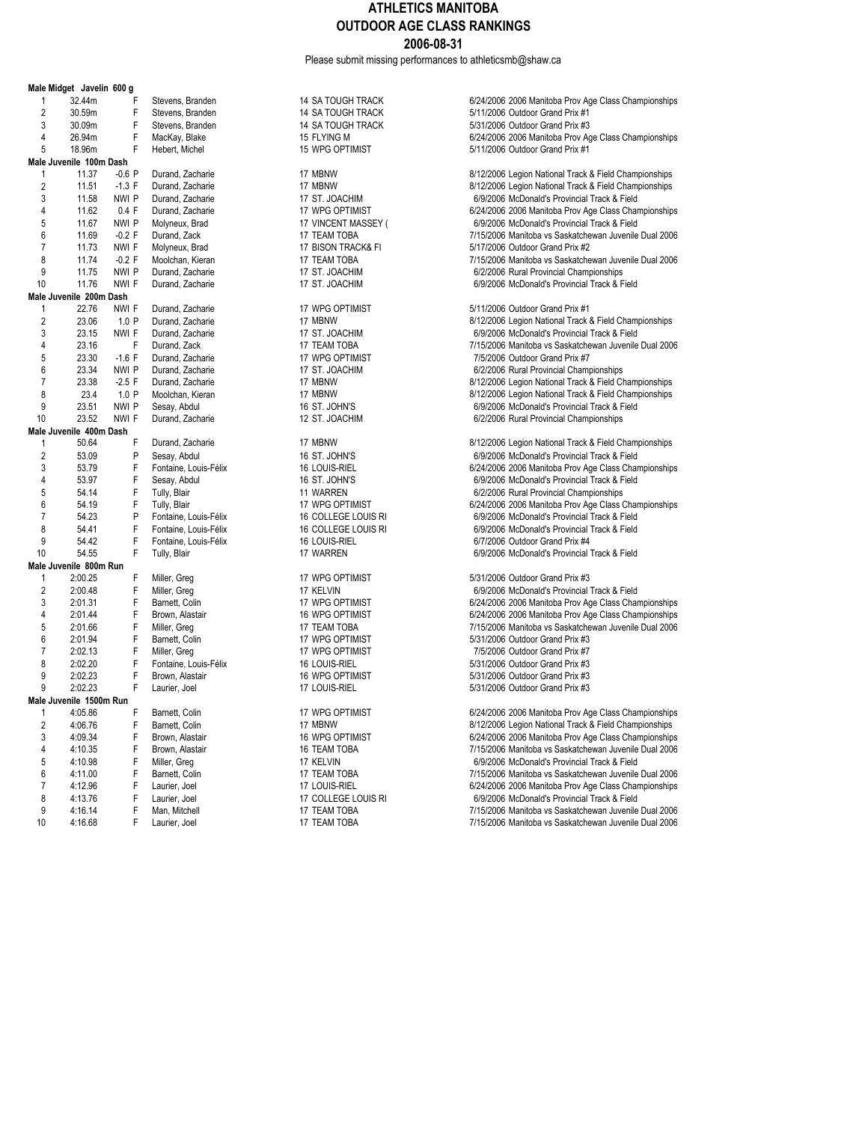Please submit missing performances to athleticsmb@shaw.ca

|                         | Male Midget Javelin 600 g |                  |   |                   |
|-------------------------|---------------------------|------------------|---|-------------------|
| 1                       | 32.44m                    |                  | F | Stevens, Brander  |
| $\overline{c}$          | 30.59m                    |                  | F | Stevens, Brander  |
| 3                       | 30.09m                    |                  | F | Stevens, Brander  |
| 4                       | 26.94m                    |                  | F | MacKay, Blake     |
| 5                       | 18.96m                    |                  | F | Hebert, Michel    |
|                         | Male Juvenile 100m Dash   |                  |   |                   |
| 1                       | 11.37                     | $-0.6P$          |   | Durand, Zacharie  |
| $\overline{2}$          | 11.51                     | $-1.3 F$         |   | Durand, Zacharie  |
| 3                       | 11.58                     | NWI <sub>P</sub> |   | Durand, Zacharie  |
| 4                       | 11.62                     | 0.4 F            |   | Durand, Zacharie  |
| 5                       | 11.67                     | NWI P            |   | Molyneux, Brad    |
| 6                       | 11.69                     | $-0.2$ F         |   | Durand, Zack      |
| 7                       | 11.73                     | NWI F            |   | Molyneux, Brad    |
| 8                       | 11.74                     | $-0.2$ F         |   | Moolchan, Kieran  |
|                         |                           |                  |   |                   |
| 9                       | 11.75                     | NWI P            |   | Durand, Zacharie  |
| 10                      | 11.76                     | NWI F            |   | Durand, Zacharie  |
|                         | Male Juvenile 200m Dash   |                  |   |                   |
| 1                       | 22.76                     | NWI F            |   | Durand, Zacharie  |
| $\overline{2}$          | 23.06                     | 1.0P             |   | Durand, Zacharie  |
| 3                       | 23.15                     | NWI F            |   | Durand, Zacharie  |
| 4                       | 23.16                     |                  | F | Durand, Zack      |
| 5                       | 23.30                     | $-1.6 F$         |   | Durand, Zacharie  |
| 6                       | 23.34                     | nwi p            |   | Durand, Zacharie  |
| 7                       | 23.38                     | $-2.5$ F         |   | Durand, Zacharie  |
| 8                       | 23.4                      | 1.0P             |   | Moolchan, Kieran  |
| 9                       | 23.51                     | nwi p            |   | Sesay, Abdul      |
| 10                      | 23.52                     | NWI F            |   | Durand, Zacharie  |
|                         | Male Juvenile 400m Dash   |                  |   |                   |
| 1                       | 50.64                     |                  | F | Durand, Zacharie  |
| $\overline{c}$          | 53.09                     |                  | P | Sesay, Abdul      |
| 3                       | 53.79                     |                  | F | Fontaine, Louis-F |
| 4                       | 53.97                     |                  | F | Sesay, Abdul      |
| 5                       | 54.14                     |                  | F | Tully, Blair      |
| 6                       | 54.19                     |                  | F | Tully, Blair      |
| 7                       | 54.23                     |                  | P | Fontaine, Louis-F |
| 8                       | 54.41                     |                  | F | Fontaine, Louis-F |
| 9                       | 54.42                     |                  | F | Fontaine, Louis-F |
| 10                      | 54.55                     |                  | F |                   |
|                         |                           |                  |   | Tully, Blair      |
|                         | Male Juvenile 800m Run    |                  | F |                   |
| 1                       | 2:00.25                   |                  |   | Miller, Greg      |
| $\overline{2}$          | 2:00.48                   |                  | F | Miller, Greg      |
| 3                       | 2:01.31                   |                  | F | Barnett, Colin    |
| $\overline{\mathbf{4}}$ | 2:01.44                   |                  | F | Brown, Alastair   |
| 5                       | 2:01.66                   |                  | F | Miller, Greg      |
| 6                       | 2:01.94                   |                  | F | Barnett, Colin    |
| 7                       | 2:02.13                   |                  | F | Miller, Greg      |
| 8                       | 2:02.20                   |                  | F | Fontaine, Louis-F |
| 9                       | 2:02.23                   |                  | F | Brown, Alastair   |
| 9                       | 2:02.23                   |                  | F | Laurier, Joel     |
|                         | Male Juvenile 1500m Run   |                  |   |                   |
| 1                       | 4:05.86                   |                  | F | Barnett, Colin    |
| $\overline{2}$          | 4:06.76                   |                  | F | Barnett, Colin    |
| 3                       | 4:09.34                   |                  | F | Brown, Alastair   |
| 4                       | 4:10.35                   |                  | F | Brown, Alastair   |
| 5                       | 4:10.98                   |                  | F | Miller, Greg      |
| 6                       | 4:11.00                   |                  | F | Barnett, Colin    |
| 7                       | 4:12.96                   |                  | F | Laurier, Joel     |
| 8                       | 4:13.76                   |                  | F | Laurier, Joel     |
| 9                       |                           |                  | F |                   |
|                         | 4:16.14                   |                  |   | Man, Mitchell     |

14 SA TOUGH TRACK 6/24/2006 2006 Manitoba Prov Age Class Championships<br>14 SA TOUGH TRACK 6/24/2006 2011 12006 Outdoor Grand Prix #1 <sup>2</sup> 14 SA TOUGH TRACK 5/11/2006 Outdoor Grand Prix #1<br>14 SA TOUGH TRACK 5/31/2006 Outdoor Grand Prix #3 14 SA TOUGH TRACK 5/31/2006 Outdoor Grand Prix #3<br>15 El YING M<br>6/24/2006 2006 Manitoba Prov Ar 15 FLYING M<br>15 WPG OPTIMIST **Annual MacKay, Branch 15 FMacKay, Blackay, Branch Annual State 16, 14**<br>16 November 2014 17:0006 2014 17:0006 2014 17:0006 2014 17:0006 2014 17:0006 2014 17:0006 2014 17:0006 2014 17 5/11/2006 Outdoor Grand Prix #1 17 MBNW<br>17 MBNW 8/12/2006 Legion National Track & Field Championships<br>2/12/2006 Legion National Track & Field Championships 2 17 MBNW<br>2 17 ST. JOACHIM 8/12/2006 Legion National Track & Field Championships<br>3 6/9/2006 McDonald's Provincial Track & Field 17 ST. JOACHIM **CHARIGHT AND THE DURAND, 2006** McDonald's Provincial Track & Field<br>17 NPG OPTIMIST **CHARIGHT AND THE STATE OF A STATE OF A STATE AND THE STATE OF A STATE OF A STATE OF A STATE O** 17 WPG OPTIMIST<br>4 17 VINCENT MASSEY (
6/9/2006 McDonald's Provincial Track & Field
619/2006 McDonald's Provincial Track & Field 5 17 VINCENT MASSEY ( 6/9/2006 McDonald's Provincial Track & Field<br>17 TEAM TOBA 17 15/2006 Manitoba vs Saskatchewan Juvenile 17 TEAM TOBA<br>6 11.69 -0.2 TOBA 7/15/2006 Manitoba vs Saskatchewan Juvenile Dual 2006<br>5/17/2006 Outdoor Grand Prix #2 17 BISON TRACK& FI **12.73 NWI F MOLYNEUS 17 TEAM TOBA** 17 TEAM TOBA<br>17 TEAM TOBA 500 T/15/2006 Manitoba vs Saskatche 17 TEAM TOBA<br>17 ST JOACHIM -0.2 F MOOD TO RIGHAN 17 ST JOACHIM 17 ST. JOACHIM **17 ST.** JOACHIM **Provincial Championships**<br>17 ST. JOACHIM 6/9/2006 McDonald's Provincial Track & F 6/9/2006 McDonald's Provincial Track & Field 17 WPG OPTIMIST<br>17 MBNW 127 NMBNW 5/12/2006 Legion National Track 2/12/2006 Legion National Track & Field Championships<br>17 ST. JOACHIM 8/2006 McDonald's Provincial Track & Field 17 ST. JOACHIM **12.15 NWI F DURAND, 2006** McDonald's Provincial Track & Field<br>17 TEAM TOBA 17 NWI F DURAND 7/15/2006 Manitoba vs Saskatchewan Juvenile 17 TEAM TOBA<br>17 WPG OPTIMIST **18.16 FM 2006 CONSTANDING** 17 WPG OPTIMIST 17 WPG OPTIMIST 12 2006 Outdoor Grand Prix #7<br>17 ST. JOACHIM 17 6/2/2006 Rural Provincial Champ 17 ST. JOACHIM **CHAMIC COMING A DURANG CONTACT CONTACT CONTACT CONTACT CONTACT CONTACT CONTACT CONTACT CONTACT**<br>8/12/2006 Legion National Track & Field Ch 17 MBNW 123.38 -2.5 F Durand, 2012/2006 Legion National Track & Field Championships<br>17 MBNW 12006 Legion National Track & Field Championships 17 MBNW<br>16 ST. JOHN'S **1.0 Provides 17 1.0 PMOOLCHAN, AND 17 MBN** 87-10 MCDonald's Provincial Track & Field 9 23.51 NWI P Sesay, Abdul 16 ST. JOHN'S 6/9/2006 McDonald's Provincial Track & Field 6/2/2006 Rural Provincial Championships 17 MBNW<br>16 ST. JOHN'S **Example 18** F Durand, 2012/2006 McDonald's Provincial Track & Field 2 53.09/2006 McDonald's Provincial Track & Field<br>2006 Banitoba Prov Age Class Char فاركة 6/24/2006 2006 Manitoba Prov Age Class Char 16 LOUIS-RIEL 6/24/2006 2006 Manitoba Prov Age Class Championships<br>16 ST. JOHN'S 66/2006 McDonald's Provincial Track & Field 16 ST. JOHN'S **Formul 16 ST. JOHN'S** 6/9/2006 McDonald's Provincial Track & Field<br>11 WARREN 6/2/2006 Rural Provincial Championships 11 WARREN<br>17 WPG OPTIMIST CONTROL TULLY AND SALLAM BOOK Manitoba Prov Age Class ( 17 WPG OPTIMIST 6/24/2006 2006 Manitoba Prov Age Class Championships<br>6/9/2006 McDonald's Provincial Track & Field 7 54.23 P FONTAINE, LOUIS-RI 6/9/2006 McDonald's Provincial Track & Field 6/9/2006 McDonald's Provincial Track<br>16 COLLEGE LOUIS RI 6/9/2006 McDonald's Provincial Track & Field 16 COLLEGE LOUIS RI 6/9/2006 McDonald's Provincial Track & Field<br>16 LOUIS-RIEL 6/7/2006 Outdoor Grand Prix #4 9 64.42 Found Prix #4.42 Found Prix #4.42 Found Prix #4.42 Found Prix #4.52 Found Prix #4.52 Found Prix #4.52<br>17 NARREN 6/9/2006 McDonald's Provincial 6/9/2006 McDonald's Provincial Track & Field 17 WPG OPTIMIST<br>17 KFI VIN GREG 17 F MILLER S/31/2006 McDonald's Provincial 1 2:17 KELVIN **ELVIN EXECUTE 17 CONSUMED 17 ACCONSUMED 17 AVEC 17 MILLER 17 AVEC 17 AVEC 17 CONSUMED 17 AVEC 17 AVEC 17 AVEC 17 AVEC 17 AVEC 17 AVEC 17 AVEC 17 AVEC 17 AVEC 17 AVEC 17 AVEC 17 AVEC 17 AVEC 17 AVEC 17 AVEC 17** 17 WPG OPTIMIST<br>31 AMPG OPTIMIST FRAMEN 2006 2006 Manitoba Prov Age Class Championships 6/24/2006 2006 Manitoba Prov Age Class Championships 17 TEAM TOBA<br>17 WPG OPTIMIST **FULLER COMING 17 STATE 17 AUGUST 17 WPG OPTIMIST**<br>5/31/2006 Outdoor Grand Prix #3 6 2:01.94 F Barnett, Colin 17 WPG OPTIMIST 5/31/2006 Outdoor Grand Prix #3 17 VIPG OPTIMIST<br>16 LOUIS-RIEL 10 12:02.13 F Miller, Greg 17/2006 Outdoor Grand Prix #3 8 2:02.2006 For The US-NEL Signal Countries in the USA of State 16 AM STATE 16 AM STATE 16 AM STATE 16 AM STAT<br>16 State 16 AM STATE 16 AM STATE 16 AM STATE 16 AM STATE 16 AM STATE 16 AM STATE 16 AM STATE 16 AM STATE 16 AM 9 16 WPG OPTIMIST 16 2:02.23 F 5/31/2006 Outdoor Grand Prix #3<br>17 LOUIS-RIEL 16 2:02.23 5/31/2006 Outdoor Grand Prix #3 5/31/2006 Outdoor Grand Prix #3 17 WPG OPTIMIST<br>17 MBNW<br>17 MBNW 6/12/2006 Legion National Track & Field Championships 2/12/2006 Legion National Track & Field Championships<br>2/12/2006 2006 Manitoba Prov Age Class Championships<br>3/12/2006 2006 Manitoba Prov Age Class Championships 16 WPG OPTIMIST **16 A:09.34 F Brown, Alastair 16 WPG OPTIMIST** 6/24/2006 2006 Manitoba Prov Age Class Championships<br>16 TEAM TOBA **1998 16:00 TOB PROVIDENT** 7/15/2006 Manitoba vs Saskatchewan Juvenile Dual 2006 16 TEAM TOBA<br>17 KELVIN 16 TEAM TOBA 16 TEAM 7/15/2006 Manitoba vs Saskatchewan Juvenile Dual 2006<br>17 KELVIN 16 TEAM 6/9/2006 McDonald's Provincial Track & Field 5 5/9/2006 McDonald's Provincial Track & Field<br>17 FEAM TOBA 67/15/2006 Manitoba vs Saskatchewan Juvenile 17 TEAM TOBA<br>17 LOUIS-RIEL **FRAM TOBA 71.000 FEAD 17 TOBA 71 ACCIDEN**<br>6/24/2006 2006 Manitoba Prov Age Class Championships 17 LOUIS-RIEL 6/24/2006 2006 Manitoba Prov Age Class Championships<br>17 COLLEGE LOUIS RI<br>6/9/2006 McDonald's Provincial Track & Field 6/9/2006 McDonald's Provincial Track & Field

9 17 TEAM TOBA 1008 115.14 F 7/15/2006 Manitoba vs Saskatchewan Juvenile Dual 2006<br>17 TEAM TOBA 17 TEAM TOBA 17/15/2006 Manitoba vs Saskatchewan Juvenile Dual 2006 10 4:16.68 F Laurier, Joel 17 TEAM TOBA 7/15/2006 Manitoba vs Saskatchewan Juvenile Dual 2006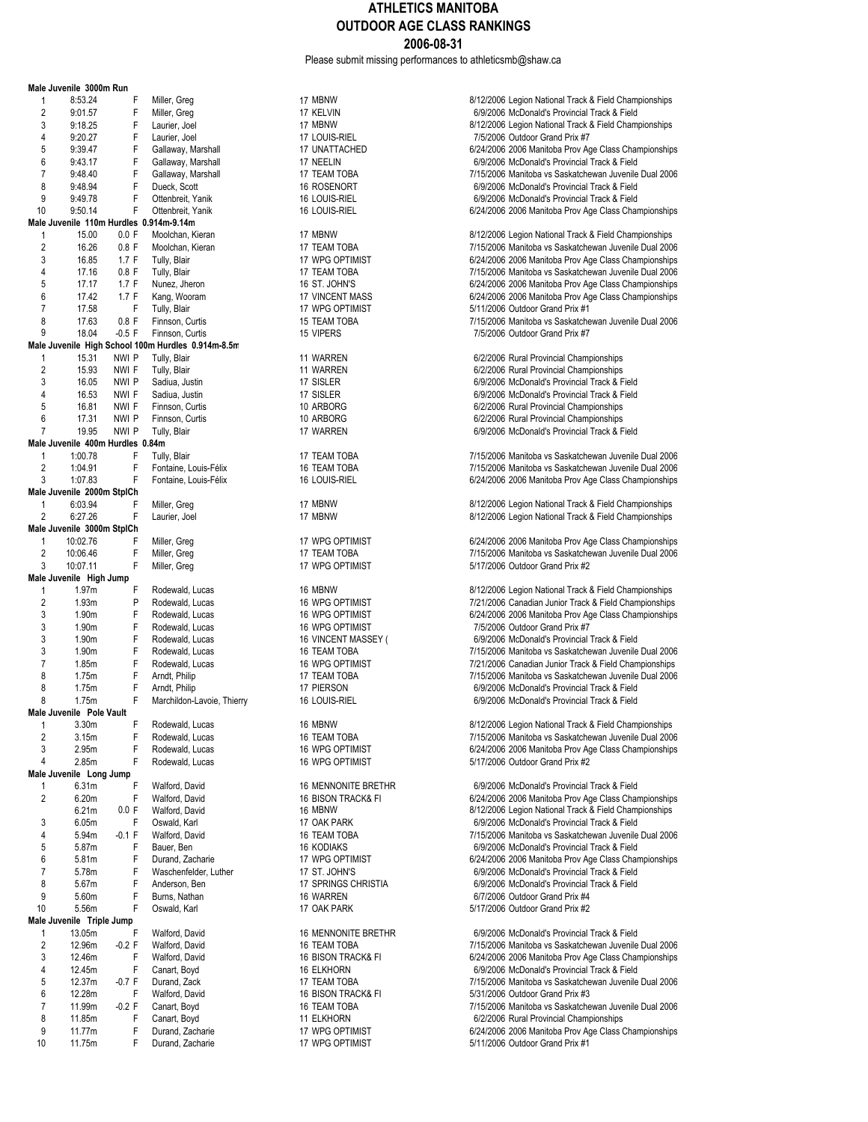Please submit missing performances to athleticsmb@shaw.ca

|                     | Male Juvenile 3000m Run                 |                |                                                    |                                         |                                                                                                                |
|---------------------|-----------------------------------------|----------------|----------------------------------------------------|-----------------------------------------|----------------------------------------------------------------------------------------------------------------|
| 1                   | 8:53.24                                 | F              | Miller, Greg                                       | 17 MBNW                                 | 8/12/2006 Legion National Track & Field Championships                                                          |
| $\overline{2}$      | 9:01.57                                 | F              | Miller, Greg                                       | 17 KELVIN                               | 6/9/2006 McDonald's Provincial Track & Field                                                                   |
| 3                   | 9:18.25                                 | F              | Laurier, Joel                                      | 17 MBNW                                 | 8/12/2006 Legion National Track & Field Championships                                                          |
| 4                   | 9:20.27                                 | F              | Laurier, Joel                                      | 17 LOUIS-RIEL                           | 7/5/2006 Outdoor Grand Prix #7                                                                                 |
| 5                   | 9:39.47                                 | F              | Gallaway, Marshall                                 | 17 UNATTACHED                           | 6/24/2006 2006 Manitoba Prov Age Class Championships                                                           |
| 6                   | 9:43.17                                 | F              | Gallaway, Marshall                                 | 17 NEELIN                               | 6/9/2006 McDonald's Provincial Track & Field                                                                   |
| $\overline{7}$      | 9:48.40                                 | F              | Gallaway, Marshall                                 | 17 TEAM TOBA                            | 7/15/2006 Manitoba vs Saskatchewan Juvenile Dual 2006                                                          |
| 8                   | 9:48.94                                 | F              | Dueck, Scott                                       | 16 ROSENORT                             | 6/9/2006 McDonald's Provincial Track & Field                                                                   |
| 9                   | 9:49.78                                 | $\mathsf F$    | Ottenbreit, Yanik                                  | 16 LOUIS-RIEL                           | 6/9/2006 McDonald's Provincial Track & Field                                                                   |
| 10                  | 9:50.14                                 | F              | Ottenbreit, Yanik                                  | 16 LOUIS-RIEL                           | 6/24/2006 2006 Manitoba Prov Age Class Championships                                                           |
|                     | Male Juvenile 110m Hurdles 0.914m-9.14m |                |                                                    |                                         |                                                                                                                |
| $\mathbf{1}$        | 15.00                                   | 0.0 F          | Moolchan, Kieran                                   | 17 MBNW                                 | 8/12/2006 Legion National Track & Field Championships<br>7/15/2006 Manitoba vs Saskatchewan Juvenile Dual 2006 |
| $\overline{c}$<br>3 | 16.26                                   | $0.8$ F        | Moolchan, Kieran                                   | 17 TEAM TOBA                            |                                                                                                                |
|                     | 16.85                                   | 1.7 F          | Tully, Blair                                       | 17 WPG OPTIMIST                         | 6/24/2006 2006 Manitoba Prov Age Class Championships                                                           |
| 4<br>5              | 17.16                                   | $0.8$ F        | Tully, Blair<br>Nunez, Jheron                      | 17 TEAM TOBA                            | 7/15/2006 Manitoba vs Saskatchewan Juvenile Dual 2006                                                          |
| 6                   | 17.17<br>17.42                          | 1.7 F<br>1.7 F | Kang, Wooram                                       | 16 ST. JOHN'S<br><b>17 VINCENT MASS</b> | 6/24/2006 2006 Manitoba Prov Age Class Championships<br>6/24/2006 2006 Manitoba Prov Age Class Championships   |
| $\overline{7}$      | 17.58                                   | F              | Tully, Blair                                       | 17 WPG OPTIMIST                         | 5/11/2006 Outdoor Grand Prix #1                                                                                |
| 8                   | 17.63                                   | $0.8$ F        | Finnson, Curtis                                    | 15 TEAM TOBA                            | 7/15/2006 Manitoba vs Saskatchewan Juvenile Dual 2006                                                          |
| 9                   | 18.04                                   | $-0.5$ F       | Finnson, Curtis                                    | 15 VIPERS                               | 7/5/2006 Outdoor Grand Prix #7                                                                                 |
|                     |                                         |                | Male Juvenile High School 100m Hurdles 0.914m-8.5m |                                         |                                                                                                                |
| 1                   | 15.31                                   | NWI P          | Tully, Blair                                       | 11 WARREN                               | 6/2/2006 Rural Provincial Championships                                                                        |
| $\sqrt{2}$          | 15.93                                   | NWI F          | Tully, Blair                                       | 11 WARREN                               | 6/2/2006 Rural Provincial Championships                                                                        |
| 3                   | 16.05                                   | NWI P          | Sadiua, Justin                                     | 17 SISLER                               | 6/9/2006 McDonald's Provincial Track & Field                                                                   |
| 4                   | 16.53                                   | NWI F          | Sadiua, Justin                                     | 17 SISLER                               | 6/9/2006 McDonald's Provincial Track & Field                                                                   |
| 5                   | 16.81                                   | NWI F          | Finnson, Curtis                                    | 10 ARBORG                               | 6/2/2006 Rural Provincial Championships                                                                        |
| 6                   | 17.31                                   | NWI P          | Finnson, Curtis                                    | 10 ARBORG                               | 6/2/2006 Rural Provincial Championships                                                                        |
| $\overline{7}$      | 19.95                                   | NWI P          | Tully, Blair                                       | 17 WARREN                               | 6/9/2006 McDonald's Provincial Track & Field                                                                   |
|                     | Male Juvenile 400m Hurdles 0.84m        |                |                                                    |                                         |                                                                                                                |
| $\mathbf{1}$        | 1:00.78                                 | F              | Tully, Blair                                       | 17 TEAM TOBA                            | 7/15/2006 Manitoba vs Saskatchewan Juvenile Dual 2006                                                          |
| $\overline{2}$      | 1:04.91                                 | F              | Fontaine, Louis-Félix                              | 16 TEAM TOBA                            | 7/15/2006 Manitoba vs Saskatchewan Juvenile Dual 2006                                                          |
| 3                   | 1:07.83                                 | F              | Fontaine, Louis-Félix                              | 16 LOUIS-RIEL                           | 6/24/2006 2006 Manitoba Prov Age Class Championships                                                           |
|                     | Male Juvenile 2000m StplCh              |                |                                                    |                                         |                                                                                                                |
| $\mathbf{1}$        | 6:03.94                                 | F              | Miller, Greg                                       | 17 MBNW                                 | 8/12/2006 Legion National Track & Field Championships                                                          |
| $\overline{2}$      | 6:27.26                                 | F              | Laurier, Joel                                      | 17 MBNW                                 | 8/12/2006 Legion National Track & Field Championships                                                          |
|                     | Male Juvenile 3000m StplCh              |                |                                                    |                                         |                                                                                                                |
| 1                   | 10:02.76                                | F              | Miller, Greg                                       | 17 WPG OPTIMIST                         | 6/24/2006 2006 Manitoba Prov Age Class Championships                                                           |
| $\overline{2}$      | 10:06.46                                | F              | Miller, Greg                                       | 17 TEAM TOBA                            | 7/15/2006 Manitoba vs Saskatchewan Juvenile Dual 2006                                                          |
| 3                   | 10:07.11                                | F              | Miller, Greg                                       | 17 WPG OPTIMIST                         | 5/17/2006 Outdoor Grand Prix #2                                                                                |
|                     | Male Juvenile High Jump                 |                |                                                    |                                         |                                                                                                                |
| $\mathbf{1}$        | 1.97m                                   | F              | Rodewald, Lucas                                    | 16 MBNW                                 | 8/12/2006 Legion National Track & Field Championships                                                          |
| $\overline{c}$      | 1.93m                                   | P              | Rodewald, Lucas                                    | 16 WPG OPTIMIST                         | 7/21/2006 Canadian Junior Track & Field Championships                                                          |
| 3                   | 1.90m                                   | F              | Rodewald, Lucas                                    | <b>16 WPG OPTIMIST</b>                  | 6/24/2006 2006 Manitoba Prov Age Class Championships                                                           |
| 3                   | 1.90m                                   | F              | Rodewald, Lucas                                    | 16 WPG OPTIMIST                         | 7/5/2006 Outdoor Grand Prix #7                                                                                 |
| 3                   | 1.90m                                   | F              | Rodewald, Lucas                                    | 16 VINCENT MASSEY (                     | 6/9/2006 McDonald's Provincial Track & Field                                                                   |
| 3                   | 1.90m                                   | F              | Rodewald, Lucas                                    | 16 TEAM TOBA                            | 7/15/2006 Manitoba vs Saskatchewan Juvenile Dual 2006                                                          |
| $\overline{7}$      | 1.85m                                   | F              | Rodewald, Lucas                                    | 16 WPG OPTIMIST                         | 7/21/2006 Canadian Junior Track & Field Championships                                                          |
| 8                   | 1.75m                                   | F              | Arndt, Philip                                      | 17 TEAM TOBA                            | 7/15/2006 Manitoba vs Saskatchewan Juvenile Dual 2006                                                          |
| 8                   | 1.75m                                   | F              | Arndt, Philip                                      | 17 PIERSON                              | 6/9/2006 McDonald's Provincial Track & Field                                                                   |
| 8                   | 1.75m                                   | F              | Marchildon-Lavoie, Thierry                         | 16 LOUIS-RIEL                           | 6/9/2006 McDonald's Provincial Track & Field                                                                   |
|                     | Male Juvenile Pole Vault                |                |                                                    |                                         |                                                                                                                |
| $\mathbf{1}$        | 3.30m                                   | F              | Rodewald, Lucas                                    | 16 MBNW                                 | 8/12/2006 Legion National Track & Field Championships                                                          |
| $\overline{2}$      | 3.15m                                   | F              | Rodewald, Lucas                                    | 16 TEAM TOBA                            | 7/15/2006 Manitoba vs Saskatchewan Juvenile Dual 2006                                                          |
| 3                   | 2.95m                                   | F              | Rodewald, Lucas                                    | 16 WPG OPTIMIST                         | 6/24/2006 2006 Manitoba Prov Age Class Championships                                                           |
| 4                   | 2.85m                                   | F              | Rodewald, Lucas                                    | 16 WPG OPTIMIST                         | 5/17/2006 Outdoor Grand Prix #2                                                                                |
|                     | Male Juvenile Long Jump                 |                |                                                    |                                         |                                                                                                                |
| 1                   | 6.31m                                   | F              | Walford, David                                     | 16 MENNONITE BRETHR                     | 6/9/2006 McDonald's Provincial Track & Field                                                                   |
| $\overline{2}$      | 6.20m                                   | F              | Walford, David                                     | 16 BISON TRACK& FI                      | 6/24/2006 2006 Manitoba Prov Age Class Championships                                                           |
|                     | 6.21m                                   | 0.0 F          | Walford, David                                     | 16 MBNW                                 | 8/12/2006 Legion National Track & Field Championships                                                          |
| 3                   | 6.05m                                   | F              | Oswald, Karl                                       | 17 OAK PARK                             | 6/9/2006 McDonald's Provincial Track & Field                                                                   |
| 4                   | 5.94m                                   | $-0.1 F$       | Walford, David                                     | 16 TEAM TOBA                            | 7/15/2006 Manitoba vs Saskatchewan Juvenile Dual 2006                                                          |
| 5                   | 5.87m                                   | F              | Bauer, Ben                                         | <b>16 KODIAKS</b>                       | 6/9/2006 McDonald's Provincial Track & Field                                                                   |
| 6                   | 5.81m                                   | F              | Durand, Zacharie                                   | 17 WPG OPTIMIST                         | 6/24/2006 2006 Manitoba Prov Age Class Championships                                                           |
| $\overline{7}$      | 5.78m                                   | F              | Waschenfelder, Luther                              | 17 ST. JOHN'S                           | 6/9/2006 McDonald's Provincial Track & Field                                                                   |
| 8                   | 5.67m                                   | F              | Anderson, Ben                                      | 17 SPRINGS CHRISTIA                     | 6/9/2006 McDonald's Provincial Track & Field                                                                   |
| 9                   | 5.60m                                   | F              | Burns, Nathan                                      | 16 WARREN                               | 6/7/2006 Outdoor Grand Prix #4                                                                                 |
| 10                  | 5.56m                                   | F              | Oswald, Karl                                       | 17 OAK PARK                             | 5/17/2006 Outdoor Grand Prix #2                                                                                |
|                     | Male Juvenile Triple Jump               |                |                                                    |                                         |                                                                                                                |
| 1                   | 13.05m                                  | F              | Walford, David                                     | 16 MENNONITE BRETHR                     | 6/9/2006 McDonald's Provincial Track & Field                                                                   |
| $\overline{2}$      | 12.96m                                  | $-0.2$ F       | Walford, David                                     | 16 TEAM TOBA                            | 7/15/2006 Manitoba vs Saskatchewan Juvenile Dual 2006                                                          |
| 3                   | 12.46m                                  | F              | Walford, David                                     | 16 BISON TRACK& FI                      | 6/24/2006 2006 Manitoba Prov Age Class Championships                                                           |
| 4                   | 12.45m                                  | F              | Canart, Boyd                                       | <b>16 ELKHORN</b>                       | 6/9/2006 McDonald's Provincial Track & Field                                                                   |
| 5                   | 12.37m                                  | $-0.7 F$       | Durand, Zack                                       | 17 TEAM TOBA                            | 7/15/2006 Manitoba vs Saskatchewan Juvenile Dual 2006                                                          |
| 6                   | 12.28m                                  | F              | Walford, David                                     | 16 BISON TRACK& FI                      | 5/31/2006 Outdoor Grand Prix #3                                                                                |
| $\overline{7}$      | 11.99m                                  | $-0.2$ F       | Canart, Boyd                                       | 16 TEAM TOBA                            | 7/15/2006 Manitoba vs Saskatchewan Juvenile Dual 2006                                                          |
| 8                   | 11.85m                                  | F              | Canart, Boyd                                       | 11 ELKHORN                              | 6/2/2006 Rural Provincial Championships                                                                        |
| 9                   | 11.77m                                  | F              | Durand, Zacharie                                   | 17 WPG OPTIMIST                         | 6/24/2006 2006 Manitoba Prov Age Class Championships                                                           |
| 10                  | 11.75m                                  | F              | Durand, Zacharie                                   | 17 WPG OPTIMIST                         | 5/11/2006 Outdoor Grand Prix #1                                                                                |

| 17 MBNW<br>17 KELVIN<br>17 MBNW<br>17 LOUIS-RIEL<br>17 UNATTACHED<br>17 NEELIN<br>17 TEAM TOBA<br>16 ROSENORT<br>16 LOUIS-RIEL<br><b>16 LOUIS-RIEL</b>                                   |
|------------------------------------------------------------------------------------------------------------------------------------------------------------------------------------------|
| 17 MBNW<br>17 TEAM TOBA<br>17 WPG OPTIMIST<br>17 TEAM TOBA<br>16 ST. JOHN'S<br>17 VINCENT MASS<br>17 WPG OPTIMIST<br>15 TEAM TOBA<br>15 VIPERS                                           |
| 11 WARREN<br>11 WARREN<br>17 SISLER<br>17 SISLER<br>10 ARBORG<br>10 ARBORG<br>17 WARREN                                                                                                  |
| 17 TEAM TOBA<br>16 TEAM TOBA<br>16 LOUIS-RIEL                                                                                                                                            |
| 17 MBNW<br>17 MBNW                                                                                                                                                                       |
| 17 WPG OPTIMIST<br>17 TEAM TOBA<br>17 WPG OPTIMIST                                                                                                                                       |
| 16 MBNW<br>16 WPG OPTIMIST<br><b>16 WPG OPTIMIST</b><br>16 WPG OPTIMIST<br>16 VINCENT MASSEY (<br>16 TEAM TOBA<br>16 WPG OPTIMIST<br>17 TEAM TOBA<br>17 PIERSON<br>16 LOUIS-RIEL         |
| 16 MBNW<br>16 TEAM TOBA<br>16 WPG OPTIMIST<br>16 WPG OPTIMIST                                                                                                                            |
| 16 MENNONITE BRETHR<br>16 BISON TRACK& FI<br>16 MBNW<br>17 OAK PARK<br>16 TEAM TOBA<br>16 KODIAKS<br>17 WPG OPTIMIST<br>17 ST. JOHN'S<br>17 SPRINGS CHRISTIA<br>16 WARREN<br>17 OAK PARK |
| 16 MENNONITE BRETHR<br>16 TEAM TOBA<br>16 BISON TRACK& FI<br>16 ELKHORN<br>17 TEAM TOBA<br>16 BISON TRACK& FI<br>16 TEAM TOBA<br>11 ELKHORN<br>17 WPG OPTIMIST<br>17 WPG OPTIMIST        |

|                | ale Juvenile  3000m Run                |          |                                                   |                               |                                                       |
|----------------|----------------------------------------|----------|---------------------------------------------------|-------------------------------|-------------------------------------------------------|
| 1              | 8:53.24                                | F        | Miller, Greg                                      | 17 MBNW                       | 8/12/2006 Legion National Track & Field Championships |
| 2              | 9:01.57                                | F        | Miller, Greg                                      | 17 KELVIN                     | 6/9/2006 McDonald's Provincial Track & Field          |
| 3              | 9:18.25                                | F        | Laurier, Joel                                     | 17 MBNW                       | 8/12/2006 Legion National Track & Field Championships |
| 4              | 9:20.27                                | F        | Laurier, Joel                                     | 17 LOUIS-RIEL                 | 7/5/2006 Outdoor Grand Prix #7                        |
| 5              | 9:39.47                                | F        | Gallaway, Marshall                                | 17 UNATTACHED                 | 6/24/2006 2006 Manitoba Prov Age Class Championships  |
| 6              | 9:43.17                                | F        | Gallaway, Marshall                                | 17 NEELIN                     | 6/9/2006 McDonald's Provincial Track & Field          |
| 7              | 9:48.40                                | F        | Gallaway, Marshall                                | 17 TEAM TOBA                  | 7/15/2006 Manitoba vs Saskatchewan Juvenile Dual 2006 |
| 8              | 9:48.94                                | F        | Dueck, Scott                                      | <b>16 ROSENORT</b>            | 6/9/2006 McDonald's Provincial Track & Field          |
| 9              | 9:49.78                                | F        | Ottenbreit, Yanik                                 | 16 LOUIS-RIEL                 | 6/9/2006 McDonald's Provincial Track & Field          |
| 10             | 9:50.14                                | F        | Ottenbreit, Yanik                                 | 16 LOUIS-RIEL                 | 6/24/2006 2006 Manitoba Prov Age Class Championships  |
|                | ale Juvenile 110m Hurdles 0.914m-9.14m |          |                                                   |                               |                                                       |
| 1              | 15.00                                  | 0.0 F    | Moolchan, Kieran                                  | 17 MBNW                       | 8/12/2006 Legion National Track & Field Championships |
| $\overline{c}$ | 16.26                                  | $0.8$ F  | Moolchan, Kieran                                  | 17 TEAM TOBA                  | 7/15/2006 Manitoba vs Saskatchewan Juvenile Dual 2006 |
| 3              | 16.85                                  | 1.7 F    | Tully, Blair                                      | 17 WPG OPTIMIST               | 6/24/2006 2006 Manitoba Prov Age Class Championships  |
| 4              | 17.16                                  | $0.8$ F  | Tully, Blair                                      | 17 TEAM TOBA                  | 7/15/2006 Manitoba vs Saskatchewan Juvenile Dual 2006 |
| 5              | 17.17                                  | 1.7 F    | Nunez, Jheron                                     | 16 ST. JOHN'S                 | 6/24/2006 2006 Manitoba Prov Age Class Championships  |
| 6              | 17.42                                  | 1.7 F    | Kang, Wooram                                      | <b>17 VINCENT MASS</b>        | 6/24/2006 2006 Manitoba Prov Age Class Championships  |
| 7              | 17.58                                  | F        | Tully, Blair                                      | 17 WPG OPTIMIST               | 5/11/2006 Outdoor Grand Prix #1                       |
| 8              | 17.63                                  | $0.8$ F  | Finnson, Curtis                                   | 15 TEAM TOBA                  | 7/15/2006 Manitoba vs Saskatchewan Juvenile Dual 2006 |
| 9              | 18.04                                  | $-0.5$ F | Finnson, Curtis                                   | 15 VIPERS                     | 7/5/2006 Outdoor Grand Prix #7                        |
|                |                                        |          | ale Juvenile High School 100m Hurdles 0.914m-8.5m |                               |                                                       |
| 1              | 15.31                                  | NWI P    | Tully, Blair                                      | 11 WARREN                     | 6/2/2006 Rural Provincial Championships               |
| $\overline{2}$ | 15.93                                  | NWI F    | Tully, Blair                                      | 11 WARREN                     | 6/2/2006 Rural Provincial Championships               |
| 3              | 16.05                                  | NWI P    | Sadiua, Justin                                    | 17 SISLER                     | 6/9/2006 McDonald's Provincial Track & Field          |
| 4              | 16.53                                  | NWI F    | Sadiua, Justin                                    | 17 SISLER                     | 6/9/2006 McDonald's Provincial Track & Field          |
| 5              | 16.81                                  | NWI F    | Finnson, Curtis                                   | 10 ARBORG                     | 6/2/2006 Rural Provincial Championships               |
| 6              | 17.31                                  | NWI P    | Finnson, Curtis                                   | 10 ARBORG                     | 6/2/2006 Rural Provincial Championships               |
| $\overline{7}$ | 19.95                                  | NWI P    | Tully, Blair                                      | 17 WARREN                     | 6/9/2006 McDonald's Provincial Track & Field          |
|                | ale Juvenile 400m Hurdles 0.84m        |          |                                                   |                               |                                                       |
| 1              | 1:00.78                                | F        | Tully, Blair                                      | <b>17 TEAM TOBA</b>           | 7/15/2006 Manitoba vs Saskatchewan Juvenile Dual 2006 |
| $\overline{2}$ | 1:04.91                                | F        | Fontaine, Louis-Félix                             | 16 TEAM TOBA                  | 7/15/2006 Manitoba vs Saskatchewan Juvenile Dual 2006 |
| 3              | 1:07.83                                | F        | Fontaine, Louis-Félix                             | 16 LOUIS-RIEL                 | 6/24/2006 2006 Manitoba Prov Age Class Championships  |
|                | ale Juvenile 2000m StplCh              |          |                                                   |                               |                                                       |
| 1              | 6:03.94                                | F        | Miller, Greg                                      | 17 MBNW                       | 8/12/2006 Legion National Track & Field Championships |
| 2              | 6:27.26                                | F        | Laurier, Joel                                     | 17 MBNW                       | 8/12/2006 Legion National Track & Field Championships |
|                | ale Juvenile 3000m StplCh              |          |                                                   |                               |                                                       |
| $\mathbf{1}$   | 10:02.76                               | F        | Miller, Greg                                      | 17 WPG OPTIMIST               | 6/24/2006 2006 Manitoba Prov Age Class Championships  |
| $\overline{c}$ | 10:06.46                               | F        | Miller, Greg                                      | 17 TEAM TOBA                  | 7/15/2006 Manitoba vs Saskatchewan Juvenile Dual 2006 |
| 3              | 10:07.11                               | F        | Miller, Greg                                      | 17 WPG OPTIMIST               | 5/17/2006 Outdoor Grand Prix #2                       |
|                | ale Juvenile High Jump                 |          |                                                   |                               |                                                       |
| $\mathbf{1}$   | 1.97m                                  | F        | Rodewald, Lucas                                   | 16 MBNW                       | 8/12/2006 Legion National Track & Field Championships |
| 2              | 1.93m                                  | P        | Rodewald, Lucas                                   | <b>16 WPG OPTIMIST</b>        | 7/21/2006 Canadian Junior Track & Field Championships |
| 3              | 1.90m                                  | F        | Rodewald, Lucas                                   | <b>16 WPG OPTIMIST</b>        | 6/24/2006 2006 Manitoba Prov Age Class Championships  |
| 3              | 1.90m                                  | F        | Rodewald, Lucas                                   | 16 WPG OPTIMIST               | 7/5/2006 Outdoor Grand Prix #7                        |
| 3              | 1.90m                                  | F        | Rodewald, Lucas                                   | 16 VINCENT MASSEY (           | 6/9/2006 McDonald's Provincial Track & Field          |
| 3              | 1.90m                                  | F        | Rodewald, Lucas                                   | 16 TEAM TOBA                  | 7/15/2006 Manitoba vs Saskatchewan Juvenile Dual 2006 |
| $\overline{7}$ | 1.85m                                  | F        | Rodewald, Lucas                                   | 16 WPG OPTIMIST               | 7/21/2006 Canadian Junior Track & Field Championships |
| 8              | 1.75m                                  | F        | Arndt, Philip                                     | 17 TEAM TOBA                  | 7/15/2006 Manitoba vs Saskatchewan Juvenile Dual 2006 |
| 8              | 1.75m                                  | F        | Arndt, Philip                                     | 17 PIERSON                    | 6/9/2006 McDonald's Provincial Track & Field          |
| 8              | 1.75m                                  | F        | Marchildon-Lavoie, Thierry                        | 16 LOUIS-RIEL                 | 6/9/2006 McDonald's Provincial Track & Field          |
|                | ale Juvenile Pole Vault                |          |                                                   |                               |                                                       |
| $\overline{1}$ | 3.30m                                  | F        | Rodewald, Lucas                                   | 16 MBNW                       | 8/12/2006 Legion National Track & Field Championships |
| 2              | 3.15m                                  | F        | Rodewald, Lucas                                   | 16 TEAM TOBA                  | 7/15/2006 Manitoba vs Saskatchewan Juvenile Dual 2006 |
| 3              | 2.95m                                  | F        | Rodewald, Lucas                                   | 16 WPG OPTIMIST               | 6/24/2006 2006 Manitoba Prov Age Class Championships  |
| 4              | 2.85m                                  | F        | Rodewald, Lucas                                   | 16 WPG OPTIMIST               | 5/17/2006 Outdoor Grand Prix #2                       |
|                | ale Juvenile Long Jump                 |          |                                                   |                               |                                                       |
| 1              | 6.31m                                  | F        | Walford, David                                    | 16 MENNONITE BRETHR           | 6/9/2006 McDonald's Provincial Track & Field          |
| 2              | 6.20m                                  | F        | Walford, David                                    | <b>16 BISON TRACK&amp; FI</b> | 6/24/2006 2006 Manitoba Prov Age Class Championships  |
|                | 6.21m                                  | 0.0 F    | Walford, David                                    | 16 MBNW                       | 8/12/2006 Legion National Track & Field Championships |
| 3              | 6.05m                                  | F        | Oswald, Karl                                      | 17 OAK PARK                   | 6/9/2006 McDonald's Provincial Track & Field          |
| 4              | 5.94m                                  | $-0.1 F$ | Walford, David                                    | 16 TEAM TOBA                  | 7/15/2006 Manitoba vs Saskatchewan Juvenile Dual 2006 |
| 5              | 5.87m                                  | F        | Bauer, Ben                                        | <b>16 KODIAKS</b>             | 6/9/2006 McDonald's Provincial Track & Field          |
| 6              | 5.81m                                  | F        | Durand, Zacharie                                  | 17 WPG OPTIMIST               | 6/24/2006 2006 Manitoba Prov Age Class Championships  |
| 7              | 5.78m                                  | F        | Waschenfelder, Luther                             | 17 ST. JOHN'S                 | 6/9/2006 McDonald's Provincial Track & Field          |
| 8              | 5.67m                                  | F        | Anderson, Ben                                     | 17 SPRINGS CHRISTIA           | 6/9/2006 McDonald's Provincial Track & Field          |
| 9              | 5.60m                                  | F        | Burns, Nathan                                     | 16 WARREN                     | 6/7/2006 Outdoor Grand Prix #4                        |
| 10             | 5.56m                                  | F        | Oswald, Karl                                      | 17 OAK PARK                   | 5/17/2006 Outdoor Grand Prix #2                       |
|                | ale Juvenile Triple Jump               |          |                                                   |                               |                                                       |
| 1              | 13.05m                                 | F        | Walford, David                                    | 16 MENNONITE BRETHR           | 6/9/2006 McDonald's Provincial Track & Field          |
| 2              | 12.96m                                 | $-0.2$ F | Walford, David                                    | 16 TEAM TOBA                  | 7/15/2006 Manitoba vs Saskatchewan Juvenile Dual 2006 |
| 3              | 12.46m                                 | F        | Walford, David                                    | 16 BISON TRACK& FI            | 6/24/2006 2006 Manitoba Prov Age Class Championships  |
| 4              | 12.45m                                 | F        | Canart, Boyd                                      | <b>16 ELKHORN</b>             | 6/9/2006 McDonald's Provincial Track & Field          |
| 5              | 12.37m                                 | $-0.7 F$ | Durand, Zack                                      | 17 TEAM TOBA                  | 7/15/2006 Manitoba vs Saskatchewan Juvenile Dual 2006 |
| 6              | 12.28m                                 | F        | Walford, David                                    | 16 BISON TRACK& FI            | 5/31/2006 Outdoor Grand Prix #3                       |
| 7              | 11.99m                                 | $-0.2$ F | Canart, Boyd                                      | 16 TEAM TOBA                  | 7/15/2006 Manitoba vs Saskatchewan Juvenile Dual 2006 |
| 8              | 11.85m                                 | F        | Canart, Boyd                                      | 11 ELKHORN                    | 6/2/2006 Rural Provincial Championships               |
|                |                                        |          |                                                   |                               |                                                       |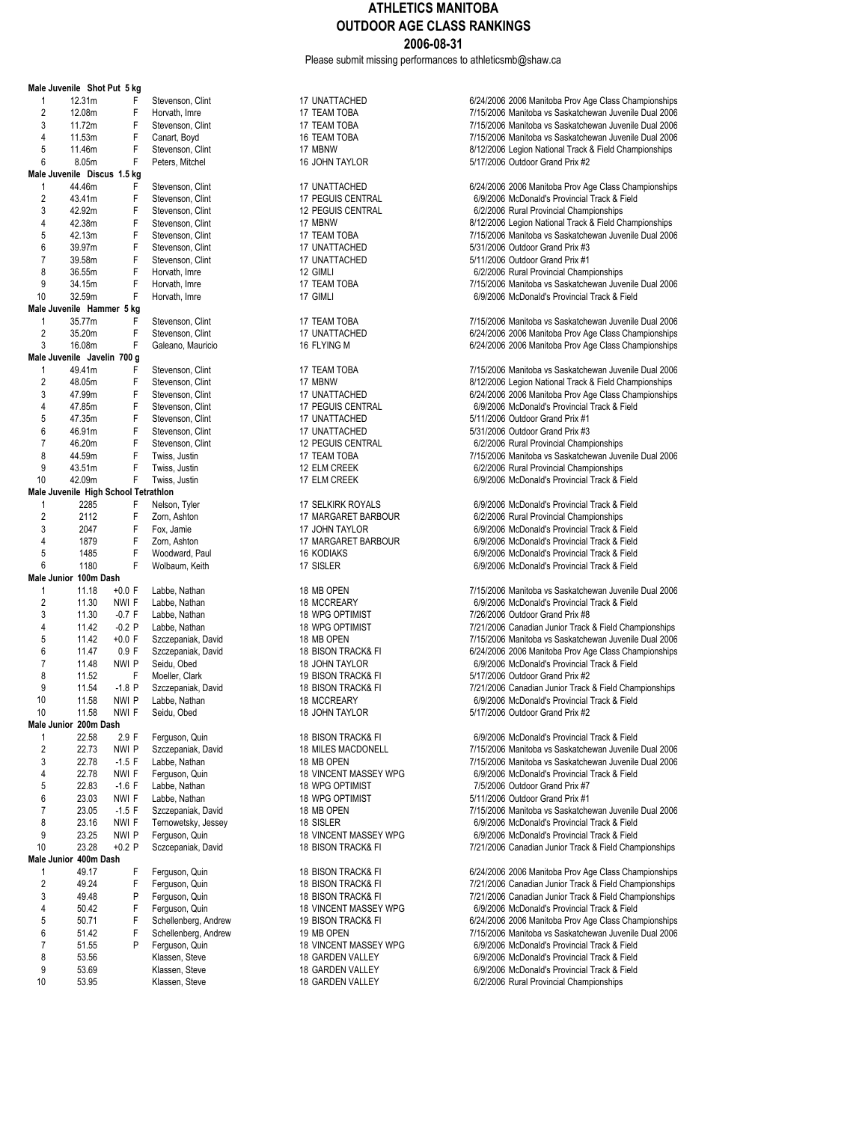Please submit missing performances to athleticsmb@shaw.ca

|                    | Male Juvenile Shot Put 5 kg          |                  |                     |
|--------------------|--------------------------------------|------------------|---------------------|
| 1                  | 12.31m                               | F                | Stevenson, Clint    |
| $\overline{2}$     | 12.08m                               | F                | Horvath, Imre       |
| 3                  | 11.72m                               | F                | Stevenson, Clint    |
| 4                  | 11.53m                               | F                | Canart, Boyd        |
| 5                  | 11.46m                               | F                | Stevenson, Clint    |
| 6                  | 8.05m                                | F                | Peters, Mitchel     |
| Male Juvenile      | <b>Discus</b>                        | 1.5 kg           |                     |
| 1                  | 44.46m                               | F                | Stevenson, Clint    |
| $\overline{2}$     | 43.41m                               | F                | Stevenson, Clint    |
| 3                  | 42.92m                               | F                | Stevenson, Clint    |
| 4                  | 42.38m                               | F                | Stevenson, Clint    |
| 5                  | 42.13m                               | F                | Stevenson, Clint    |
| 6                  | 39.97m                               | F                | Stevenson, Clint    |
| 7                  | 39.58m                               | F                | Stevenson, Clint    |
| 8                  | 36.55m                               | F                | Horvath, Imre       |
| 9                  | 34.15m                               | F                | Horvath, Imre       |
| 10                 | 32.59m                               | F                | Horvath, Imre       |
|                    | Male Juvenile Hammer 5 kg            |                  |                     |
| 1                  |                                      | F                |                     |
| $\overline{c}$     | 35.77m                               | F                | Stevenson, Clint    |
|                    | 35.20m                               | F                | Stevenson, Clint    |
| 3                  | 16.08m                               |                  | Galeano, Mauricio   |
|                    | Male Juvenile Javelin 700 g          |                  |                     |
| 1                  | 49.41m                               | F                | Stevenson, Clint    |
| $\overline{2}$     | 48.05m                               | F                | Stevenson, Clint    |
| 3                  | 47.99m                               | F                | Stevenson, Clint    |
| 4                  | 47.85m                               | F                | Stevenson, Clint    |
| 5                  | 47.35m                               | F                | Stevenson, Clint    |
| 6                  | 46.91m                               | F                | Stevenson, Clint    |
| 7                  | 46.20m                               | F                | Stevenson, Clint    |
| 8                  | 44.59m                               | F                | Twiss, Justin       |
| 9                  | 43.51m                               | F                | Twiss, Justin       |
| 10                 | 42.09m                               | F                | Twiss, Justin       |
|                    | Male Juvenile High School Tetrathlon |                  |                     |
| 1                  | 2285                                 | F                | Nelson, Tyler       |
| $\overline{2}$     | 2112                                 | F                | Zorn, Ashton        |
| 3                  | 2047                                 | F                | Fox, Jamie          |
| 4                  | 1879                                 | F                | Zorn, Ashton        |
| 5                  | 1485                                 | F                | Woodward, Paul      |
| 6                  | 1180                                 | F                | Wolbaum, Keith      |
| <b>Male Junior</b> | 100m Dash                            |                  |                     |
| 1                  | 11.18                                | $+0.0 F$         | Labbe, Nathan       |
| 2                  | 11.30                                | NWI F            | Labbe, Nathan       |
| 3                  | 11.30                                | $-0.7 F$         | Labbe, Nathan       |
| 4                  | 11.42                                | $-0.2P$          | Labbe, Nathan       |
| 5                  | 11.42                                | $+0.0 F$         | Szczepaniak, David  |
| 6                  | 11.47                                | 0.9 F            | Szczepaniak, David  |
| 7                  | 11.48                                | NWI <sub>P</sub> | Seidu, Obed         |
| 8                  | 11.52                                | F                | Moeller, Clark      |
| 9                  | 11.54                                | $-1.8$ P         | Szczepaniak, David  |
| 10                 | 11.58                                | nwi p            | Labbe, Nathan       |
| 10                 | 11.58                                | NWI F            | Seidu, Obed         |
|                    | Male Junior 200m Dash                |                  |                     |
| 1                  | 22.58                                | 2.9 F            | Ferguson, Quin      |
| 2                  | 22.73                                | nwi p            | Szczepaniak, David  |
| 3                  | 22.78                                | $-1.5$ F         | Labbe, Nathan       |
| 4                  | 22.78                                | NWI F            | Ferguson, Quin      |
| 5                  | 22.83                                | -1.6 F           | Labbe, Nathan       |
| 6                  | 23.03                                | nwi f            | Labbe, Nathan       |
| 7                  | 23.05                                | -1.5 F           | Szczepaniak, David  |
| 8                  | 23.16                                | nwi f            | Ternowetsky, Jesse  |
| 9                  | 23.25                                | nwi p            | Ferguson, Quin      |
| 10                 | 23.28                                | $+0.2 P$         | Sczcepaniak, David  |
|                    | Male Junior 400m Dash                |                  |                     |
| 1                  | 49.17                                | F                | Ferguson, Quin      |
| $\overline{2}$     | 49.24                                | F                | Ferguson, Quin      |
| 3                  | 49.48                                | P                | Ferguson, Quin      |
| 4                  | 50.42                                | F                | Ferguson, Quin      |
| 5                  | 50.71                                | F                | Schellenberg, Andre |
| 6                  | 51.42                                | F                | Schellenberg, Andre |
| 7                  | 51.55                                | P                | Ferguson, Quin      |
| 8                  | 53.56                                |                  | Klassen, Steve      |
| 9                  | 53.69                                |                  | Klassen, Steve      |
| 10                 | 53.95                                |                  | Klassen, Steve      |
|                    |                                      |                  |                     |

17 UNATTACHED 6/24/2006 2006 Manitoba Prov Age Class Championships<br>17 TEAM TOBA 6/24/2006 Manitoba vs Saskatchewan Juvenile Dual 2006 2 17 TEAM TOBA<br>2006 TZ TEAM TOBA 17 TEAM TOBA 7/15/2006 Manitoba vs Saskatchewan Juvenile Dual 2006 17 TEAM TOBA<br>3006 16 1 TEAM TOBA 17 TOBA 7/15/2006 Manitoba vs Saskatchewan Juvenile Dual 2006 46 TEAM TOBA<br>17 MBNW FEAM TOBA 3/12/2006 Manitoba vs Saskatchewan Juvenile Dual 2006<br>17 MBNW 17 MBNW<br>16 JOHN TAYLOR **Stephen Stephen 17 Stephen 17 MBN** 16 JOHN TAYLOR<br>5/17/2006 Outdoor Grand Prix #2  $5/17/2006$  Outdoor Grand Prix #2 17 UNATTACHED<br>17 PEGUIS CENTRAL **CHINT CONTACTED 6/9/2006** McDonald's Provincial Track & Field 17 PEGUIS CENTRAL 6/9/2006 McDonald's Provincial Track & Field<br>12 PEGUIS CENTRAL 6/2/2006 Rural Provincial Championships 6/2/2006 Rural Provincial Championships 4 17 MBNW<br>17 TEAM TOBA<br>17 TEAM TOBA 12006 Manitoba vs Saskatchewan Juvenile Dual 2006 17 TEAM TOBA<br>17 UNATTACHED<br>5/31/2006 Outdoor Grand Prix #3 17 UNATTACHED 5/31/2006 Outdoor Grand Prix #3<br>17 UNATTACHED 5/11/2006 Outdoor Grand Prix #1 17 UNATTACHED 5/11/2006 Outdoor Grand Prix #1<br>12 GIMLL 6/2/2006 Pural Provincial Chamr 12 GIMLI 6/2/2006 Rural Provincial Championships<br>17 TEAM TOBA 6/2006 Manitoba vs Saskatchewan Juve 17 TEAM TOBA<br>17 GIMLI 1984. TOBA 7/15/2006 Manitoba vs Saskatchewan Juvenile Dual 2006<br>6/9/2006 McDonald's Provincial Track & Field 6/9/2006 McDonald's Provincial Track & Field 17 TEAM TOBA<br>17 UNATTACHED **FREE STEVENSON, CLINT 17 STEVENSON**<br>17 UNATTACHED 6/24/2006 2006 Manitoba Prov Age Class Championships 27 2006 17 35.2006 2006 Manitoba Prov Age Class Championships<br>16 FLYING M<br>6/24/2006 2006 Manitoba Prov Age Class Championships 6/24/2006 2006 Manitoba Prov Age Class Championships 17 TEAM TOBA<br>17 MBNW FEAM TOBA 3/19/2006 Manitoba vs Saskatchewan Juvenile Dual 2006<br>17 MBNW 2 17 MBNW<br>28.05m F Stevenson, Clint 17 8/12/2006 Legion National Track & Field Championships<br>2006 Manitoba Prov Age Class Championships 17 UNATTACHED 6/24/2006 2006 Manitoba Prov Age Class Championships<br>17 PEGUIS CENTRAL 6/9/2006 McDonald's Provincial Track & Field 17 PEGUIS CENTRAL **6/9/2006** McDonald's Provincial Track & Field<br>17 UNATTACHED 6/9/2006 Outdoor Grand Prix #1 17 UNATTACHED 5/11/2006 Outdoor Grand Prix #1<br>17 UNATTACHED 5/31/2006 Outdoor Grand Prix #3 17 UNATTACHED 5/31/2006 Outdoor Grand Prix #3<br>12 PEGUIS CENTRAL 6/2/2006 Rural Provincial Chame 6/2/2006 Rural Provincial Championships 17 TEAM TOBA<br>12 ELM CREEK **1890 F TWISS, ISBN 9-8006** Manitoba vs Saskatchewan Juvenile Dual 2006<br>12 ELM CREEK 9 12 ELM CREEK 12 12 6/2/2006 Rural Provincial Championships<br>17 ELM CREEK 12 TWISS, 12 6/9/2006 McDonald's Provincial Track & F 6/9/2006 McDonald's Provincial Track & Field 17 SELKIRK ROYALS<br>17 MARGARET BARBOUR 6/2/2006 Rural Provincial Championships 2 22006 Rural Provincial Championships<br>2 12 JOHN TAYLOR 6/9/2006 McDonald's Provincial Track & F 6/9/2006 McDonald's Provincial Track & Field 17 MARGARET BARBOUR<br>16 16 Holdars Frack & Field<br>6/9/2006 McDonald's Provincial Track & Field 5 16 KODIAKS Field 16 6/9/2006 McDonald's Provincial Track & Field<br>17 SISLER 6/9/2006 McDonald's Provincial Track & Field 6/9/2006 McDonald's Provincial Track & Field 18 MB OPEN 18 T/15/2006 Manitoba vs Saskatchewan Juvenile Dual 2006<br>18 MCCREARY 18 FORD 18 6/9/2006 McDonald's Provincial Track & Field 18 MCCREARY **18 NATHan 18 NATHAN F LABBE, NATHAN 18 MCCREARY** 6/9/2006 McDonald's Provincial Track & Field 18 MPG<br>18 MPG OPTIMIST 18 WPG OPTIMIST<br>18 WPG OPTIMIST 18 T/21/2006 Canadian Junior Track 18 WPG OPTIMIST THE THE TREAD OF CANADIA ON A 2006 Canadian Junior Track & Field Championships<br>18 MB OPEN 18 2006 7/15/2006 Manitoba vs Saskatchewan Juvenile Dual 2006 5 18 MB OPEN 16 100 FM SZCZEPANIA 7/15/2006 Manitoba vs Saskatchewan Juvenile Dual 2006<br>18 BISON TRACK& FI 6/24/2006 2006 Manitoba Prov Age Class Championships 18 BISON TRACK& FI 6/24/2006 2006 Manitoba Prov Age Class Championships<br>18 JOHN TAYLOR 18 JOHN TAYLOR **TAYLOR 18 INCREAS A SEE ASSEM** SO SOLUTION ON STATE 19 BISON TRACK & Field<br>19 BISON TRACK & FI SOLUTION SOLUTION OUT A SATE 1772006 Outdoor Grand Prix #2 8 117/2006 Outdoor Grand Prix #2<br>18 BISON TRACK& FI 5/17/2006 Canadian Junior Track 18 BISON TRACK& FI <br>18 MCCREARY **CALL BEST CONTENT TRACK**<br>18 MCCREARY 6/9/2006 McDonald's Provincial Track & Field 18 MCCREARY 6/9/2006 McDonald's Provincial Track & Field<br>18 JOHN TAYLOR 6/9/2006 Outdoor Grand Prix #2 5/17/2006 Outdoor Grand Prix #2 18 BISON TRACK& FI 6/9/2006 McDonald's Provincial Track & Field<br>18 MILES MACDONELL 6/9/2006 Manitoba vs Saskatchewan Juvenile 2 22.715/2006 Manitoba vs Saskatchewan Juvenile Dual 2006<br>21 MB OPEN 18 MB OPEN 19006 Manitoba vs Saskatchewan Juvenile Dual 2006 18 MB OPEN<br>18 YINCENT MASSEY WPG **18 F LABBE OF LABBE OF STATE OF STATE 7/15/2006** McDonald's Provincial Track & Field 18 VINCENT MASSEY WPG<br>18 WPG OPTIMIST MASSEY WPG 6/9/2006 Outdoor Grand Prix #7 18 WPG OPTIMIST<br>18 WPG OPTIMIST 65/11/2006 Outdoor Grand Prix #1 18 WPG OPTIMIST<br>18 MR OPEN 18 NWI F LABBE, NATHAN 18 MR OPEN 18 MB OPEN 18 T/15/2006 Manitoba vs Saskatchewan Juvenile Dual 2006<br>18 SISLER 18 Total 2006 McDonald's Provincial Track & Field 8 18 18 16 2016 18 2006 McDonald's Provincial Track & Field<br>18 VINCENT MASSEY WPG 6/9/2006 McDonald's Provincial Track & Field 18 VINCENT MASSEY WPG 6/9/2006 McDonald's Provincial Track & Field<br>18 BISON TRACK& FI 6/9/21/2006 Canadian Junior Track & Field Chan 7/21/2006 Canadian Junior Track & Field Championships 18 BISON TRACK& FI 6/24/2006 2006 Manitoba Prov Age Class Championships<br>18 BISON TRACK& FI 6/21/2006 Canadian Junior Track & Field Championships 2 18 BISON TRACK& FI **1999 FRACKA FIND 19 BISON TRACKA FIND**<br>2011 TRACK FI 7/21/2006 Canadian Junior Track & Field Championships 18 BISON TRACK& FI **1990, Provident 18 Provident** 18 BISON TRACKA FIND 7/21/2006 Canadian Junior Track & Field Championships<br>18 VINCENT MASSEY WPG 18 Provident 1990, Provident Servincial Track & Field 18 VINCENT MASSEY WPG 6/9/2006 McDonald's Provincial Track & Field<br>19 BISON TRACK& FI 6/24/2006 2006 Manitoba Prov Age Class Char 5 50.50 50.50 F SUS FRACK& FI و24/2006 2006 Manitoba Prov Age Class Championships<br>19 MR OPEN والترام العربية 2/15/2006 Manitoba vs Saskatchewan ew 19 MB OPEN 6 51.42 F Schellenberg, Andrew 19 MB OPEN 19006 Manitoba vs Saskatchewan Juvenile Dual 2006 18 VINCENT MASSEY WPG 6/9/2006 McDonald's Provincial Track & Field<br>18 GARDEN VALLEY 6/9/2006 McDonald's Provincial Track & Field 18 GARDEN VALLEY **18 CARDEN VALLEY** 6/9/2006 McDonald's Provincial Track & Field<br>18 GARDEN VALLEY 6/9/2006 McDonald's Provincial Track & Field 18 GARDEN VALLEY **18 CARDEN VALLEY** 6/9/2006 McDonald's Provincial Track & Field<br>18 GARDEN VALLEY 6/2/2006 Rural Provincial Championships 6/2/2006 Rural Provincial Championships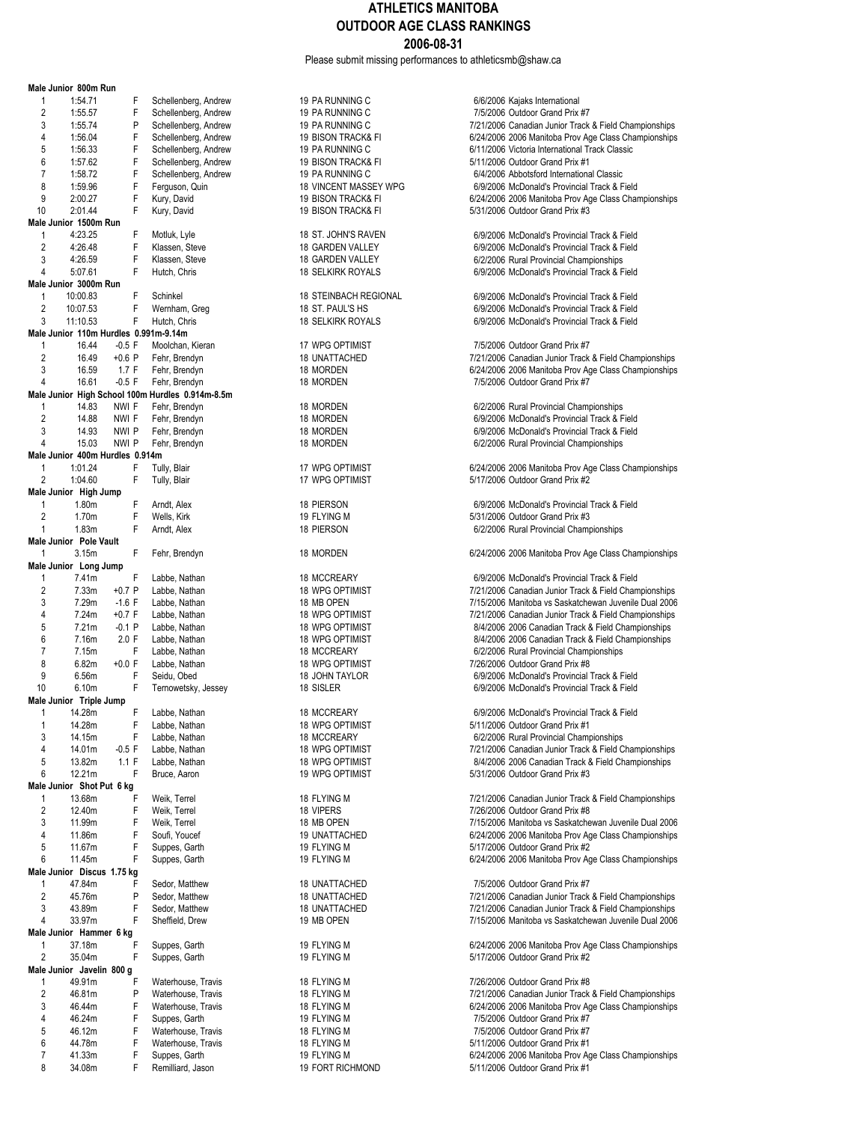Please submit missing performances to athleticsmb@shaw.ca

|                                | Male Junior 800m Run                  |          |                                                  |                               |                                                                                 |
|--------------------------------|---------------------------------------|----------|--------------------------------------------------|-------------------------------|---------------------------------------------------------------------------------|
| 1                              | 1:54.71                               | F        | Schellenberg, Andrew                             | 19 PA RUNNING C               | 6/6/2006 Kajaks International                                                   |
| 2                              | 1:55.57                               | F        | Schellenberg, Andrew                             | 19 PA RUNNING C               | 7/5/2006 Outdoor Grand Prix #7                                                  |
| 3                              | 1:55.74                               | P        | Schellenberg, Andrew                             | 19 PA RUNNING C               | 7/21/2006 Canadian Junior Track & Field Championships                           |
| 4                              | 1:56.04                               | F        | Schellenberg, Andrew                             | 19 BISON TRACK& FI            | 6/24/2006 2006 Manitoba Prov Age Class Championships                            |
| 5                              | 1:56.33                               | F        | Schellenberg, Andrew                             | 19 PA RUNNING C               | 6/11/2006 Victoria International Track Classic                                  |
| 6                              | 1:57.62                               | F        | Schellenberg, Andrew                             | <b>19 BISON TRACK&amp; FI</b> | 5/11/2006 Outdoor Grand Prix #1                                                 |
| $\overline{7}$                 | 1:58.72                               | F        | Schellenberg, Andrew                             | 19 PA RUNNING C               | 6/4/2006 Abbotsford International Classic                                       |
| 8                              | 1:59.96                               | F        | Ferguson, Quin                                   | 18 VINCENT MASSEY WPG         | 6/9/2006 McDonald's Provincial Track & Field                                    |
| 9                              | 2:00.27                               | F        | Kury, David                                      | 19 BISON TRACK& FI            | 6/24/2006 2006 Manitoba Prov Age Class Championships                            |
| 10                             | 2:01.44                               | F        | Kury, David                                      | 19 BISON TRACK& FI            | 5/31/2006 Outdoor Grand Prix #3                                                 |
| 1                              | Male Junior 1500m Run<br>4:23.25      | F        | Motluk, Lyle                                     | 18 ST. JOHN'S RAVEN           | 6/9/2006 McDonald's Provincial Track & Field                                    |
| $\overline{2}$                 | 4:26.48                               | F        | Klassen, Steve                                   | 18 GARDEN VALLEY              | 6/9/2006 McDonald's Provincial Track & Field                                    |
| 3                              | 4:26.59                               | F        | Klassen, Steve                                   | 18 GARDEN VALLEY              | 6/2/2006 Rural Provincial Championships                                         |
| 4                              | 5:07.61                               | F        | Hutch, Chris                                     | <b>18 SELKIRK ROYALS</b>      | 6/9/2006 McDonald's Provincial Track & Field                                    |
|                                | Male Junior 3000m Run                 |          |                                                  |                               |                                                                                 |
| 1                              | 10:00.83                              | F        | Schinkel                                         | <b>18 STEINBACH REGIONAL</b>  | 6/9/2006 McDonald's Provincial Track & Field                                    |
| $\overline{2}$                 | 10:07.53                              | F        | Wernham, Greg                                    | 18 ST. PAUL'S HS              | 6/9/2006 McDonald's Provincial Track & Field                                    |
| 3                              | 11:10.53                              | F        | Hutch, Chris                                     | <b>18 SELKIRK ROYALS</b>      | 6/9/2006 McDonald's Provincial Track & Field                                    |
|                                | Male Junior 110m Hurdles 0.991m-9.14m |          |                                                  |                               |                                                                                 |
| 1                              | 16.44                                 | $-0.5$ F | Moolchan, Kieran                                 | 17 WPG OPTIMIST               | 7/5/2006 Outdoor Grand Prix #7                                                  |
| $\overline{2}$                 | 16.49                                 | $+0.6$ P | Fehr, Brendyn                                    | <b>18 UNATTACHED</b>          | 7/21/2006 Canadian Junior Track & Field Championships                           |
| 3                              | 16.59                                 | 1.7 F    | Fehr, Brendyn                                    | 18 MORDEN                     | 6/24/2006 2006 Manitoba Prov Age Class Championships                            |
| 4                              | 16.61                                 | $-0.5$ F | Fehr, Brendyn                                    | 18 MORDEN                     | 7/5/2006 Outdoor Grand Prix #7                                                  |
|                                |                                       |          | Male Junior High School 100m Hurdles 0.914m-8.5m |                               |                                                                                 |
| 1                              | 14.83                                 | NWI F    | Fehr, Brendyn                                    | 18 MORDEN                     | 6/2/2006 Rural Provincial Championships                                         |
| $\overline{2}$                 | 14.88                                 | NWI F    | Fehr, Brendyn                                    | 18 MORDEN                     | 6/9/2006 McDonald's Provincial Track & Field                                    |
| 3                              | 14.93                                 | NWI P    | Fehr, Brendyn                                    | 18 MORDEN                     | 6/9/2006 McDonald's Provincial Track & Field                                    |
| $\overline{4}$                 | 15.03                                 | NWI P    | Fehr, Brendyn                                    | 18 MORDEN                     | 6/2/2006 Rural Provincial Championships                                         |
|                                | Male Junior 400m Hurdles 0.914m       |          |                                                  |                               |                                                                                 |
| 1                              | 1:01.24                               | F        | Tully, Blair                                     | 17 WPG OPTIMIST               | 6/24/2006 2006 Manitoba Prov Age Class Championships                            |
| $\overline{2}$                 | 1:04.60                               | F        | Tully, Blair                                     | 17 WPG OPTIMIST               | 5/17/2006 Outdoor Grand Prix #2                                                 |
|                                | Male Junior High Jump                 |          |                                                  |                               |                                                                                 |
| $\mathbf{1}$<br>$\overline{2}$ | 1.80m<br>1.70m                        | F<br>F   | Arndt, Alex<br>Wells, Kirk                       | 18 PIERSON<br>19 FLYING M     | 6/9/2006 McDonald's Provincial Track & Field<br>5/31/2006 Outdoor Grand Prix #3 |
| $\mathbf{1}$                   | 1.83m                                 | F        | Arndt, Alex                                      | 18 PIERSON                    | 6/2/2006 Rural Provincial Championships                                         |
|                                | Male Junior Pole Vault                |          |                                                  |                               |                                                                                 |
| $\mathbf{1}$                   | 3.15m                                 | F        | Fehr, Brendyn                                    | 18 MORDEN                     | 6/24/2006 2006 Manitoba Prov Age Class Championships                            |
|                                | Male Junior Long Jump                 |          |                                                  |                               |                                                                                 |
| $\mathbf{1}$                   | 7.41m                                 | F        | Labbe, Nathan                                    | 18 MCCREARY                   | 6/9/2006 McDonald's Provincial Track & Field                                    |
| 2                              | 7.33m                                 | $+0.7$ P | Labbe, Nathan                                    | <b>18 WPG OPTIMIST</b>        | 7/21/2006 Canadian Junior Track & Field Championships                           |
| 3                              | 7.29m                                 | $-1.6$ F | Labbe, Nathan                                    | 18 MB OPEN                    | 7/15/2006 Manitoba vs Saskatchewan Juvenile Dual 2006                           |
| 4                              | 7.24m                                 | $+0.7 F$ | Labbe, Nathan                                    | <b>18 WPG OPTIMIST</b>        | 7/21/2006 Canadian Junior Track & Field Championships                           |
| 5                              | 7.21m                                 | $-0.1P$  | Labbe, Nathan                                    | 18 WPG OPTIMIST               | 8/4/2006 2006 Canadian Track & Field Championships                              |
| 6                              | 7.16m                                 | 2.0 F    | Labbe, Nathan                                    | 18 WPG OPTIMIST               | 8/4/2006 2006 Canadian Track & Field Championships                              |
| $\overline{7}$                 | 7.15m                                 | F        | Labbe, Nathan                                    | 18 MCCREARY                   | 6/2/2006 Rural Provincial Championships                                         |
| 8                              | 6.82m                                 | $+0.0 F$ | Labbe, Nathan                                    | <b>18 WPG OPTIMIST</b>        | 7/26/2006 Outdoor Grand Prix #8                                                 |
| 9                              | 6.56m                                 | F        | Seidu, Obed                                      | 18 JOHN TAYLOR                | 6/9/2006 McDonald's Provincial Track & Field                                    |
| 10                             | 6.10m                                 | F        | Ternowetsky, Jessey                              | 18 SISLER                     | 6/9/2006 McDonald's Provincial Track & Field                                    |
|                                | Male Junior Triple Jump               |          |                                                  |                               |                                                                                 |
|                                | 14.28m                                | F        | Labbe, Nathan                                    | 18 MCCREARY                   | 6/9/2006 McDonald's Provincial Track & Field                                    |
| 1                              | 14.28m                                | F        | Labbe, Nathan                                    | 18 WPG OPTIMIST               | 5/11/2006 Outdoor Grand Prix #1                                                 |
| 3                              | 14.15m                                | F        | Labbe, Nathan                                    | 18 MCCREARY                   | 6/2/2006 Rural Provincial Championships                                         |
| 4                              | 14.01m                                | $-0.5$ F | Labbe, Nathan                                    | <b>18 WPG OPTIMIST</b>        | 7/21/2006 Canadian Junior Track & Field Championships                           |
| 5                              | 13.82m                                | 1.1 F    | Labbe, Nathan                                    | <b>18 WPG OPTIMIST</b>        | 8/4/2006 2006 Canadian Track & Field Championships                              |
| 6                              | 12.21m<br>Male Junior Shot Put 6 kg   | F        | Bruce, Aaron                                     | 19 WPG OPTIMIST               | 5/31/2006 Outdoor Grand Prix #3                                                 |
| 1                              | 13.68m                                | F        | Weik, Terrel                                     |                               | 7/21/2006 Canadian Junior Track & Field Championships                           |
| $\overline{c}$                 | 12.40m                                | F        | Weik, Terrel                                     | 18 FLYING M<br>18 VIPERS      | 7/26/2006 Outdoor Grand Prix #8                                                 |
| 3                              | 11.99m                                | F        | Weik, Terrel                                     | 18 MB OPEN                    | 7/15/2006 Manitoba vs Saskatchewan Juvenile Dual 2006                           |
| 4                              | 11.86m                                | F        | Soufi, Youcef                                    | 19 UNATTACHED                 | 6/24/2006 2006 Manitoba Prov Age Class Championships                            |
| 5                              | 11.67m                                | F        | Suppes, Garth                                    | 19 FLYING M                   | 5/17/2006 Outdoor Grand Prix #2                                                 |
| 6                              | 11.45m                                | F        | Suppes, Garth                                    | 19 FLYING M                   | 6/24/2006 2006 Manitoba Prov Age Class Championships                            |
|                                | Male Junior Discus 1.75 kg            |          |                                                  |                               |                                                                                 |
| 1                              | 47.84m                                | F        | Sedor, Matthew                                   | 18 UNATTACHED                 | 7/5/2006 Outdoor Grand Prix #7                                                  |
| 2                              | 45.76m                                | P        | Sedor, Matthew                                   | 18 UNATTACHED                 | 7/21/2006 Canadian Junior Track & Field Championships                           |
| 3                              | 43.89m                                | F        | Sedor, Matthew                                   | 18 UNATTACHED                 | 7/21/2006 Canadian Junior Track & Field Championships                           |
| 4                              | 33.97m                                | F        | Sheffield, Drew                                  | 19 MB OPEN                    | 7/15/2006 Manitoba vs Saskatchewan Juvenile Dual 2006                           |
|                                | Male Junior Hammer 6 kg               |          |                                                  |                               |                                                                                 |
| 1                              | 37.18m                                | F        | Suppes, Garth                                    | 19 FLYING M                   | 6/24/2006 2006 Manitoba Prov Age Class Championships                            |
| $\overline{2}$                 | 35.04m                                | F        | Suppes, Garth                                    | 19 FLYING M                   | 5/17/2006 Outdoor Grand Prix #2                                                 |
|                                | Male Junior Javelin 800 g             |          |                                                  |                               |                                                                                 |
| 1                              | 49.91m                                | F        | Waterhouse, Travis                               | 18 FLYING M                   | 7/26/2006 Outdoor Grand Prix #8                                                 |
| 2                              | 46.81m                                | P        | Waterhouse, Travis                               | 18 FLYING M                   | 7/21/2006 Canadian Junior Track & Field Championships                           |
| 3                              | 46.44m                                | F        | Waterhouse, Travis                               | 18 FLYING M                   | 6/24/2006 2006 Manitoba Prov Age Class Championships                            |
| 4                              | 46.24m                                | F        | Suppes, Garth                                    | 19 FLYING M                   | 7/5/2006 Outdoor Grand Prix #7                                                  |
| 5                              | 46.12m                                | F        | Waterhouse, Travis                               | 18 FLYING M                   | 7/5/2006 Outdoor Grand Prix #7                                                  |
| 6                              | 44.78m                                | F        | Waterhouse, Travis                               | 18 FLYING M                   | 5/11/2006 Outdoor Grand Prix #1                                                 |
| 7                              | 41.33m                                | F        | Suppes, Garth                                    | 19 FLYING M                   | 6/24/2006 2006 Manitoba Prov Age Class Championships                            |
| 8                              | 34.08m                                | F        | Remilliard, Jason                                | <b>19 FORT RICHMOND</b>       | 5/11/2006 Outdoor Grand Prix #1                                                 |

| 19 PA RUNNING C<br>19 PA RUNNING C<br>19 PA RUNNING C<br>19 BISON TRACK& FI<br>19 PA RUNNING C<br><b>19 BISON TRACK&amp; FI</b><br>19 PA RUNNING C<br>18 VINCENT MASSEY WPG<br>19 BISON TRACK& FI<br>19 BISON TRACK& FI |
|-------------------------------------------------------------------------------------------------------------------------------------------------------------------------------------------------------------------------|
| 18 ST. JOHN'S RAVEN<br>18 GARDEN VALLEY<br>18 GARDEN VALLEY<br>18 SELKIRK ROYALS                                                                                                                                        |
| <b>18 STEINBACH REGIONAL</b><br>18 ST. PAUL'S HS<br>18 SELKIRK ROYALS                                                                                                                                                   |
| 17 WPG OPTIMIST<br>18 UNATTACHED<br>18 MORDEN<br>18 MORDEN                                                                                                                                                              |
| 18 MORDEN<br>18 MORDEN<br>18 MORDEN<br>18 MORDEN                                                                                                                                                                        |
| 17 WPG OPTIMIST<br>17 WPG OPTIMIST                                                                                                                                                                                      |
| 18 PIERSON<br>19 FLYING M<br><b>18 PIERSON</b>                                                                                                                                                                          |
| 18 MORDEN                                                                                                                                                                                                               |
| 18 MCCREARY<br><b>18 WPG OPTIMIST</b><br>18 MB OPEN<br>18 WPG OPTIMIST<br>18 WPG OPTIMIST<br>18 WPG OPTIMIST<br><b>18 MCCREARY</b><br>18 WPG OPTIMIST<br>18 JOHN TAYLOR<br>18 SISLER                                    |
| 18 MCCREARY<br>18 WPG OPTIMIST<br>18 MCCREARY<br><b>18 WPG OPTIMIST</b><br><b>18 WPG OPTIMIST</b><br>19 WPG OPTIMIST                                                                                                    |
| 18 FLYING M<br>18 VIPERS<br>18 MB OPEN<br>19 UNATTACHED<br>19 FLYING M<br>19 FLYING M                                                                                                                                   |
| 18 UNATTACHED<br>18 UNATTACHED<br><b>18 UNATTACHED</b><br>19 MB OPEN                                                                                                                                                    |
| 19 FLYING M<br>19 FLYING M                                                                                                                                                                                              |
| 18 FLYING M<br>18 FLYING M<br>18 FLYING M<br>19 FLYING M<br>18 FLYING M<br>18 FLYING M<br>19 FLYING M<br><b>19 FORT RICHMOND</b>                                                                                        |

| e Junior  ovvm Run                 |          |                                               |                              |                                                                   |
|------------------------------------|----------|-----------------------------------------------|------------------------------|-------------------------------------------------------------------|
| 1:54.71<br>1                       | F        | Schellenberg, Andrew                          | 19 PA RUNNING C              | 6/6/2006 Kajaks International                                     |
| 2<br>1:55.57                       | F        | Schellenberg, Andrew                          | 19 PA RUNNING C              | 7/5/2006 Outdoor Grand Prix #7                                    |
| 3<br>1:55.74                       | P        | Schellenberg, Andrew                          | 19 PA RUNNING C              | 7/21/2006 Canadian Junior Track & Field Championships             |
| 4<br>1:56.04                       | F        | Schellenberg, Andrew                          | 19 BISON TRACK& FI           | 6/24/2006 2006 Manitoba Prov Age Class Championships              |
| 5<br>1:56.33                       | F        | Schellenberg, Andrew                          | 19 PA RUNNING C              | 6/11/2006 Victoria International Track Classic                    |
| 6<br>1:57.62                       | F        | Schellenberg, Andrew                          | 19 BISON TRACK& FI           | 5/11/2006 Outdoor Grand Prix #1                                   |
| 7<br>1:58.72                       | F        | Schellenberg, Andrew                          | 19 PA RUNNING C              | 6/4/2006 Abbotsford International Classic                         |
| 8<br>1:59.96                       | F        | Ferguson, Quin                                | <b>18 VINCENT MASSEY WPG</b> | 6/9/2006 McDonald's Provincial Track & Field                      |
| 9<br>2:00.27                       | F        | Kury, David                                   | 19 BISON TRACK& FI           | 6/24/2006 2006 Manitoba Prov Age Class Championships              |
| N<br>2:01.44                       | F        | Kury, David                                   | 19 BISON TRACK& FI           | 5/31/2006 Outdoor Grand Prix #3                                   |
| e Junior 1500m Run                 |          |                                               |                              |                                                                   |
| 4:23.25                            | F        | Motluk, Lyle                                  | 18 ST. JOHN'S RAVEN          | 6/9/2006 McDonald's Provincial Track & Field                      |
| 2<br>4:26.48                       | F        | Klassen, Steve                                | 18 GARDEN VALLEY             | 6/9/2006 McDonald's Provincial Track & Field                      |
| 3<br>4:26.59                       | F        | Klassen, Steve                                | 18 GARDEN VALLEY             | 6/2/2006 Rural Provincial Championships                           |
| 4<br>5:07.61                       | F        | Hutch, Chris                                  | <b>18 SELKIRK ROYALS</b>     | 6/9/2006 McDonald's Provincial Track & Field                      |
| e Junior 3000m Run                 |          |                                               |                              |                                                                   |
| 10:00.83<br>1                      | F        | Schinkel                                      | <b>18 STEINBACH REGIONAL</b> | 6/9/2006 McDonald's Provincial Track & Field                      |
| 2<br>10:07.53                      | F        | Wernham, Greg                                 | 18 ST. PAUL'S HS             | 6/9/2006 McDonald's Provincial Track & Field                      |
| 3<br>11:10.53                      | F        | Hutch, Chris                                  | <b>18 SELKIRK ROYALS</b>     | 6/9/2006 McDonald's Provincial Track & Field                      |
| e Junior 110m Hurdles 0.991m-9.14m |          |                                               |                              |                                                                   |
| 16.44<br>1                         | $-0.5$ F | Moolchan, Kieran                              | 17 WPG OPTIMIST              | 7/5/2006 Outdoor Grand Prix #7                                    |
| 2<br>16.49                         | $+0.6$ P | Fehr, Brendyn                                 | 18 UNATTACHED                | 7/21/2006 Canadian Junior Track & Field Championships             |
| 3<br>16.59                         | 1.7 F    | Fehr, Brendyn                                 | 18 MORDEN                    | 6/24/2006 2006 Manitoba Prov Age Class Championships              |
| 4<br>16.61                         | $-0.5$ F | Fehr, Brendyn                                 | 18 MORDEN                    | 7/5/2006 Outdoor Grand Prix #7                                    |
|                                    |          | e Junior High School 100m Hurdles 0.914m-8.5m |                              |                                                                   |
| 14.83<br>1                         | NWI F    | Fehr, Brendyn                                 | 18 MORDEN                    | 6/2/2006 Rural Provincial Championships                           |
| 2<br>14.88                         | NWI F    | Fehr, Brendyn                                 | 18 MORDEN                    | 6/9/2006 McDonald's Provincial Track & Field                      |
| 3<br>14.93                         | NWI P    | Fehr, Brendyn                                 | 18 MORDEN                    | 6/9/2006 McDonald's Provincial Track & Field                      |
| 15.03<br>4                         | NWI P    | Fehr, Brendyn                                 | 18 MORDEN                    | 6/2/2006 Rural Provincial Championships                           |
| e Junior 400m Hurdles 0.914m       |          |                                               |                              |                                                                   |
| 1:01.24<br>1                       | F        | Tully, Blair                                  | 17 WPG OPTIMIST              | 6/24/2006 2006 Manitoba Prov Age Class Championships              |
| $\overline{2}$<br>1:04.60          | F        | Tully, Blair                                  | 17 WPG OPTIMIST              | 5/17/2006 Outdoor Grand Prix #2                                   |
| e Junior High Jump                 |          |                                               |                              |                                                                   |
| 1.80m<br>1                         | F        | Arndt, Alex                                   | 18 PIERSON                   | 6/9/2006 McDonald's Provincial Track & Field                      |
| 2<br>1.70m                         | F        | Wells, Kirk                                   | 19 FLYING M                  | 5/31/2006 Outdoor Grand Prix #3                                   |
| 1.83m                              | F        | Arndt, Alex                                   | 18 PIERSON                   | 6/2/2006 Rural Provincial Championships                           |
| e Junior Pole Vault                |          |                                               |                              |                                                                   |
| 1<br>3.15m                         | F        |                                               | 18 MORDEN                    | 6/24/2006 2006 Manitoba Prov Age Class Championships              |
| e Junior Long Jump                 |          | Fehr, Brendyn                                 |                              |                                                                   |
| 7.41m<br>1                         | F        | Labbe, Nathan                                 | 18 MCCREARY                  | 6/9/2006 McDonald's Provincial Track & Field                      |
| 2<br>7.33m                         | $+0.7$ P |                                               | <b>18 WPG OPTIMIST</b>       |                                                                   |
| 3                                  |          | Labbe, Nathan                                 |                              | 7/21/2006 Canadian Junior Track & Field Championships             |
| 7.29m                              | $-1.6$ F | Labbe, Nathan                                 | 18 MB OPEN                   | 7/15/2006 Manitoba vs Saskatchewan Juvenile Dual 2006             |
| 4<br>7.24m                         | $+0.7 F$ | Labbe, Nathan                                 | 18 WPG OPTIMIST              | 7/21/2006 Canadian Junior Track & Field Championships             |
| 5<br>7.21m                         | $-0.1P$  | Labbe, Nathan                                 | <b>18 WPG OPTIMIST</b>       | 8/4/2006 2006 Canadian Track & Field Championships                |
| 6<br>7.16m                         | 2.0 F    | Labbe, Nathan                                 | <b>18 WPG OPTIMIST</b>       | 8/4/2006 2006 Canadian Track & Field Championships                |
| 7.15m                              | F        | Labbe, Nathan                                 | <b>18 MCCREARY</b>           | 6/2/2006 Rural Provincial Championships                           |
| 8<br>6.82m                         | $+0.0 F$ | Labbe, Nathan                                 | 18 WPG OPTIMIST              | 7/26/2006 Outdoor Grand Prix #8                                   |
| 9<br>6.56m                         | F        | Seidu, Obed                                   | 18 JOHN TAYLOR               | 6/9/2006 McDonald's Provincial Track & Field                      |
| ٥<br>6.10m                         | F        | Ternowetsky, Jessey                           | 18 SISLER                    | 6/9/2006 McDonald's Provincial Track & Field                      |
| e Junior Triple Jump               |          |                                               |                              |                                                                   |
| 14.28m                             | F        | Labbe, Nathan                                 | 18 MCCREARY                  | 6/9/2006 McDonald's Provincial Track & Field                      |
| 14.28m                             | F.       | Labbe, Nathan                                 | 18 WPG OPTIMIST              | 5/11/2006 Outdoor Grand Prix #1                                   |
| 3<br>14.15m                        | F        | Labbe, Nathan                                 | 18 MCCREARY                  | 6/2/2006 Rural Provincial Championships                           |
| 14.01m<br>4                        | $-0.5$ F | Labbe, Nathan                                 | 18 WPG OPTIMIST              | 7/21/2006 Canadian Junior Track & Field Championships             |
| 5<br>13.82m                        | 1.1 F    | Labbe, Nathan                                 | 18 WPG OPTIMIST              | 8/4/2006 2006 Canadian Track & Field Championships                |
| 6<br>12.21m                        | F        | Bruce, Aaron                                  | 19 WPG OPTIMIST              | 5/31/2006 Outdoor Grand Prix #3                                   |
| e Junior Shot Put 6 kg             |          |                                               |                              |                                                                   |
| 13.68m<br>1                        | F        | Weik, Terrel                                  | 18 FLYING M                  | 7/21/2006 Canadian Junior Track & Field Championships             |
| 2<br>12.40m                        | F        | Weik, Terrel                                  | 18 VIPERS                    | 7/26/2006 Outdoor Grand Prix #8                                   |
| 3<br>11.99m                        | F        | Weik, Terrel                                  | 18 MB OPEN                   | 7/15/2006 Manitoba vs Saskatchewan Juvenile Dual 2006             |
| 11.86m<br>4                        | F        | Soufi, Youcef                                 | 19 UNATTACHED                | 6/24/2006 2006 Manitoba Prov Age Class Championships              |
| 5<br>11.67m                        | F        | Suppes, Garth                                 | 19 FLYING M                  | 5/17/2006 Outdoor Grand Prix #2                                   |
| 6<br>11.45m                        | F        | Suppes, Garth                                 | 19 FLYING M                  | 6/24/2006 2006 Manitoba Prov Age Class Championships              |
| e Junior Discus 1.75 kg            |          |                                               |                              |                                                                   |
| 47.84m<br>1                        | F        | Sedor, Matthew                                | 18 UNATTACHED                | 7/5/2006 Outdoor Grand Prix #7                                    |
| 2<br>45.76m                        | P        | Sedor, Matthew                                | 18 UNATTACHED                | 7/21/2006 Canadian Junior Track & Field Championships             |
| 3<br>43.89m                        | F        | Sedor, Matthew                                | 18 UNATTACHED                | 7/21/2006 Canadian Junior Track & Field Championships             |
| 4<br>33.97m                        | F        | Sheffield, Drew                               | 19 MB OPEN                   | 7/15/2006 Manitoba vs Saskatchewan Juvenile Dual 2006             |
| e Junior Hammer 6 kg               |          |                                               |                              |                                                                   |
| 37.18m<br>1                        | F        | Suppes, Garth                                 | 19 FLYING M                  | 6/24/2006 2006 Manitoba Prov Age Class Championships              |
| 2<br>35.04m                        | F        | Suppes, Garth                                 | 19 FLYING M                  | 5/17/2006 Outdoor Grand Prix #2                                   |
| e Junior Javelin 800 g             |          |                                               |                              |                                                                   |
| 49.91m                             | F        | Waterhouse, Travis                            | 18 FLYING M                  | 7/26/2006 Outdoor Grand Prix #8                                   |
| 2<br>46.81m                        | P        | Waterhouse, Travis                            | 18 FLYING M                  | 7/21/2006 Canadian Junior Track & Field Championships             |
| 46.44m<br>3                        | F        | Waterhouse, Travis                            | 18 FLYING M                  | 6/24/2006 2006 Manitoba Prov Age Class Championships              |
| 46.24m<br>4                        |          |                                               |                              |                                                                   |
|                                    |          |                                               |                              |                                                                   |
|                                    | F        | Suppes, Garth                                 | 19 FLYING M                  | 7/5/2006 Outdoor Grand Prix #7                                    |
| 5<br>46.12m<br>6<br>44.78m         | F<br>F   | Waterhouse, Travis<br>Waterhouse, Travis      | 18 FLYING M<br>18 FLYING M   | 7/5/2006 Outdoor Grand Prix #7<br>5/11/2006 Outdoor Grand Prix #1 |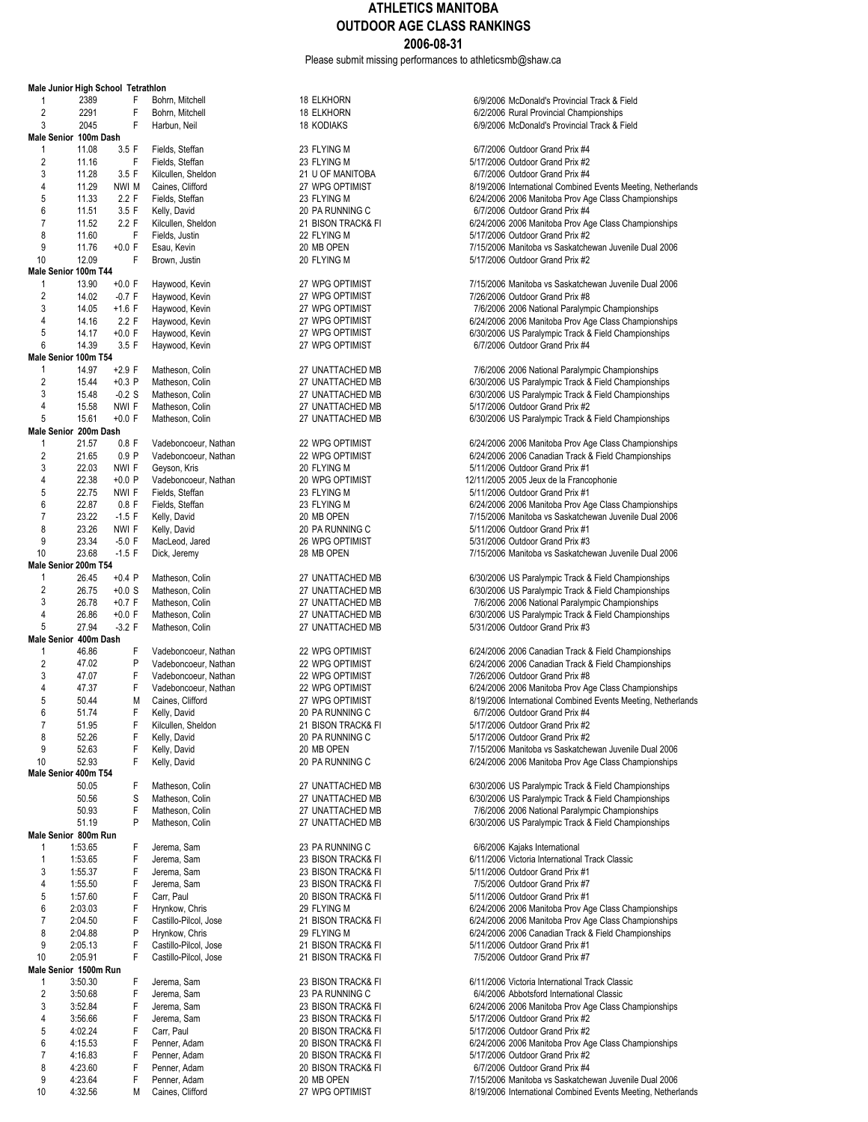Please submit missing performances to athleticsmb@shaw.ca

|                | Male Junior High School Tetrathlon |          |                       |                    |                                                              |
|----------------|------------------------------------|----------|-----------------------|--------------------|--------------------------------------------------------------|
| 1              | 2389                               | F        | Bohrn, Mitchell       | <b>18 ELKHORN</b>  | 6/9/2006 McDonald's Provincial Track & Field                 |
| $\overline{c}$ | 2291                               | F        | Bohrn, Mitchell       | <b>18 ELKHORN</b>  | 6/2/2006 Rural Provincial Championships                      |
| 3              | 2045                               | F        | Harbun, Neil          | <b>18 KODIAKS</b>  | 6/9/2006 McDonald's Provincial Track & Field                 |
|                | Male Senior 100m Dash              |          |                       |                    |                                                              |
| 1              | 11.08                              | 3.5 F    | Fields, Steffan       | 23 FLYING M        | 6/7/2006 Outdoor Grand Prix #4                               |
| $\sqrt{2}$     | 11.16                              | F        | Fields, Steffan       | 23 FLYING M        | 5/17/2006 Outdoor Grand Prix #2                              |
| 3              | 11.28                              | 3.5 F    | Kilcullen, Sheldon    | 21 U OF MANITOBA   | 6/7/2006 Outdoor Grand Prix #4                               |
| 4              | 11.29                              | NWI M    | Caines, Clifford      | 27 WPG OPTIMIST    | 8/19/2006 International Combined Events Meeting, Netherlands |
| 5              | 11.33                              | 2.2 F    | Fields, Steffan       | 23 FLYING M        | 6/24/2006 2006 Manitoba Prov Age Class Championships         |
| 6              | 11.51                              | 3.5 F    | Kelly, David          | 20 PA RUNNING C    | 6/7/2006 Outdoor Grand Prix #4                               |
| $\overline{7}$ | 11.52                              | 2.2 F    | Kilcullen, Sheldon    | 21 BISON TRACK& FI | 6/24/2006 2006 Manitoba Prov Age Class Championships         |
| 8              | 11.60                              | F        | Fields, Justin        | 22 FLYING M        | 5/17/2006 Outdoor Grand Prix #2                              |
| 9              | 11.76                              | $+0.0 F$ | Esau, Kevin           | 20 MB OPEN         | 7/15/2006 Manitoba vs Saskatchewan Juvenile Dual 2006        |
| 10             | 12.09                              | F        | Brown, Justin         | 20 FLYING M        | 5/17/2006 Outdoor Grand Prix #2                              |
|                | Male Senior 100m T44               |          |                       |                    |                                                              |
| 1              | 13.90                              | $+0.0 F$ | Haywood, Kevin        | 27 WPG OPTIMIST    | 7/15/2006 Manitoba vs Saskatchewan Juvenile Dual 2006        |
| $\overline{2}$ | 14.02                              | $-0.7 F$ | Haywood, Kevin        | 27 WPG OPTIMIST    | 7/26/2006 Outdoor Grand Prix #8                              |
| 3              | 14.05                              | $+1.6 F$ | Haywood, Kevin        | 27 WPG OPTIMIST    | 7/6/2006 2006 National Paralympic Championships              |
| 4              | 14.16                              | 2.2 F    | Haywood, Kevin        | 27 WPG OPTIMIST    | 6/24/2006 2006 Manitoba Prov Age Class Championships         |
| 5              | 14.17                              | $+0.0 F$ | Haywood, Kevin        | 27 WPG OPTIMIST    | 6/30/2006 US Paralympic Track & Field Championships          |
| 6              | 14.39                              | 3.5 F    | Haywood, Kevin        | 27 WPG OPTIMIST    | 6/7/2006 Outdoor Grand Prix #4                               |
|                | Male Senior 100m T54               |          |                       |                    |                                                              |
| 1              | 14.97                              | $+2.9 F$ | Matheson, Colin       | 27 UNATTACHED MB   | 7/6/2006 2006 National Paralympic Championships              |
| $\overline{2}$ | 15.44                              | $+0.3$ P | Matheson, Colin       | 27 UNATTACHED MB   | 6/30/2006 US Paralympic Track & Field Championships          |
| 3              |                                    |          |                       |                    |                                                              |
|                | 15.48                              | $-0.2S$  | Matheson, Colin       | 27 UNATTACHED MB   | 6/30/2006 US Paralympic Track & Field Championships          |
| 4              | 15.58                              | NWI F    | Matheson, Colin       | 27 UNATTACHED MB   | 5/17/2006 Outdoor Grand Prix #2                              |
| 5              | 15.61                              | $+0.0 F$ | Matheson, Colin       | 27 UNATTACHED MB   | 6/30/2006 US Paralympic Track & Field Championships          |
|                | Male Senior 200m Dash              |          |                       |                    |                                                              |
| 1              | 21.57                              | $0.8$ F  | Vadeboncoeur, Nathan  | 22 WPG OPTIMIST    | 6/24/2006 2006 Manitoba Prov Age Class Championships         |
| $\overline{2}$ | 21.65                              | 0.9P     | Vadeboncoeur, Nathan  | 22 WPG OPTIMIST    | 6/24/2006 2006 Canadian Track & Field Championships          |
| 3              | 22.03                              | NWI F    | Geyson, Kris          | 20 FLYING M        | 5/11/2006 Outdoor Grand Prix #1                              |
| 4              | 22.38                              | $+0.0 P$ | Vadeboncoeur, Nathan  | 20 WPG OPTIMIST    | 12/11/2005 2005 Jeux de la Francophonie                      |
| 5              | 22.75                              | NWI F    | Fields, Steffan       | 23 FLYING M        | 5/11/2006 Outdoor Grand Prix #1                              |
| 6              | 22.87                              | $0.8$ F  | Fields, Steffan       | 23 FLYING M        | 6/24/2006 2006 Manitoba Prov Age Class Championships         |
| 7              | 23.22                              | $-1.5 F$ | Kelly, David          | 20 MB OPEN         | 7/15/2006 Manitoba vs Saskatchewan Juvenile Dual 2006        |
| 8              | 23.26                              | NWI F    | Kelly, David          | 20 PA RUNNING C    | 5/11/2006 Outdoor Grand Prix #1                              |
| 9              | 23.34                              | $-5.0 F$ | MacLeod, Jared        | 26 WPG OPTIMIST    | 5/31/2006 Outdoor Grand Prix #3                              |
| 10             | 23.68                              | $-1.5$ F | Dick, Jeremy          | 28 MB OPEN         | 7/15/2006 Manitoba vs Saskatchewan Juvenile Dual 2006        |
|                | Male Senior 200m T54               |          |                       |                    |                                                              |
| 1              | 26.45                              | $+0.4$ P | Matheson, Colin       | 27 UNATTACHED MB   | 6/30/2006 US Paralympic Track & Field Championships          |
| 2              | 26.75                              | $+0.0 S$ | Matheson, Colin       | 27 UNATTACHED MB   | 6/30/2006 US Paralympic Track & Field Championships          |
| 3              | 26.78                              | $+0.7 F$ | Matheson, Colin       | 27 UNATTACHED MB   | 7/6/2006 2006 National Paralympic Championships              |
| 4              | 26.86                              | $+0.0 F$ | Matheson, Colin       | 27 UNATTACHED MB   | 6/30/2006 US Paralympic Track & Field Championships          |
| 5              | 27.94                              | $-3.2 F$ | Matheson, Colin       | 27 UNATTACHED MB   | 5/31/2006 Outdoor Grand Prix #3                              |
|                | Male Senior 400m Dash              |          |                       |                    |                                                              |
| 1              | 46.86                              | F        | Vadeboncoeur, Nathan  | 22 WPG OPTIMIST    | 6/24/2006 2006 Canadian Track & Field Championships          |
| $\overline{2}$ | 47.02                              | P        | Vadeboncoeur, Nathan  | 22 WPG OPTIMIST    | 6/24/2006 2006 Canadian Track & Field Championships          |
| 3              | 47.07                              | F        | Vadeboncoeur, Nathan  | 22 WPG OPTIMIST    | 7/26/2006 Outdoor Grand Prix #8                              |
| 4              | 47.37                              | F        | Vadeboncoeur, Nathan  | 22 WPG OPTIMIST    | 6/24/2006 2006 Manitoba Prov Age Class Championships         |
| 5              |                                    | M        | Caines, Clifford      |                    |                                                              |
| 6              | 50.44                              | F        |                       | 27 WPG OPTIMIST    | 8/19/2006 International Combined Events Meeting, Netherlands |
|                | 51.74                              |          | Kelly, David          | 20 PA RUNNING C    | 6/7/2006 Outdoor Grand Prix #4                               |
| $\overline{7}$ | 51.95                              | F        | Kilcullen, Sheldon    | 21 BISON TRACK& FI | 5/17/2006 Outdoor Grand Prix #2                              |
| 8              | 52.26                              | F        | Kelly, David          | 20 PA RUNNING C    | 5/17/2006 Outdoor Grand Prix #2                              |
| 9              | 52.63                              | F        | Kelly, David          | 20 MB OPEN         | 7/15/2006 Manitoba vs Saskatchewan Juvenile Dual 2006        |
| 10             | 52.93                              | F        | Kelly, David          | 20 PA RUNNING C    | 6/24/2006 2006 Manitoba Prov Age Class Championships         |
|                | Male Senior 400m T54               |          |                       |                    |                                                              |
|                | 50.05                              | F        | Matheson, Colin       | 27 UNATTACHED MB   | 6/30/2006 US Paralympic Track & Field Championships          |
|                | 50.56                              | S        | Matheson, Colin       | 27 UNATTACHED MB   | 6/30/2006 US Paralympic Track & Field Championships          |
|                | 50.93                              | F        | Matheson, Colin       | 27 UNATTACHED MB   | 7/6/2006 2006 National Paralympic Championships              |
|                | 51.19                              | P        | Matheson, Colin       | 27 UNATTACHED MB   | 6/30/2006 US Paralympic Track & Field Championships          |
|                | Male Senior 800m Run               |          |                       |                    |                                                              |
| 1              | 1:53.65                            | F        | Jerema, Sam           | 23 PA RUNNING C    | 6/6/2006 Kajaks International                                |
| 1              | 1:53.65                            | F        | Jerema, Sam           | 23 BISON TRACK& FI | 6/11/2006 Victoria International Track Classic               |
| 3              | 1:55.37                            | F        | Jerema, Sam           | 23 BISON TRACK& FI | 5/11/2006 Outdoor Grand Prix #1                              |
| 4              | 1:55.50                            | F        | Jerema, Sam           | 23 BISON TRACK& FI | 7/5/2006 Outdoor Grand Prix #7                               |
| 5              | 1:57.60                            | F        | Carr, Paul            | 20 BISON TRACK& FI | 5/11/2006 Outdoor Grand Prix #1                              |
| 6              | 2:03.03                            | F        | Hrynkow, Chris        | 29 FLYING M        | 6/24/2006 2006 Manitoba Prov Age Class Championships         |
| $\overline{7}$ | 2:04.50                            | F        | Castillo-Pilcol, Jose | 21 BISON TRACK& FI | 6/24/2006 2006 Manitoba Prov Age Class Championships         |
| 8              | 2:04.88                            | P        | Hrynkow, Chris        | 29 FLYING M        | 6/24/2006 2006 Canadian Track & Field Championships          |
| 9              | 2:05.13                            | F        | Castillo-Pilcol, Jose | 21 BISON TRACK& FI | 5/11/2006 Outdoor Grand Prix #1                              |
| 10             | 2:05.91                            | F        | Castillo-Pilcol, Jose | 21 BISON TRACK& FI | 7/5/2006 Outdoor Grand Prix #7                               |
|                | Male Senior 1500m Run              |          |                       |                    |                                                              |
| 1              | 3:50.30                            | F        | Jerema, Sam           | 23 BISON TRACK& FI | 6/11/2006 Victoria International Track Classic               |
| $\overline{2}$ | 3:50.68                            | F        | Jerema, Sam           | 23 PA RUNNING C    | 6/4/2006 Abbotsford International Classic                    |
| 3              | 3:52.84                            | F        | Jerema, Sam           | 23 BISON TRACK& FI | 6/24/2006 2006 Manitoba Prov Age Class Championships         |
| 4              | 3:56.66                            | F        | Jerema, Sam           |                    | 5/17/2006 Outdoor Grand Prix #2                              |
|                |                                    |          |                       | 23 BISON TRACK& FI |                                                              |
| 5              | 4:02.24                            | F        | Carr, Paul            | 20 BISON TRACK& FI | 5/17/2006 Outdoor Grand Prix #2                              |
| 6              | 4:15.53                            | F        | Penner, Adam          | 20 BISON TRACK& FI | 6/24/2006 2006 Manitoba Prov Age Class Championships         |
| 7              | 4:16.83                            | F        | Penner, Adam          | 20 BISON TRACK& FI | 5/17/2006 Outdoor Grand Prix #2                              |
| 8              | 4:23.60                            | F        | Penner, Adam          | 20 BISON TRACK& FI | 6/7/2006 Outdoor Grand Prix #4                               |
| 9              | 4:23.64                            | F        | Penner, Adam          | 20 MB OPEN         | 7/15/2006 Manitoba vs Saskatchewan Juvenile Dual 2006        |
| 10             | 4:32.56                            | М        | Caines, Clifford      | 27 WPG OPTIMIST    | 8/19/2006 International Combined Events Meeting, Netherlands |

| 18 ELKHORN<br><b>18 KODIAKS</b>                                                                                                                                                                         |
|---------------------------------------------------------------------------------------------------------------------------------------------------------------------------------------------------------|
| 23 FLYING M<br>23 FLYING M<br>21 U OF MANITOBA<br>27 WPG OPTIMIST<br>23 FLYING M<br>20 PA RUNNING C<br>21 BISON TRACK& FI<br>22 FLYING M<br>20 MB OPEN<br>20 FLYING M                                   |
| 27 WPG OPTIMIST<br>27 WPG OPTIMIST<br>27 WPG OPTIMIST<br>27 WPG OPTIMIST<br>27 WPG OPTIMIST<br>27 WPG OPTIMIST                                                                                          |
| 27 UNATTACHED MB<br>27 UNATTACHED MB<br>27 UNATTACHED MB<br>27 UNATTACHED MB<br>27 UNATTACHED MB                                                                                                        |
| 22 WPG OPTIMIST<br>22 WPG OPTIMIST<br>20 FLYING M<br>20 WPG OPTIMIST<br>23 FLYING M<br>23 FLYING M<br>20 MB OPEN<br>20 PA RUNNING C<br><b>26 WPG OPTIMIST</b><br>28 MB OPEN                             |
| 27 UNATTACHED MB<br>27 UNATTACHED MB<br>27 UNATTACHED MB<br>27 UNATTACHED MB<br>27 UNATTACHED MB                                                                                                        |
| 22 WPG OPTIMIST<br><b>22 WPG OPTIMIST</b><br>22 WPG OPTIMIST<br>22 WPG OPTIMIST<br>27 WPG OPTIMIST<br>20 PA RUNNING C<br>21 BISON TRACK& FI<br>20 PA RUNNING C<br>20 MB OPEN<br>20 PA RUNNING C         |
| 27 UNATTACHED MB<br>27 UNATTACHED MB<br>27 UNATTACHED MB<br>27 UNATTACHED MB                                                                                                                            |
| 23 PA RUNNING C<br>23 BISON TRACK& FI<br>23 BISON TRACK& FI<br>23 BISON TRACK& FI<br>20 BISON TRACK& FI<br>29 FLYING M<br>21 BISON TRACK& FI<br>29 FLYING M<br>21 BISON TRACK& FI<br>21 BISON TRACK& FI |
| 23 BISON TRACK& FI<br>23 PA RUNNING C<br>23 BISON TRACK& FI<br>23 BISON TRACK& FI<br>20 BISON TRACK& FI<br>20 BISON TRACK& FI<br>20 BISON TRACK& FI<br>20 BISON TRACK& FI<br>20 MB OPEN                 |